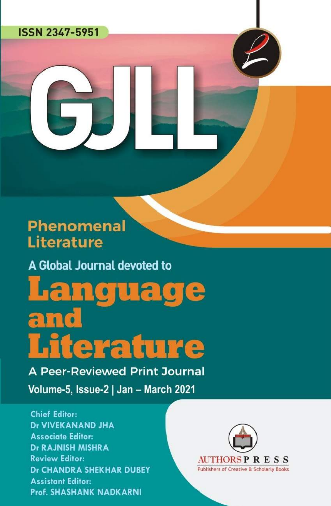### **ISSN 2347-5951**

## **Phenomenal Literature**

A Global Journal devoted to

anguage an iterature

**A Peer-Reviewed Print Journal** 

Volume-5, Issue-2 | Jan - March 2021

### **Chief Editor: Dr VIVEKANAND JHA Associate Editor:** Dr RAJNISH MISHRA **Review Editor: Dr CHANDRA SHEKHAR DUBEY Assistant Editor: Prof. SHASHANK NADKARNI**

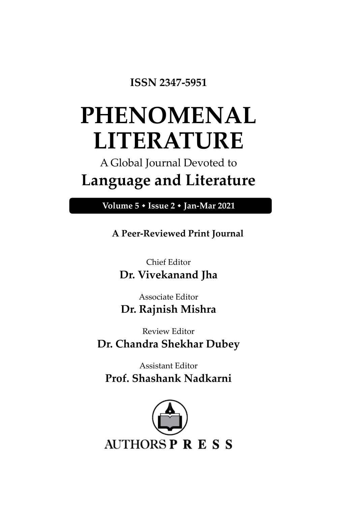**ISSN 2347-5951**

# **PHENOMENAL LITERATURE**

## A Global Journal Devoted to **Language and Literature**

**Volume 5 Issue 2 Jan-Mar 2021**

**A Peer-Reviewed Print Journal**

Chief Editor **Dr. Vivekanand Jha**

Associate Editor **Dr. Rajnish Mishra**

Review Editor **Dr. Chandra Shekhar Dubey**

Assistant Editor **Prof. Shashank Nadkarni**

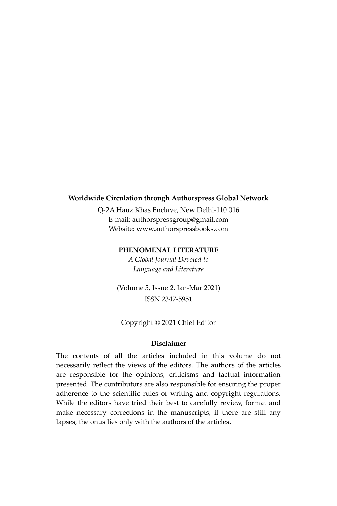### **Worldwide Circulation through Authorspress Global Network**

Q-2A Hauz Khas Enclave, New Delhi-110 016 E-mail: authorspressgroup@gmail.com Website: www.authorspressbooks.com

### **PHENOMENAL LITERATURE**

*A Global Journal Devoted to Language and Literature*

(Volume 5, Issue 2, Jan-Mar 2021) ISSN 2347-5951

Copyright © 2021 Chief Editor

### **Disclaimer**

The contents of all the articles included in this volume do not necessarily reflect the views of the editors. The authors of the articles are responsible for the opinions, criticisms and factual information presented. The contributors are also responsible for ensuring the proper adherence to the scientific rules of writing and copyright regulations. While the editors have tried their best to carefully review, format and make necessary corrections in the manuscripts, if there are still any lapses, the onus lies only with the authors of the articles.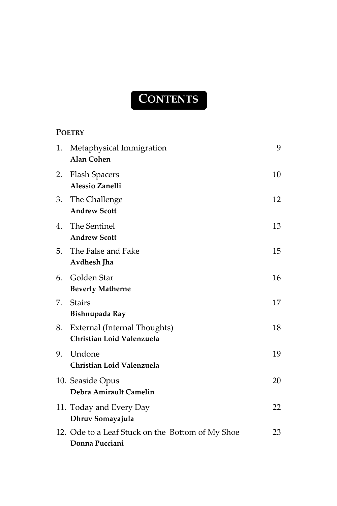## **CONTENTS**

### **P[OETRY](#page-9-0)**

| 1. | Metaphysical Immigration<br><b>Alan Cohen</b>                      | 9  |
|----|--------------------------------------------------------------------|----|
| 2. | <b>Flash Spacers</b><br><b>Alessio Zanelli</b>                     | 10 |
| 3. | The Challenge<br><b>Andrew Scott</b>                               | 12 |
| 4. | The Sentinel<br><b>Andrew Scott</b>                                | 13 |
|    | 5. The False and Fake<br>Avdhesh Jha                               | 15 |
| 6. | Golden Star<br><b>Beverly Matherne</b>                             | 16 |
| 7. | <b>Stairs</b><br>Bishnupada Ray                                    | 17 |
| 8. | External (Internal Thoughts)<br>Christian Loid Valenzuela          | 18 |
| 9. | Undone<br>Christian Loid Valenzuela                                | 19 |
|    | 10. Seaside Opus<br>Debra Amirault Camelin                         | 20 |
|    | 11. Today and Every Day<br>Dhruv Somayajula                        | 22 |
|    | 12. Ode to a Leaf Stuck on the Bottom of My Shoe<br>Donna Pucciani | 23 |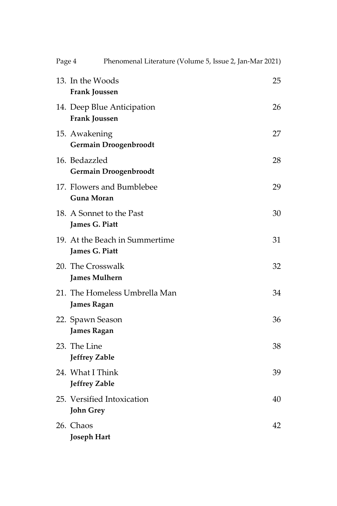| Page 4 | Phenomenal Literature (Volume 5, Issue 2, Jan-Mar 2021) |    |
|--------|---------------------------------------------------------|----|
|        | 13. In the Woods<br><b>Frank Joussen</b>                | 25 |
|        | 14. Deep Blue Anticipation<br>Frank Joussen             | 26 |
|        | 15. Awakening<br><b>Germain Droogenbroodt</b>           | 27 |
|        | 16. Bedazzled<br><b>Germain Droogenbroodt</b>           | 28 |
|        | 17. Flowers and Bumblebee<br>Guna Moran                 | 29 |
|        | 18. A Sonnet to the Past<br>James G. Piatt              | 30 |
|        | 19. At the Beach in Summertime<br>James G. Piatt        | 31 |
|        | 20. The Crosswalk<br><b>James Mulhern</b>               | 32 |
|        | 21. The Homeless Umbrella Man<br><b>James Ragan</b>     | 34 |
|        | 22. Spawn Season<br><b>James Ragan</b>                  | 36 |
|        | 23. The Line<br><b>Jeffrey Zable</b>                    | 38 |
|        | 24. What I Think<br>Jeffrey Zable                       | 39 |
|        | 25. Versified Intoxication<br><b>John Grey</b>          | 40 |
|        | 26. Chaos<br><b>Joseph Hart</b>                         | 42 |
|        |                                                         |    |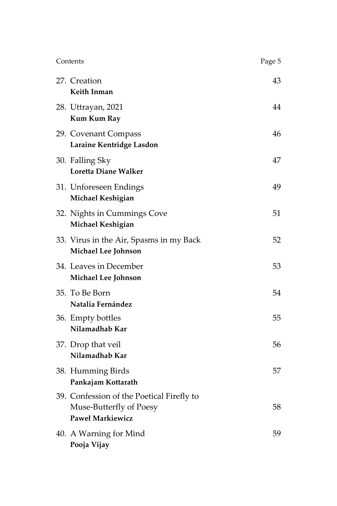| Contents                                                                                        | Page 5 |
|-------------------------------------------------------------------------------------------------|--------|
| 27. Creation<br>Keith Inman                                                                     | 43     |
| 28. Uttrayan, 2021<br>Kum Kum Ray                                                               | 44     |
| 29. Covenant Compass<br>Laraine Kentridge Lasdon                                                | 46     |
| 30. Falling Sky<br>Loretta Diane Walker                                                         | 47     |
| 31. Unforeseen Endings<br>Michael Keshigian                                                     | 49     |
| 32. Nights in Cummings Cove<br>Michael Keshigian                                                | 51     |
| 33. Virus in the Air, Spasms in my Back<br>Michael Lee Johnson                                  | 52     |
| 34. Leaves in December<br>Michael Lee Johnson                                                   | 53     |
| 35. To Be Born<br>Natalia Fernández                                                             | 54     |
| 36. Empty bottles<br>Nilamadhab Kar                                                             | 55     |
| 37. Drop that veil<br>Nilamadhab Kar                                                            | 56     |
| 38. Humming Birds<br>Pankajam Kottarath                                                         | 57     |
| 39. Confession of the Poetical Firefly to<br>Muse-Butterfly of Poesy<br><b>Paweł Markiewicz</b> | 58     |
| 40. A Warning for Mind<br>Pooja Vijay                                                           | 59     |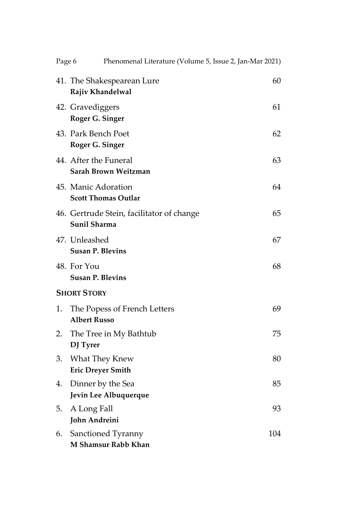| Page 6 | Phenomenal Literature (Volume 5, Issue 2, Jan-Mar 2021)   |     |
|--------|-----------------------------------------------------------|-----|
|        | 41. The Shakespearean Lure<br>Rajiv Khandelwal            | 60  |
|        | 42. Gravediggers<br>Roger G. Singer                       | 61  |
|        | 43. Park Bench Poet<br>Roger G. Singer                    | 62  |
|        | 44. After the Funeral<br>Sarah Brown Weitzman             | 63  |
|        | 45. Manic Adoration<br><b>Scott Thomas Outlar</b>         | 64  |
|        | 46. Gertrude Stein, facilitator of change<br>Sunil Sharma | 65  |
|        | 47. Unleashed<br><b>Susan P. Blevins</b>                  | 67  |
|        | 48. For You<br><b>Susan P. Blevins</b>                    | 68  |
|        | <b>SHORT STORY</b>                                        |     |
| 1.     | The Popess of French Letters<br><b>Albert Russo</b>       | 69  |
| 2.     | The Tree in My Bathtub<br>DJ Tyrer                        | 75  |
| 3.     | What They Knew<br><b>Eric Dreyer Smith</b>                | 80  |
| 4.     | Dinner by the Sea<br>Jevin Lee Albuquerque                | 85  |
| 5.     | A Long Fall<br>John Andreini                              | 93  |
| 6.     | Sanctioned Tyranny<br>M Shamsur Rabb Khan                 | 104 |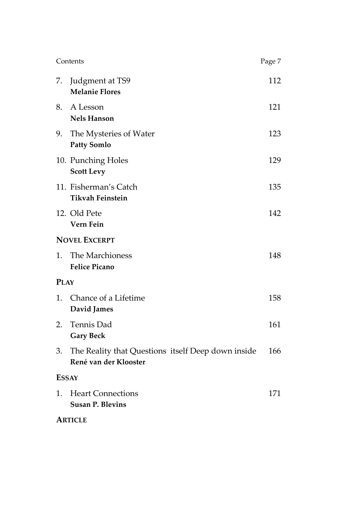| Contents             |                                                                             | Page 7 |
|----------------------|-----------------------------------------------------------------------------|--------|
| 7.                   | Judgment at TS9<br><b>Melanie Flores</b>                                    | 112    |
| 8.                   | A Lesson<br><b>Nels Hanson</b>                                              | 121    |
| 9.                   | The Mysteries of Water<br><b>Patty Somlo</b>                                | 123    |
|                      | 10. Punching Holes<br><b>Scott Levy</b>                                     | 129    |
|                      | 11. Fisherman's Catch<br><b>Tikvah Feinstein</b>                            | 135    |
|                      | 12. Old Pete<br>Vern Fein                                                   | 142    |
| <b>NOVEL EXCERPT</b> |                                                                             |        |
| 1.                   | The Marchioness<br><b>Felice Picano</b>                                     | 148    |
| <b>PLAY</b>          |                                                                             |        |
| 1.                   | Chance of a Lifetime<br>David James                                         | 158    |
| 2.                   | Tennis Dad<br><b>Gary Beck</b>                                              | 161    |
| 3.                   | The Reality that Questions itself Deep down inside<br>René van der Klooster | 166    |
| <b>ESSAY</b>         |                                                                             |        |
| 1.                   | <b>Heart Connections</b><br><b>Susan P. Blevins</b>                         | 171    |
|                      | <b>ARTICLE</b>                                                              |        |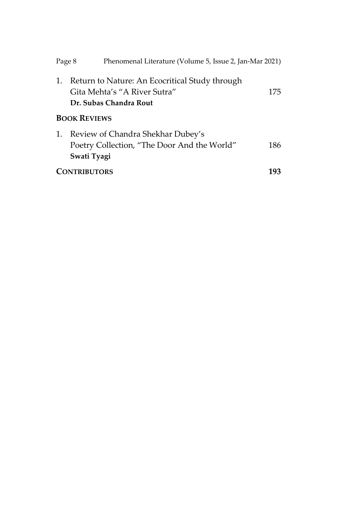|    | Page 8<br>Phenomenal Literature (Volume 5, Issue 2, Jan-Mar 2021)                                        |     |
|----|----------------------------------------------------------------------------------------------------------|-----|
| 1. | Return to Nature: An Ecocritical Study through<br>Gita Mehta's "A River Sutra"<br>Dr. Subas Chandra Rout | 175 |
|    | <b>BOOK REVIEWS</b>                                                                                      |     |
| 1. | Review of Chandra Shekhar Dubey's<br>Poetry Collection, "The Door And the World"<br>Swati Tyagi          | 186 |
|    | <b>CONTRIBUTORS</b>                                                                                      | 193 |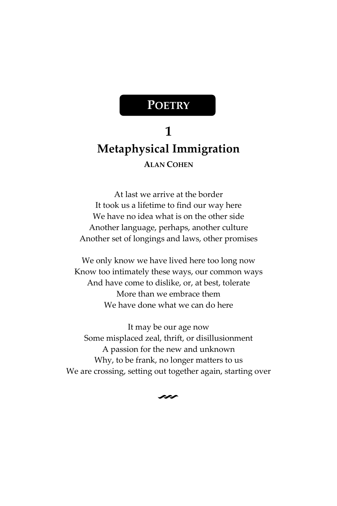## **POETRY**

## <span id="page-9-1"></span><span id="page-9-0"></span>**1 Metaphysical Immigration ALAN COHEN**

<span id="page-9-2"></span>At last we arrive at the border It took us a lifetime to find our way here We have no idea what is on the other side Another language, perhaps, another culture Another set of longings and laws, other promises

We only know we have lived here too long now Know too intimately these ways, our common ways And have come to dislike, or, at best, tolerate More than we embrace them We have done what we can do here

It may be our age now Some misplaced zeal, thrift, or disillusionment A passion for the new and unknown Why, to be frank, no longer matters to us We are crossing, setting out together again, starting over

 $\sim$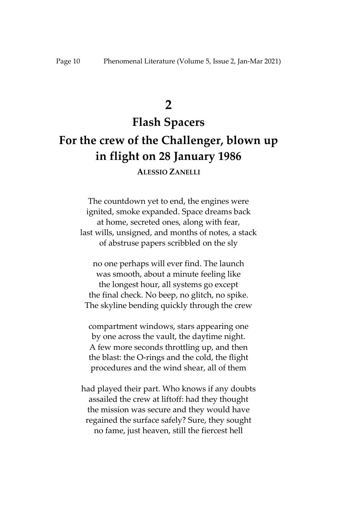**2**

## <span id="page-10-0"></span>**Flash Spacers For the crew of the Challenger, blown up in flight on 28 January 1986**

**ALESSIO ZANELLI**

<span id="page-10-1"></span>The countdown yet to end, the engines were ignited, smoke expanded. Space dreams back at home, secreted ones, along with fear, last wills, unsigned, and months of notes, a stack of abstruse papers scribbled on the sly

no one perhaps will ever find. The launch was smooth, about a minute feeling like the longest hour, all systems go except the final check. No beep, no glitch, no spike. The skyline bending quickly through the crew

compartment windows, stars appearing one by one across the vault, the daytime night. A few more seconds throttling up, and then the blast: the O-rings and the cold, the flight procedures and the wind shear, all of them

had played their part. Who knows if any doubts assailed the crew at liftoff: had they thought the mission was secure and they would have regained the surface safely? Sure, they sought no fame, just heaven, still the fiercest hell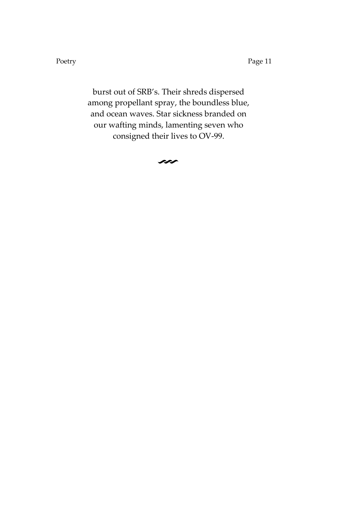Poetry Page 11

burst out of SRB's. Their shreds dispersed among propellant spray, the boundless blue, and ocean waves. Star sickness branded on our wafting minds, lamenting seven who consigned their lives to OV-99.

 $\sim$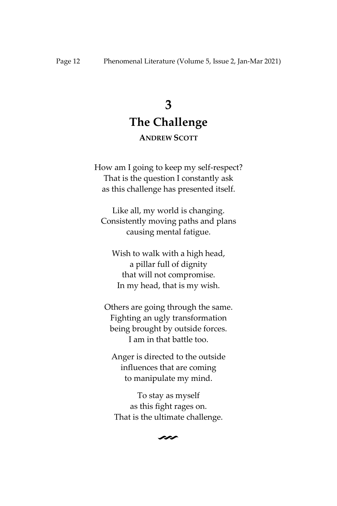## **3 The Challenge**

### **ANDREW SCOTT**

<span id="page-12-1"></span>How am I going to keep my self-respect? That is the question I constantly ask as this challenge has presented itself.

Like all, my world is changing. Consistently moving paths and plans causing mental fatigue.

Wish to walk with a high head, a pillar full of dignity that will not compromise. In my head, that is my wish.

Others are going through the same. Fighting an ugly transformation being brought by outside forces. I am in that battle too.

Anger is directed to the outside influences that are coming to manipulate my mind.

To stay as myself as this fight rages on. That is the ultimate challenge.

 $\sim$ 

<span id="page-12-0"></span>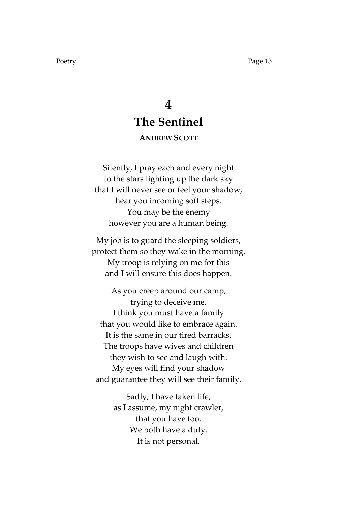## **4 The Sentinel**

### **ANDREW SCOTT**

<span id="page-13-1"></span><span id="page-13-0"></span>Silently, I pray each and every night to the stars lighting up the dark sky that I will never see or feel your shadow, hear you incoming soft steps. You may be the enemy however you are a human being.

My job is to guard the sleeping soldiers, protect them so they wake in the morning. My troop is relying on me for this and I will ensure this does happen.

As you creep around our camp, trying to deceive me, I think you must have a family that you would like to embrace again. It is the same in our tired barracks. The troops have wives and children they wish to see and laugh with. My eyes will find your shadow and guarantee they will see their family.

> Sadly, I have taken life, as I assume, my night crawler, that you have too. We both have a duty. It is not personal.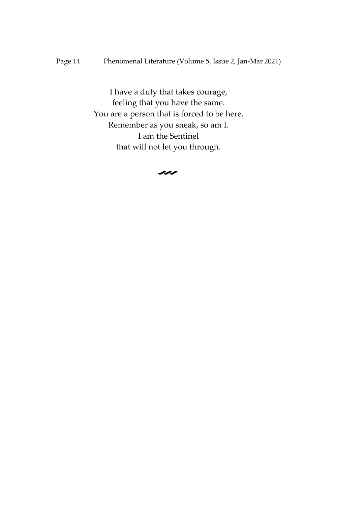Page 14 Phenomenal Literature (Volume 5, Issue 2, Jan-Mar 2021)

I have a duty that takes courage, feeling that you have the same. You are a person that is forced to be here. Remember as you sneak, so am I. I am the Sentinel that will not let you through.

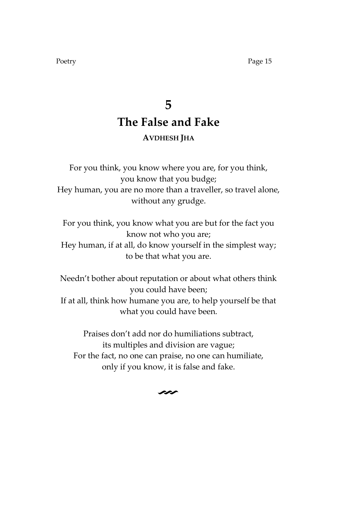Poetry Page 15

## **5 The False and Fake AVDHESH JHA**

<span id="page-15-1"></span><span id="page-15-0"></span>For you think, you know where you are, for you think, you know that you budge; Hey human, you are no more than a traveller, so travel alone, without any grudge.

For you think, you know what you are but for the fact you know not who you are; Hey human, if at all, do know yourself in the simplest way; to be that what you are.

Needn't bother about reputation or about what others think you could have been; If at all, think how humane you are, to help yourself be that what you could have been.

Praises don't add nor do humiliations subtract, its multiples and division are vague; For the fact, no one can praise, no one can humiliate, only if you know, it is false and fake.

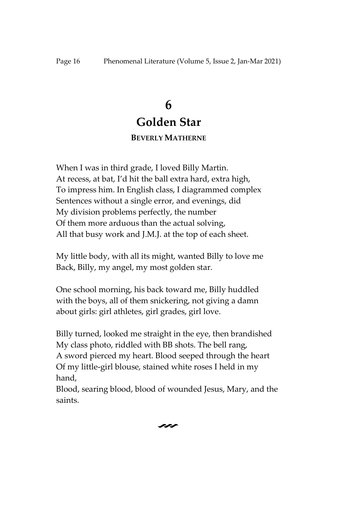## **6**

## **Golden Star**

### **BEVERLY MATHERNE**

<span id="page-16-1"></span><span id="page-16-0"></span>When I was in third grade, I loved Billy Martin. At recess, at bat, I'd hit the ball extra hard, extra high, To impress him. In English class, I diagrammed complex Sentences without a single error, and evenings, did My division problems perfectly, the number Of them more arduous than the actual solving, All that busy work and J.M.J. at the top of each sheet.

My little body, with all its might, wanted Billy to love me Back, Billy, my angel, my most golden star.

One school morning, his back toward me, Billy huddled with the boys, all of them snickering, not giving a damn about girls: girl athletes, girl grades, girl love.

Billy turned, looked me straight in the eye, then brandished My class photo, riddled with BB shots. The bell rang, A sword pierced my heart. Blood seeped through the heart Of my little-girl blouse, stained white roses I held in my hand,

Blood, searing blood, blood of wounded Jesus, Mary, and the saints.

 $\sim$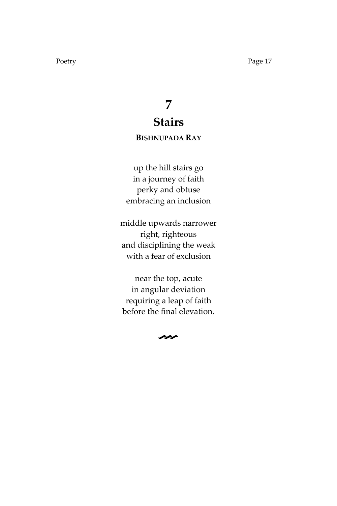## **7 Stairs**

### <span id="page-17-0"></span>**BISHNUPADA RAY**

<span id="page-17-1"></span>up the hill stairs go in a journey of faith perky and obtuse embracing an inclusion

middle upwards narrower right, righteous and disciplining the weak with a fear of exclusion

near the top, acute in angular deviation requiring a leap of faith before the final elevation.

 $\sim$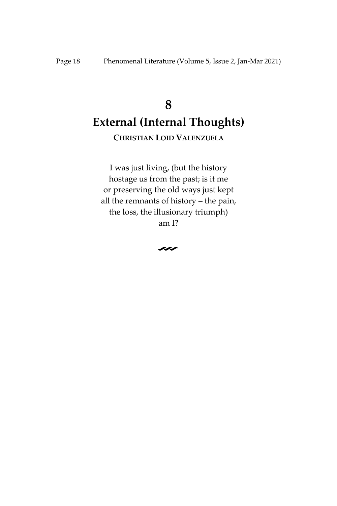## <span id="page-18-1"></span><span id="page-18-0"></span>**8 External (Internal Thoughts)**

**CHRISTIAN LOID VALENZUELA**

I was just living, (but the history hostage us from the past; is it me or preserving the old ways just kept all the remnants of history – the pain, the loss, the illusionary triumph) am I?

V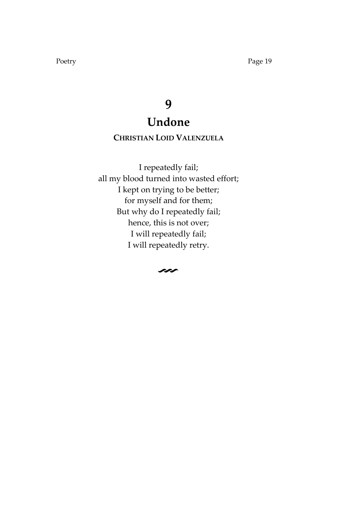## **9 Undone**

### <span id="page-19-0"></span>**CHRISTIAN LOID VALENZUELA**

<span id="page-19-1"></span>I repeatedly fail; all my blood turned into wasted effort; I kept on trying to be better; for myself and for them; But why do I repeatedly fail; hence, this is not over; I will repeatedly fail; I will repeatedly retry.

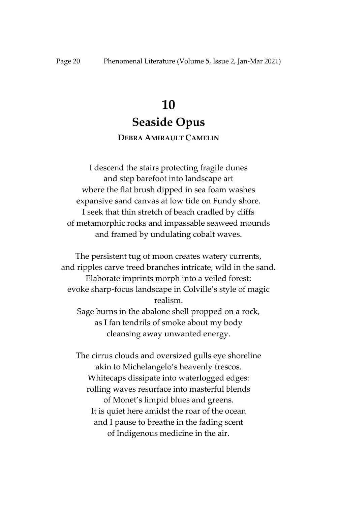## **10 Seaside Opus**

### **DEBRA AMIRAULT CAMELIN**

<span id="page-20-1"></span><span id="page-20-0"></span>I descend the stairs protecting fragile dunes and step barefoot into landscape art where the flat brush dipped in sea foam washes expansive sand canvas at low tide on Fundy shore. I seek that thin stretch of beach cradled by cliffs of metamorphic rocks and impassable seaweed mounds and framed by undulating cobalt waves.

The persistent tug of moon creates watery currents, and ripples carve treed branches intricate, wild in the sand. Elaborate imprints morph into a veiled forest: evoke sharp-focus landscape in Colville's style of magic realism.

Sage burns in the abalone shell propped on a rock, as I fan tendrils of smoke about my body cleansing away unwanted energy.

The cirrus clouds and oversized gulls eye shoreline akin to Michelangelo's heavenly frescos. Whitecaps dissipate into waterlogged edges: rolling waves resurface into masterful blends of Monet's limpid blues and greens. It is quiet here amidst the roar of the ocean and I pause to breathe in the fading scent of Indigenous medicine in the air.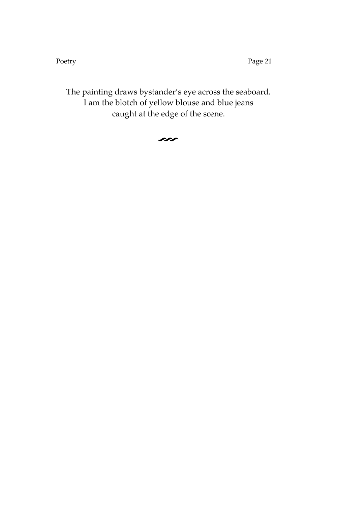Poetry Page 21

The painting draws bystander's eye across the seaboard. I am the blotch of yellow blouse and blue jeans caught at the edge of the scene.

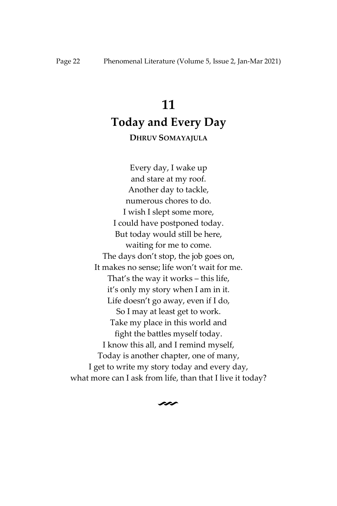## **11 Today and Every Day**

### **DHRUV SOMAYAJULA**

<span id="page-22-1"></span><span id="page-22-0"></span>Every day, I wake up and stare at my roof. Another day to tackle, numerous chores to do. I wish I slept some more, I could have postponed today. But today would still be here, waiting for me to come. The days don't stop, the job goes on, It makes no sense; life won't wait for me. That's the way it works – this life, it's only my story when I am in it. Life doesn't go away, even if I do, So I may at least get to work. Take my place in this world and fight the battles myself today. I know this all, and I remind myself, Today is another chapter, one of many, I get to write my story today and every day, what more can I ask from life, than that I live it today?

### $\sim$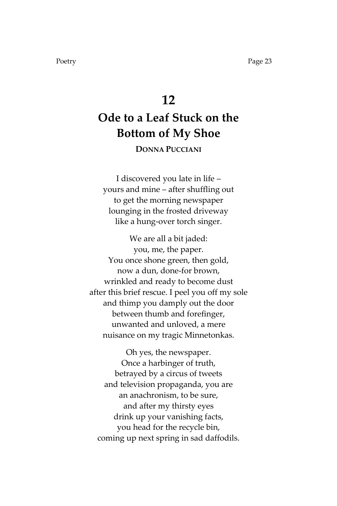### **12**

## <span id="page-23-1"></span><span id="page-23-0"></span>**Ode to a Leaf Stuck on the Bottom of My Shoe**

**DONNA PUCCIANI**

I discovered you late in life – yours and mine – after shuffling out to get the morning newspaper lounging in the frosted driveway like a hung-over torch singer.

We are all a bit jaded: you, me, the paper. You once shone green, then gold, now a dun, done-for brown, wrinkled and ready to become dust after this brief rescue. I peel you off my sole and thimp you damply out the door between thumb and forefinger, unwanted and unloved, a mere nuisance on my tragic Minnetonkas.

Oh yes, the newspaper. Once a harbinger of truth, betrayed by a circus of tweets and television propaganda, you are an anachronism, to be sure, and after my thirsty eyes drink up your vanishing facts, you head for the recycle bin, coming up next spring in sad daffodils.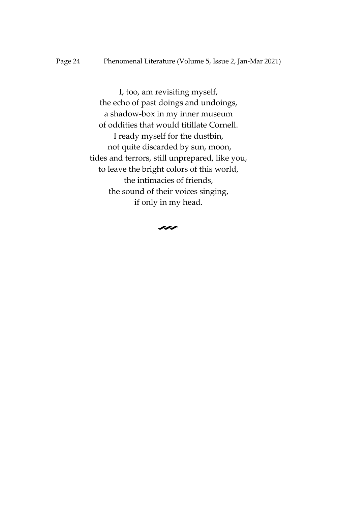I, too, am revisiting myself, the echo of past doings and undoings, a shadow-box in my inner museum of oddities that would titillate Cornell. I ready myself for the dustbin, not quite discarded by sun, moon, tides and terrors, still unprepared, like you, to leave the bright colors of this world, the intimacies of friends, the sound of their voices singing, if only in my head.

 $\sim$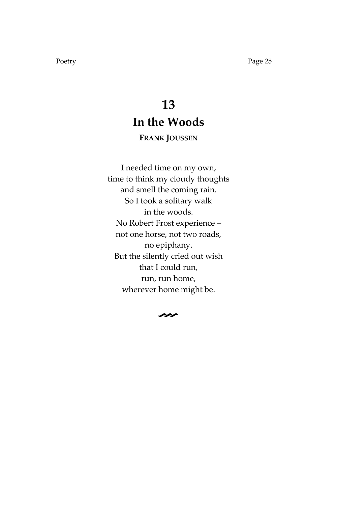## **13 In the Woods**

### **FRANK JOUSSEN**

<span id="page-25-1"></span><span id="page-25-0"></span>I needed time on my own, time to think my cloudy thoughts and smell the coming rain. So I took a solitary walk in the woods. No Robert Frost experience – not one horse, not two roads, no epiphany. But the silently cried out wish that I could run, run, run home, wherever home might be.

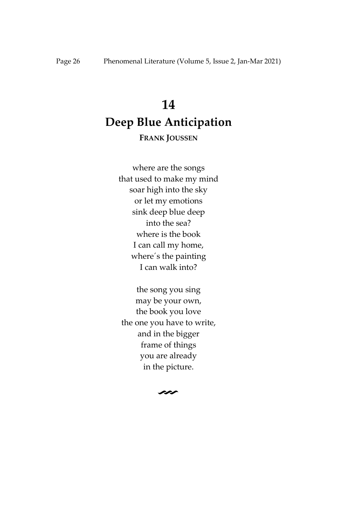## <span id="page-26-1"></span><span id="page-26-0"></span>**14 Deep Blue Anticipation**

### **FRANK JOUSSEN**

where are the songs that used to make my mind soar high into the sky or let my emotions sink deep blue deep into the sea? where is the book I can call my home, where´s the painting I can walk into?

the song you sing may be your own, the book you love the one you have to write, and in the bigger frame of things you are already in the picture.

 $\sim$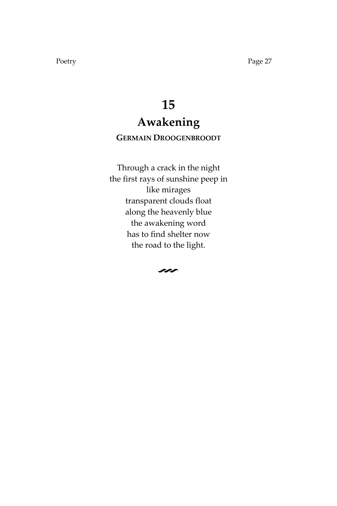## **15 Awakening**

### <span id="page-27-1"></span><span id="page-27-0"></span>**GERMAIN DROOGENBROODT**

Through a crack in the night the first rays of sunshine peep in like mirages transparent clouds float along the heavenly blue the awakening word has to find shelter now the road to the light.

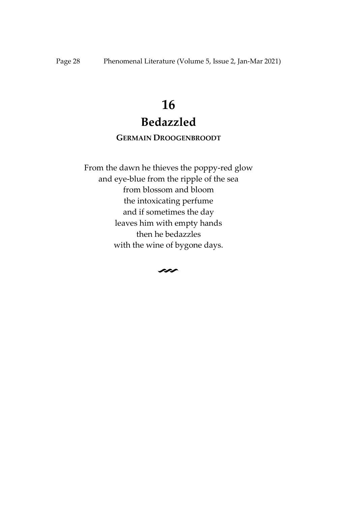## **16 Bedazzled**

### **GERMAIN DROOGENBROODT**

<span id="page-28-1"></span><span id="page-28-0"></span>From the dawn he thieves the poppy-red glow and eye-blue from the ripple of the sea from blossom and bloom the intoxicating perfume and if sometimes the day leaves him with empty hands then he bedazzles with the wine of bygone days.

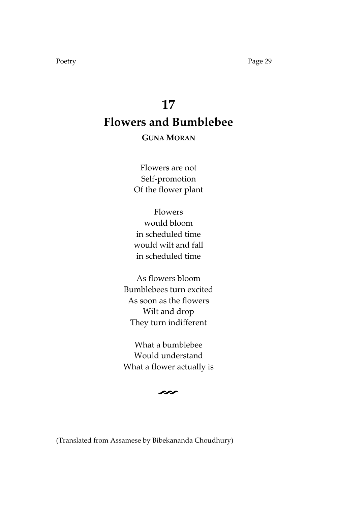## <span id="page-29-1"></span><span id="page-29-0"></span>**17 Flowers and Bumblebee**

### **GUNA MORAN**

Flowers are not Self-promotion Of the flower plant

Flowers would bloom in scheduled time would wilt and fall in scheduled time

As flowers bloom Bumblebees turn excited As soon as the flowers Wilt and drop They turn indifferent

What a bumblebee Would understand What a flower actually is



(Translated from Assamese by Bibekananda Choudhury)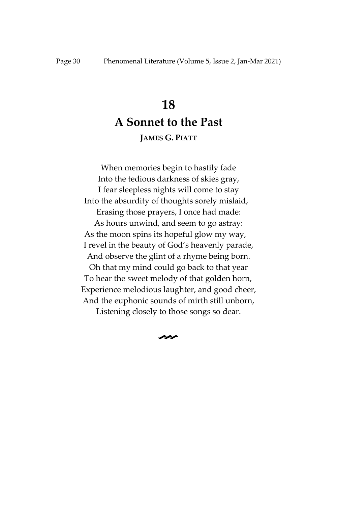### **18**

## **A Sonnet to the Past**

### **JAMES G. PIATT**

<span id="page-30-1"></span><span id="page-30-0"></span>When memories begin to hastily fade Into the tedious darkness of skies gray, I fear sleepless nights will come to stay Into the absurdity of thoughts sorely mislaid, Erasing those prayers, I once had made: As hours unwind, and seem to go astray: As the moon spins its hopeful glow my way, I revel in the beauty of God's heavenly parade, And observe the glint of a rhyme being born. Oh that my mind could go back to that year To hear the sweet melody of that golden horn, Experience melodious laughter, and good cheer, And the euphonic sounds of mirth still unborn, Listening closely to those songs so dear.

 $\sim$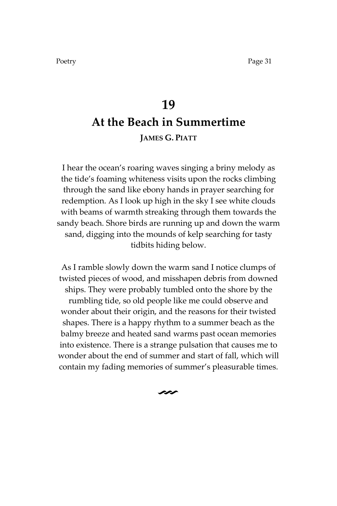## <span id="page-31-0"></span>**19 At the Beach in Summertime JAMES G. PIATT**

<span id="page-31-1"></span>I hear the ocean's roaring waves singing a briny melody as the tide's foaming whiteness visits upon the rocks climbing through the sand like ebony hands in prayer searching for redemption. As I look up high in the sky I see white clouds with beams of warmth streaking through them towards the sandy beach. Shore birds are running up and down the warm sand, digging into the mounds of kelp searching for tasty tidbits hiding below.

As I ramble slowly down the warm sand I notice clumps of twisted pieces of wood, and misshapen debris from downed ships. They were probably tumbled onto the shore by the rumbling tide, so old people like me could observe and wonder about their origin, and the reasons for their twisted shapes. There is a happy rhythm to a summer beach as the balmy breeze and heated sand warms past ocean memories into existence. There is a strange pulsation that causes me to wonder about the end of summer and start of fall, which will contain my fading memories of summer's pleasurable times.

 $\sim$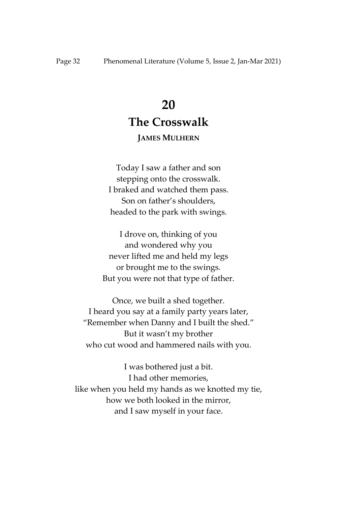## **20**

### **The Crosswalk**

### **JAMES MULHERN**

<span id="page-32-1"></span><span id="page-32-0"></span>Today I saw a father and son stepping onto the crosswalk. I braked and watched them pass. Son on father's shoulders, headed to the park with swings.

I drove on, thinking of you and wondered why you never lifted me and held my legs or brought me to the swings. But you were not that type of father.

Once, we built a shed together. I heard you say at a family party years later, 'Remember when Danny and I built the shed.' But it wasn't my brother who cut wood and hammered nails with you.

I was bothered just a bit. I had other memories, like when you held my hands as we knotted my tie, how we both looked in the mirror, and I saw myself in your face.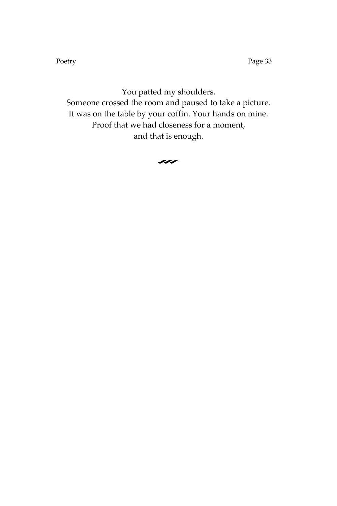Poetry Page 33

You patted my shoulders. Someone crossed the room and paused to take a picture. It was on the table by your coffin. Your hands on mine. Proof that we had closeness for a moment, and that is enough.

 $\rightsquigarrow$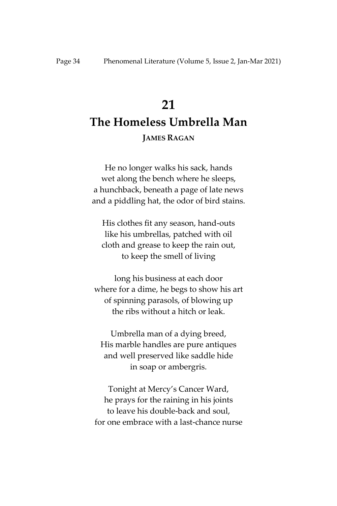## <span id="page-34-1"></span><span id="page-34-0"></span>**21 The Homeless Umbrella Man**

### **JAMES RAGAN**

He no longer walks his sack, hands wet along the bench where he sleeps, a hunchback, beneath a page of late news and a piddling hat, the odor of bird stains.

His clothes fit any season, hand-outs like his umbrellas, patched with oil cloth and grease to keep the rain out, to keep the smell of living

long his business at each door where for a dime, he begs to show his art of spinning parasols, of blowing up the ribs without a hitch or leak.

Umbrella man of a dying breed, His marble handles are pure antiques and well preserved like saddle hide in soap or ambergris.

Tonight at Mercy's Cancer Ward, he prays for the raining in his joints to leave his double-back and soul, for one embrace with a last-chance nurse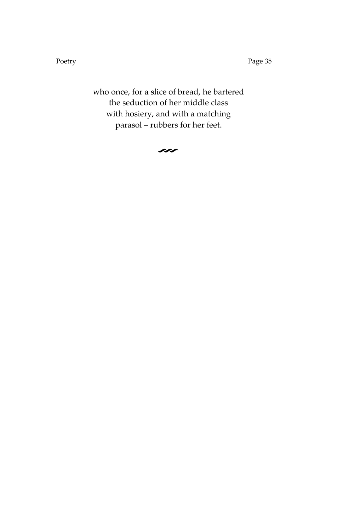Poetry Page 35

who once, for a slice of bread, he bartered the seduction of her middle class with hosiery, and with a matching parasol – rubbers for her feet.

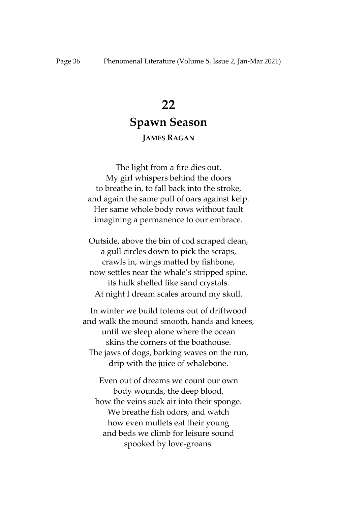# **22 Spawn Season**

### **JAMES RAGAN**

The light from a fire dies out. My girl whispers behind the doors to breathe in, to fall back into the stroke, and again the same pull of oars against kelp. Her same whole body rows without fault imagining a permanence to our embrace.

Outside, above the bin of cod scraped clean, a gull circles down to pick the scraps, crawls in, wings matted by fishbone, now settles near the whale's stripped spine, its hulk shelled like sand crystals. At night I dream scales around my skull.

In winter we build totems out of driftwood and walk the mound smooth, hands and knees, until we sleep alone where the ocean skins the corners of the boathouse. The jaws of dogs, barking waves on the run, drip with the juice of whalebone.

Even out of dreams we count our own body wounds, the deep blood, how the veins suck air into their sponge. We breathe fish odors, and watch how even mullets eat their young and beds we climb for leisure sound spooked by love-groans.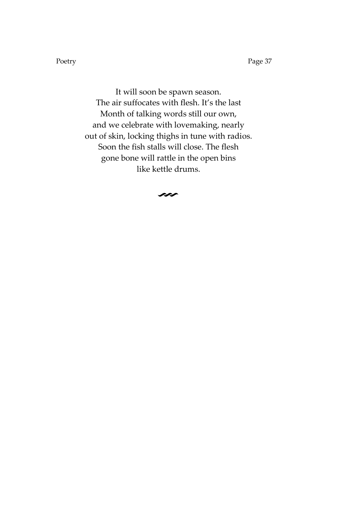Poetry Page 37

It will soon be spawn season. The air suffocates with flesh. It's the last Month of talking words still our own, and we celebrate with lovemaking, nearly out of skin, locking thighs in tune with radios. Soon the fish stalls will close. The flesh gone bone will rattle in the open bins like kettle drums.

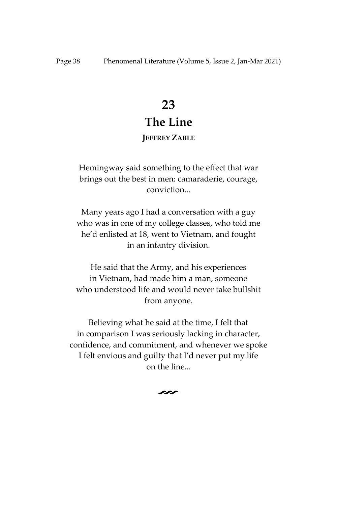# **23 The Line**

### **JEFFREY ZABLE**

Hemingway said something to the effect that war brings out the best in men: camaraderie, courage, conviction...

Many years ago I had a conversation with a guy who was in one of my college classes, who told me he'd enlisted at 18, went to Vietnam, and fought in an infantry division.

He said that the Army, and his experiences in Vietnam, had made him a man, someone who understood life and would never take bullshit from anyone.

Believing what he said at the time, I felt that in comparison I was seriously lacking in character, confidence, and commitment, and whenever we spoke I felt envious and guilty that I'd never put my life on the line...

 $\boldsymbol{\mathsf{\sim}}$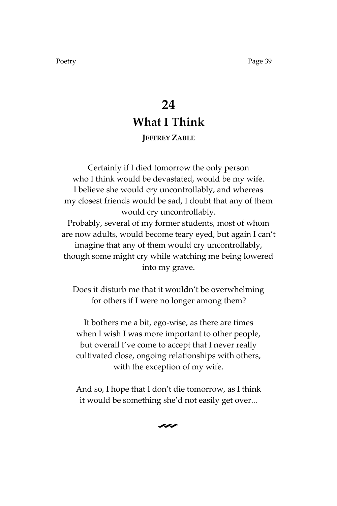## **24 What I Think JEFFREY ZABLE**

Certainly if I died tomorrow the only person who I think would be devastated, would be my wife. I believe she would cry uncontrollably, and whereas my closest friends would be sad, I doubt that any of them would cry uncontrollably. Probably, several of my former students, most of whom are now adults, would become teary eyed, but again I can't imagine that any of them would cry uncontrollably, though some might cry while watching me being lowered into my grave.

Does it disturb me that it wouldn't be overwhelming for others if I were no longer among them?

It bothers me a bit, ego-wise, as there are times when I wish I was more important to other people, but overall I've come to accept that I never really cultivated close, ongoing relationships with others, with the exception of my wife.

And so, I hope that I don't die tomorrow, as I think it would be something she'd not easily get over...

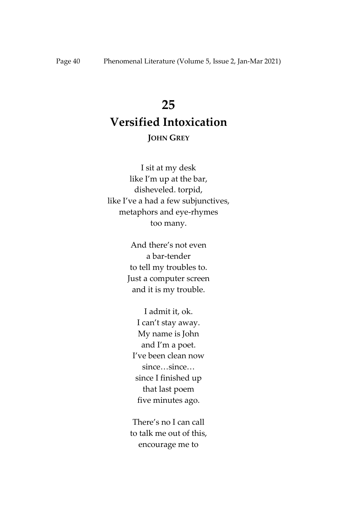# **25 Versified Intoxication**

# **JOHN GREY**

I sit at my desk like I'm up at the bar, disheveled. torpid, like I've a had a few subjunctives, metaphors and eye-rhymes too many.

> And there's not even a bar-tender to tell my troubles to. Just a computer screen and it is my trouble.

I admit it, ok. I can't stay away. My name is John and I'm a poet. I've been clean now since…since… since I finished up that last poem five minutes ago.

There's no I can call to talk me out of this, encourage me to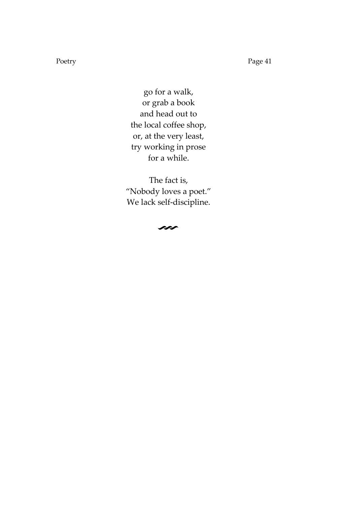Poetry Page 41

go for a walk, or grab a book and head out to the local coffee shop, or, at the very least, try working in prose for a while.

The fact is, 'Nobody loves a poet.' We lack self-discipline.

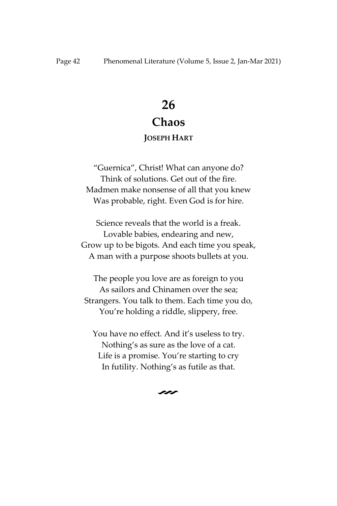## **Chaos**

### **JOSEPH HART**

'Guernica', Christ! What can anyone do? Think of solutions. Get out of the fire. Madmen make nonsense of all that you knew Was probable, right. Even God is for hire.

Science reveals that the world is a freak. Lovable babies, endearing and new, Grow up to be bigots. And each time you speak, A man with a purpose shoots bullets at you.

The people you love are as foreign to you As sailors and Chinamen over the sea; Strangers. You talk to them. Each time you do, You're holding a riddle, slippery, free.

You have no effect. And it's useless to try. Nothing's as sure as the love of a cat. Life is a promise. You're starting to cry In futility. Nothing's as futile as that.

 $\sim$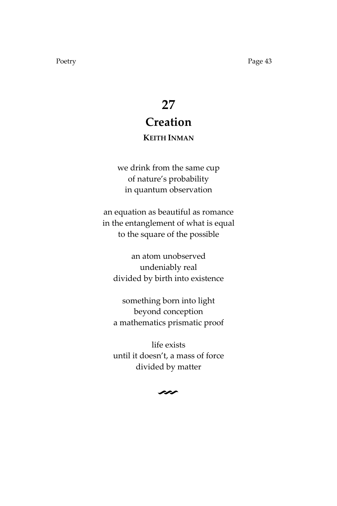# **27 Creation**

### **KEITH INMAN**

we drink from the same cup of nature's probability in quantum observation

an equation as beautiful as romance in the entanglement of what is equal to the square of the possible

an atom unobserved undeniably real divided by birth into existence

something born into light beyond conception a mathematics prismatic proof

life exists until it doesn't, a mass of force divided by matter

 $\sim$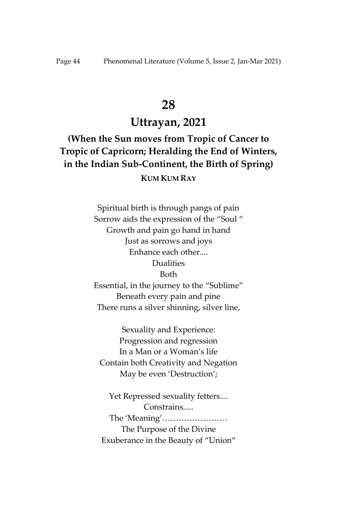### **Uttrayan, 2021**

**(When the Sun moves from Tropic of Cancer to Tropic of Capricorn; Heralding the End of Winters, in the Indian Sub-Continent, the Birth of Spring) KUM KUM RAY**

> Spiritual birth is through pangs of pain Sorrow aids the expression of the "Soul " Growth and pain go hand in hand Just as sorrows and joys Enhance each other.... Dualities Both Essential, in the journey to the 'Sublime' Beneath every pain and pine There runs a silver shinning, silver line,

Sexuality and Experience: Progression and regression In a Man or a Woman's life Contain both Creativity and Negation May be even 'Destruction';

Yet Repressed sexuality fetters.... Constrains..... The 'Meaning'…………………… The Purpose of the Divine Exuberance in the Beauty of 'Union'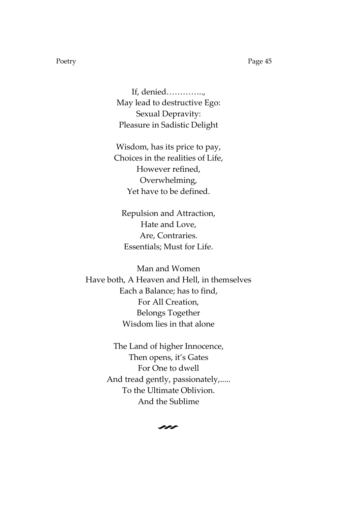If, denied………….., May lead to destructive Ego: Sexual Depravity: Pleasure in Sadistic Delight

Wisdom, has its price to pay, Choices in the realities of Life, However refined, Overwhelming, Yet have to be defined.

Repulsion and Attraction, Hate and Love, Are, Contraries. Essentials; Must for Life.

Man and Women Have both, A Heaven and Hell, in themselves Each a Balance; has to find, For All Creation, Belongs Together Wisdom lies in that alone

> The Land of higher Innocence, Then opens, it's Gates For One to dwell And tread gently, passionately,..... To the Ultimate Oblivion. And the Sublime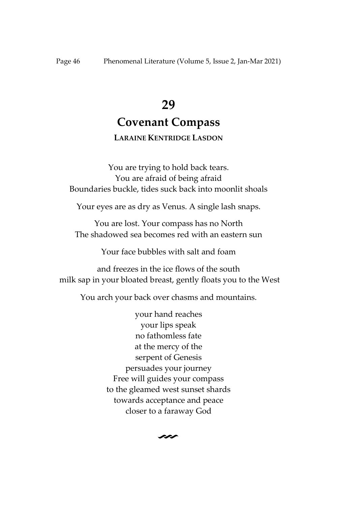### **Covenant Compass**

### **LARAINE KENTRIDGE LASDON**

You are trying to hold back tears. You are afraid of being afraid Boundaries buckle, tides suck back into moonlit shoals

Your eyes are as dry as Venus. A single lash snaps.

You are lost. Your compass has no North The shadowed sea becomes red with an eastern sun

Your face bubbles with salt and foam

and freezes in the ice flows of the south milk sap in your bloated breast, gently floats you to the West

You arch your back over chasms and mountains.

your hand reaches your lips speak no fathomless fate at the mercy of the serpent of Genesis persuades your journey Free will guides your compass to the gleamed west sunset shards towards acceptance and peace closer to a faraway God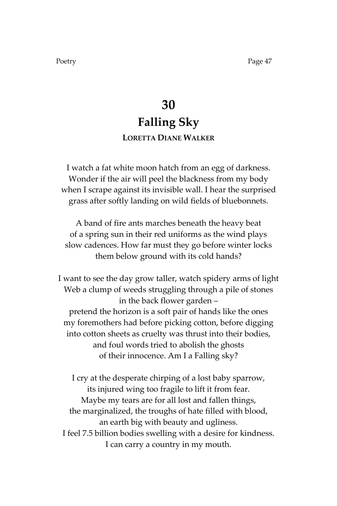## **30 Falling Sky LORETTA DIANE WALKER**

I watch a fat white moon hatch from an egg of darkness. Wonder if the air will peel the blackness from my body when I scrape against its invisible wall. I hear the surprised grass after softly landing on wild fields of bluebonnets.

A band of fire ants marches beneath the heavy beat of a spring sun in their red uniforms as the wind plays slow cadences. How far must they go before winter locks them below ground with its cold hands?

I want to see the day grow taller, watch spidery arms of light Web a clump of weeds struggling through a pile of stones in the back flower garden – pretend the horizon is a soft pair of hands like the ones my foremothers had before picking cotton, before digging into cotton sheets as cruelty was thrust into their bodies, and foul words tried to abolish the ghosts of their innocence. Am I a Falling sky?

I cry at the desperate chirping of a lost baby sparrow, its injured wing too fragile to lift it from fear. Maybe my tears are for all lost and fallen things, the marginalized, the troughs of hate filled with blood, an earth big with beauty and ugliness. I feel 7.5 billion bodies swelling with a desire for kindness. I can carry a country in my mouth.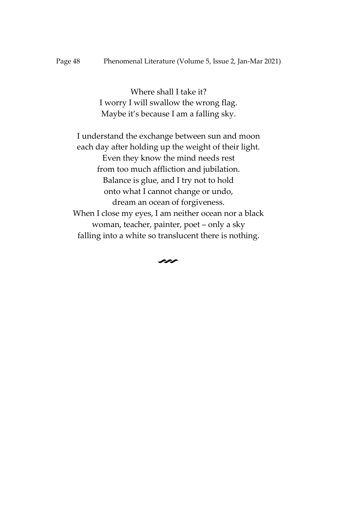Where shall I take it? I worry I will swallow the wrong flag. Maybe it's because I am a falling sky.

I understand the exchange between sun and moon each day after holding up the weight of their light. Even they know the mind needs rest from too much affliction and jubilation. Balance is glue, and I try not to hold onto what I cannot change or undo, dream an ocean of forgiveness. When I close my eyes, I am neither ocean nor a black woman, teacher, painter, poet – only a sky falling into a white so translucent there is nothing.

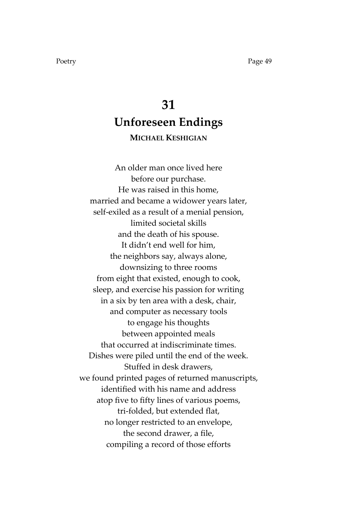# **31 Unforeseen Endings**

### **MICHAEL KESHIGIAN**

An older man once lived here before our purchase. He was raised in this home, married and became a widower years later, self-exiled as a result of a menial pension, limited societal skills and the death of his spouse. It didn't end well for him, the neighbors say, always alone, downsizing to three rooms from eight that existed, enough to cook, sleep, and exercise his passion for writing in a six by ten area with a desk, chair, and computer as necessary tools to engage his thoughts between appointed meals that occurred at indiscriminate times. Dishes were piled until the end of the week. Stuffed in desk drawers, we found printed pages of returned manuscripts, identified with his name and address atop five to fifty lines of various poems, tri-folded, but extended flat, no longer restricted to an envelope, the second drawer, a file, compiling a record of those efforts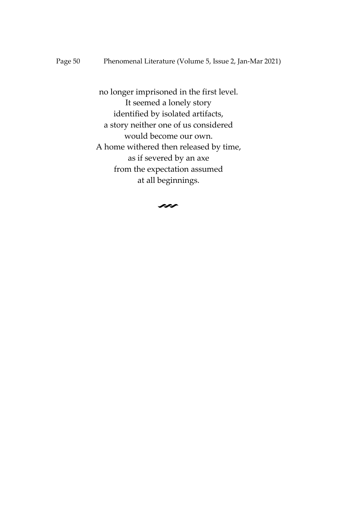no longer imprisoned in the first level. It seemed a lonely story identified by isolated artifacts, a story neither one of us considered would become our own. A home withered then released by time, as if severed by an axe from the expectation assumed at all beginnings.

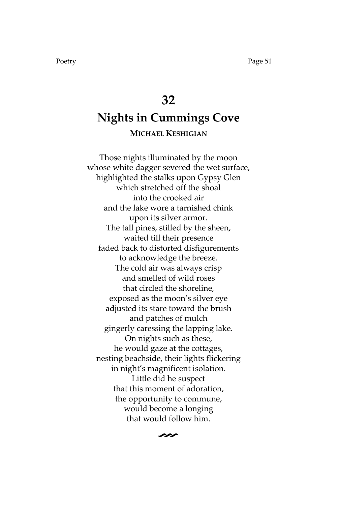# **32 Nights in Cummings Cove MICHAEL KESHIGIAN**

Those nights illuminated by the moon whose white dagger severed the wet surface, highlighted the stalks upon Gypsy Glen which stretched off the shoal into the crooked air and the lake wore a tarnished chink upon its silver armor. The tall pines, stilled by the sheen, waited till their presence faded back to distorted disfigurements to acknowledge the breeze. The cold air was always crisp and smelled of wild roses that circled the shoreline, exposed as the moon's silver eye adjusted its stare toward the brush and patches of mulch gingerly caressing the lapping lake. On nights such as these, he would gaze at the cottages, nesting beachside, their lights flickering in night's magnificent isolation. Little did he suspect that this moment of adoration, the opportunity to commune, would become a longing that would follow him.

V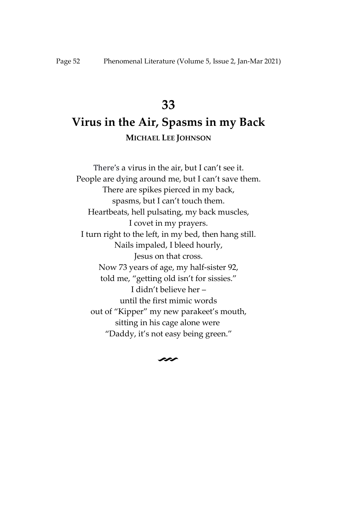## **Virus in the Air, Spasms in my Back MICHAEL LEE JOHNSON**

There's a virus in the air, but I can't see it. People are dying around me, but I can't save them. There are spikes pierced in my back, spasms, but I can't touch them. Heartbeats, hell pulsating, my back muscles, I covet in my prayers. I turn right to the left, in my bed, then hang still. Nails impaled, I bleed hourly, Jesus on that cross. Now 73 years of age, my half-sister 92, told me, 'getting old isn't for sissies.' I didn't believe her – until the first mimic words out of 'Kipper' my new parakeet's mouth, sitting in his cage alone were 'Daddy, it's not easy being green.'

 $\sim$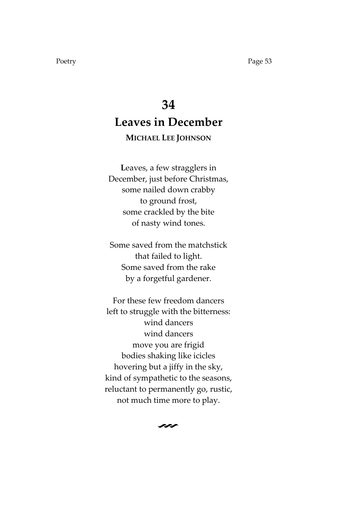# **34 Leaves in December**

### **MICHAEL LEE JOHNSON**

**L**eaves, a few stragglers in December, just before Christmas, some nailed down crabby to ground frost, some crackled by the bite of nasty wind tones.

Some saved from the matchstick that failed to light. Some saved from the rake by a forgetful gardener.

For these few freedom dancers left to struggle with the bitterness: wind dancers wind dancers move you are frigid bodies shaking like icicles hovering but a jiffy in the sky, kind of sympathetic to the seasons, reluctant to permanently go, rustic, not much time more to play.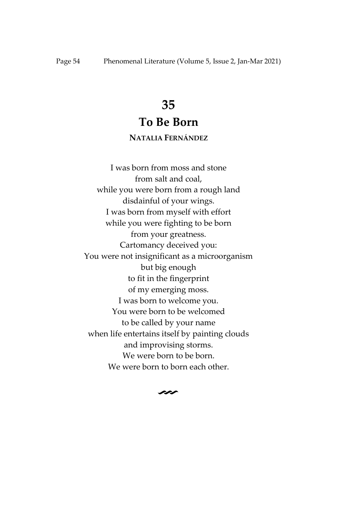### **To Be Born**

### **NATALIA FERNÁNDEZ**

I was born from moss and stone from salt and coal, while you were born from a rough land disdainful of your wings. I was born from myself with effort while you were fighting to be born from your greatness. Cartomancy deceived you: You were not insignificant as a microorganism but big enough to fit in the fingerprint of my emerging moss. I was born to welcome you. You were born to be welcomed to be called by your name when life entertains itself by painting clouds and improvising storms. We were born to be born. We were born to born each other.

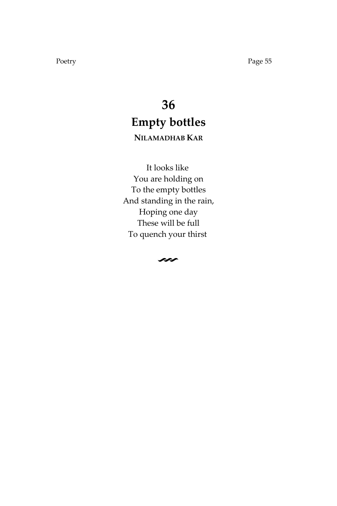# **36 Empty bottles NILAMADHAB KAR**

It looks like You are holding on To the empty bottles And standing in the rain, Hoping one day These will be full To quench your thirst

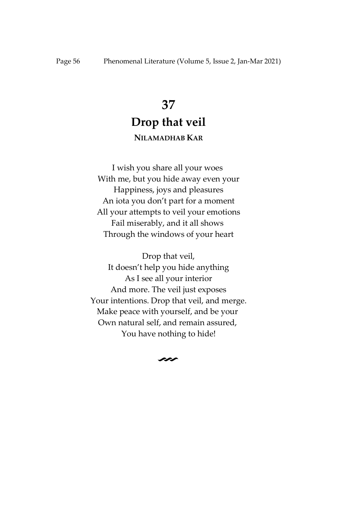## **37 Drop that veil NILAMADHAB KAR**

I wish you share all your woes With me, but you hide away even your Happiness, joys and pleasures An iota you don't part for a moment All your attempts to veil your emotions Fail miserably, and it all shows Through the windows of your heart

Drop that veil, It doesn't help you hide anything As I see all your interior And more. The veil just exposes Your intentions. Drop that veil, and merge. Make peace with yourself, and be your Own natural self, and remain assured, You have nothing to hide!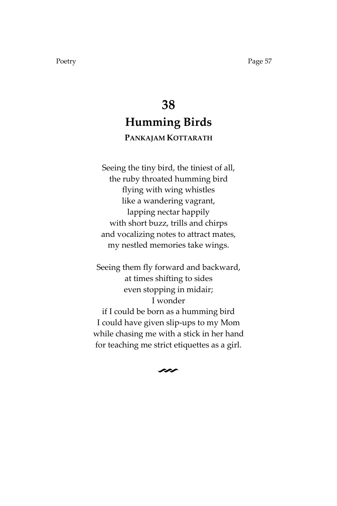# **38 Humming Birds**

### **PANKAJAM KOTTARATH**

Seeing the tiny bird, the tiniest of all, the ruby throated humming bird flying with wing whistles like a wandering vagrant, lapping nectar happily with short buzz, trills and chirps and vocalizing notes to attract mates, my nestled memories take wings.

Seeing them fly forward and backward, at times shifting to sides even stopping in midair; I wonder if I could be born as a humming bird I could have given slip-ups to my Mom while chasing me with a stick in her hand for teaching me strict etiquettes as a girl.

V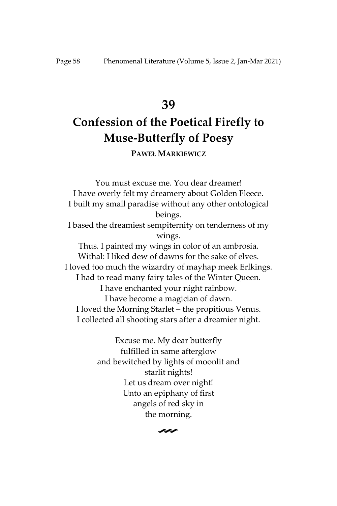# **Confession of the Poetical Firefly to Muse-Butterfly of Poesy**

**PAWEŁ MARKIEWICZ**

You must excuse me. You dear dreamer! I have overly felt my dreamery about Golden Fleece. I built my small paradise without any other ontological beings. I based the dreamiest sempiternity on tenderness of my wings. Thus. I painted my wings in color of an ambrosia. Withal: I liked dew of dawns for the sake of elves. I loved too much the wizardry of mayhap meek Erlkings. I had to read many fairy tales of the Winter Queen. I have enchanted your night rainbow. I have become a magician of dawn. I loved the Morning Starlet – the propitious Venus. I collected all shooting stars after a dreamier night.

> Excuse me. My dear butterfly fulfilled in same afterglow and bewitched by lights of moonlit and starlit nights! Let us dream over night! Unto an epiphany of first angels of red sky in the morning.

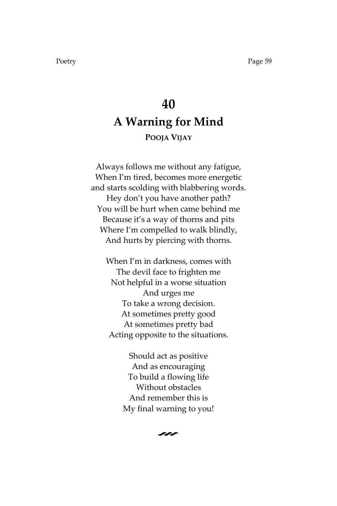# **40 A Warning for Mind POOJA VIJAY**

Always follows me without any fatigue, When I'm tired, becomes more energetic and starts scolding with blabbering words. Hey don't you have another path? You will be hurt when came behind me Because it's a way of thorns and pits Where I'm compelled to walk blindly, And hurts by piercing with thorns.

When I'm in darkness, comes with The devil face to frighten me Not helpful in a worse situation And urges me To take a wrong decision. At sometimes pretty good At sometimes pretty bad Acting opposite to the situations.

> Should act as positive And as encouraging To build a flowing life Without obstacles And remember this is My final warning to you!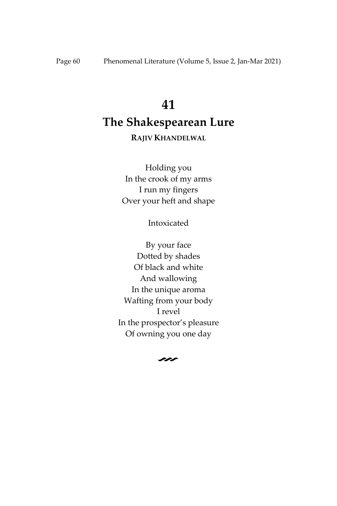# **The Shakespearean Lure**

### **RAJIV KHANDELWAL**

Holding you In the crook of my arms I run my fingers Over your heft and shape

Intoxicated

By your face Dotted by shades Of black and white And wallowing In the unique aroma Wafting from your body I revel In the prospector's pleasure Of owning you one day

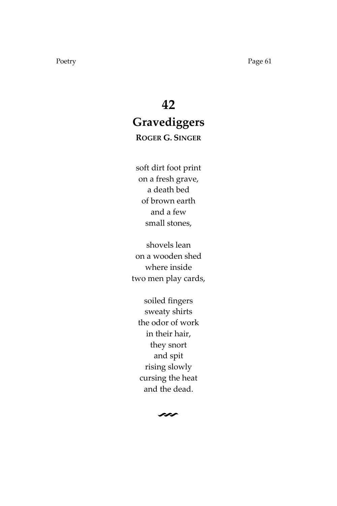# **42 Gravediggers**

**ROGER G. SINGER**

soft dirt foot print on a fresh grave, a death bed of brown earth and a few small stones,

shovels lean on a wooden shed where inside two men play cards,

soiled fingers sweaty shirts the odor of work in their hair, they snort and spit rising slowly cursing the heat and the dead.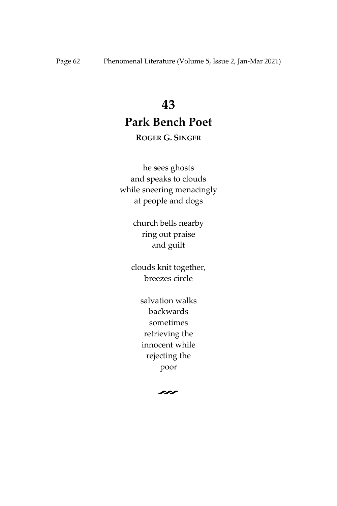## **Park Bench Poet**

### **ROGER G. SINGER**

he sees ghosts and speaks to clouds while sneering menacingly at people and dogs

> church bells nearby ring out praise and guilt

clouds knit together, breezes circle

> salvation walks backwards sometimes retrieving the innocent while rejecting the poor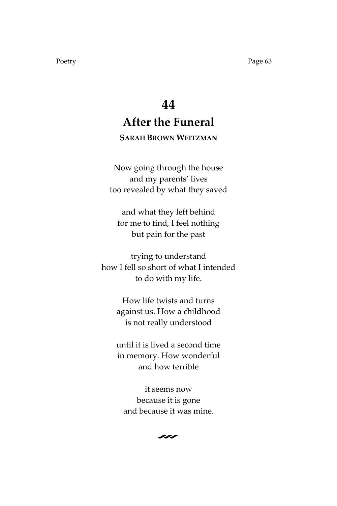# **44 After the Funeral**

### **SARAH BROWN WEITZMAN**

Now going through the house and my parents' lives too revealed by what they saved

and what they left behind for me to find, I feel nothing but pain for the past

trying to understand how I fell so short of what I intended to do with my life.

> How life twists and turns against us. How a childhood is not really understood

> until it is lived a second time in memory. How wonderful and how terrible

it seems now because it is gone and because it was mine.

 $\sim$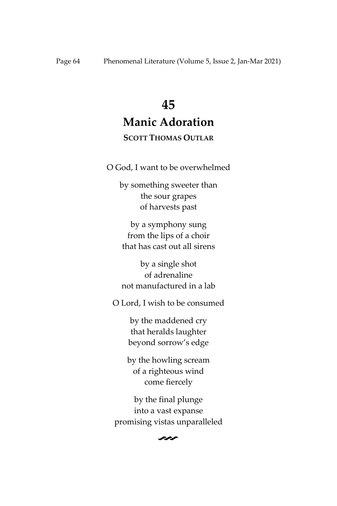# **45 Manic Adoration**

### **SCOTT THOMAS OUTLAR**

O God, I want to be overwhelmed

by something sweeter than the sour grapes of harvests past

by a symphony sung from the lips of a choir that has cast out all sirens

by a single shot of adrenaline not manufactured in a lab

O Lord, I wish to be consumed

by the maddened cry that heralds laughter beyond sorrow's edge

by the howling scream of a righteous wind come fiercely

by the final plunge into a vast expanse promising vistas unparalleled

V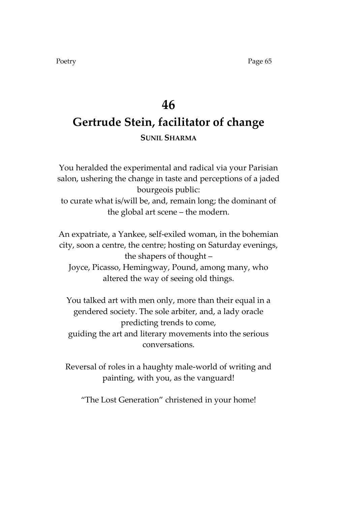# **46 Gertrude Stein, facilitator of change SUNIL SHARMA**

You heralded the experimental and radical via your Parisian salon, ushering the change in taste and perceptions of a jaded bourgeois public: to curate what is/will be, and, remain long; the dominant of the global art scene – the modern.

An expatriate, a Yankee, self-exiled woman, in the bohemian city, soon a centre, the centre; hosting on Saturday evenings, the shapers of thought – Joyce, Picasso, Hemingway, Pound, among many, who

You talked art with men only, more than their equal in a gendered society. The sole arbiter, and, a lady oracle predicting trends to come,

altered the way of seeing old things.

guiding the art and literary movements into the serious conversations.

Reversal of roles in a haughty male-world of writing and painting, with you, as the vanguard!

'The Lost Generation' christened in your home!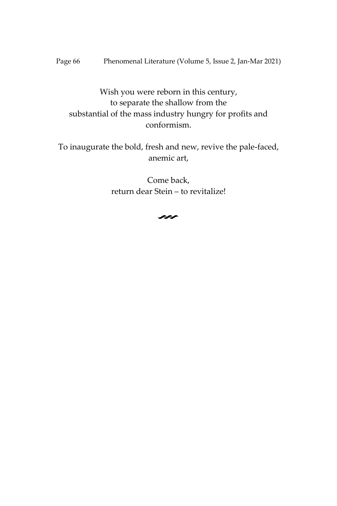Page 66 Phenomenal Literature (Volume 5, Issue 2, Jan-Mar 2021)

Wish you were reborn in this century, to separate the shallow from the substantial of the mass industry hungry for profits and conformism.

To inaugurate the bold, fresh and new, revive the pale-faced, anemic art,

> Come back, return dear Stein – to revitalize!

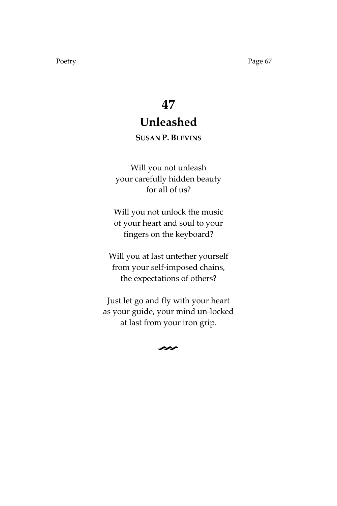# **47 Unleashed**

### **SUSAN P. BLEVINS**

Will you not unleash your carefully hidden beauty for all of us?

Will you not unlock the music of your heart and soul to your fingers on the keyboard?

Will you at last untether yourself from your self-imposed chains, the expectations of others?

Just let go and fly with your heart as your guide, your mind un-locked at last from your iron grip.

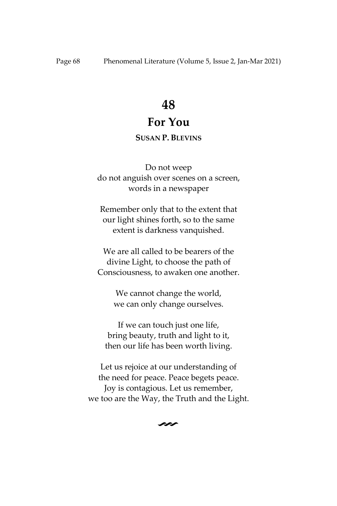### **For You**

### **SUSAN P. BLEVINS**

Do not weep do not anguish over scenes on a screen, words in a newspaper

Remember only that to the extent that our light shines forth, so to the same extent is darkness vanquished.

We are all called to be bearers of the divine Light, to choose the path of Consciousness, to awaken one another.

> We cannot change the world, we can only change ourselves.

If we can touch just one life, bring beauty, truth and light to it, then our life has been worth living.

Let us rejoice at our understanding of the need for peace. Peace begets peace. Joy is contagious. Let us remember, we too are the Way, the Truth and the Light.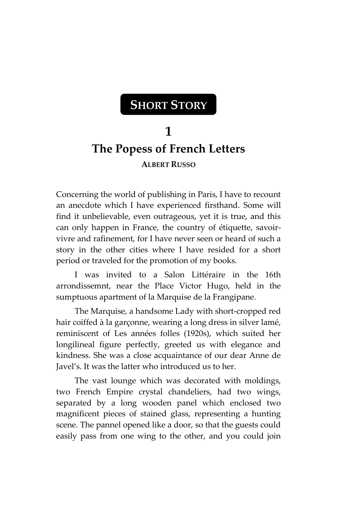# **SHORT STORY**

## **1 The Popess of French Letters ALBERT RUSSO**

Concerning the world of publishing in Paris, I have to recount an anecdote which I have experienced firsthand. Some will find it unbelievable, even outrageous, yet it is true, and this can only happen in France, the country of étiquette, savoirvivre and rafinement, for I have never seen or heard of such a story in the other cities where I have resided for a short period or traveled for the promotion of my books.

I was invited to a Salon Littéraire in the 16th arrondissemnt, near the Place Victor Hugo, held in the sumptuous apartment of la Marquise de la Frangipane.

The Marquise, a handsome Lady with short-cropped red hair coiffed à la garçonne, wearing a long dress in silver lamé, reminiscent of Les années folles (1920s), which suited her longilineal figure perfectly, greeted us with elegance and kindness. She was a close acquaintance of our dear Anne de Javel's. It was the latter who introduced us to her.

The vast lounge which was decorated with moldings, two French Empire crystal chandeliers, had two wings, separated by a long wooden panel which enclosed two magnificent pieces of stained glass, representing a hunting scene. The pannel opened like a door, so that the guests could easily pass from one wing to the other, and you could join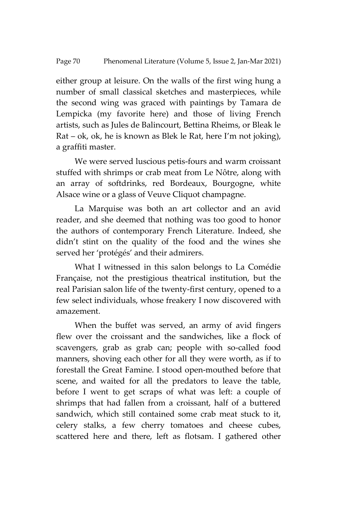either group at leisure. On the walls of the first wing hung a number of small classical sketches and masterpieces, while the second wing was graced with paintings by Tamara de Lempicka (my favorite here) and those of living French artists, such as Jules de Balincourt, Bettina Rheims, or Bleak le Rat – ok, ok, he is known as Blek le Rat, here I'm not joking), a graffiti master.

We were served luscious petis-fours and warm croissant stuffed with shrimps or crab meat from Le Nôtre, along with an array of softdrinks, red Bordeaux, Bourgogne, white Alsace wine or a glass of Veuve Cliquot champagne.

La Marquise was both an art collector and an avid reader, and she deemed that nothing was too good to honor the authors of contemporary French Literature. Indeed, she didn't stint on the quality of the food and the wines she served her 'protégés' and their admirers.

What I witnessed in this salon belongs to La Comédie Française, not the prestigious theatrical institution, but the real Parisian salon life of the twenty-first century, opened to a few select individuals, whose freakery I now discovered with amazement.

When the buffet was served, an army of avid fingers flew over the croissant and the sandwiches, like a flock of scavengers, grab as grab can; people with so-called food manners, shoving each other for all they were worth, as if to forestall the Great Famine. I stood open-mouthed before that scene, and waited for all the predators to leave the table, before I went to get scraps of what was left: a couple of shrimps that had fallen from a croissant, half of a buttered sandwich, which still contained some crab meat stuck to it, celery stalks, a few cherry tomatoes and cheese cubes, scattered here and there, left as flotsam. I gathered other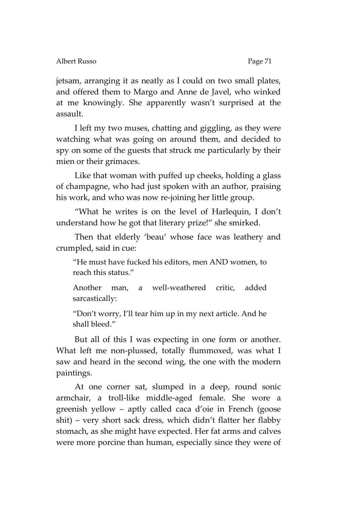jetsam, arranging it as neatly as I could on two small plates, and offered them to Margo and Anne de Javel, who winked at me knowingly. She apparently wasn't surprised at the assault.

I left my two muses, chatting and giggling, as they were watching what was going on around them, and decided to spy on some of the guests that struck me particularly by their mien or their grimaces.

Like that woman with puffed up cheeks, holding a glass of champagne, who had just spoken with an author, praising his work, and who was now re-joining her little group.

'What he writes is on the level of Harlequin, I don't understand how he got that literary prize!' she smirked.

Then that elderly 'beau' whose face was leathery and crumpled, said in cue:

'He must have fucked his editors, men AND women, to reach this status.'

Another man, a well-weathered critic, added sarcastically:

'Don't worry, I'll tear him up in my next article. And he shall bleed.'

But all of this I was expecting in one form or another. What left me non-plussed, totally flummoxed, was what I saw and heard in the second wing, the one with the modern paintings.

At one corner sat, slumped in a deep, round sonic armchair, a troll-like middle-aged female. She wore a greenish yellow – aptly called caca d'oie in French (goose shit) – very short sack dress, which didn't flatter her flabby stomach, as she might have expected. Her fat arms and calves were more porcine than human, especially since they were of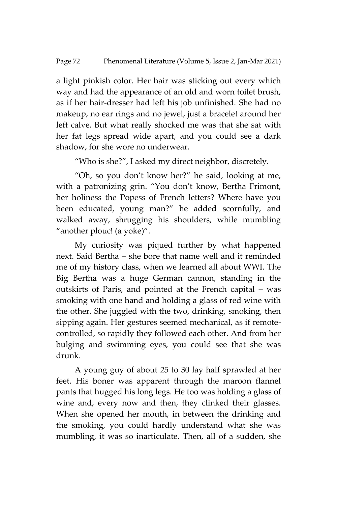a light pinkish color. Her hair was sticking out every which way and had the appearance of an old and worn toilet brush, as if her hair-dresser had left his job unfinished. She had no makeup, no ear rings and no jewel, just a bracelet around her left calve. But what really shocked me was that she sat with her fat legs spread wide apart, and you could see a dark shadow, for she wore no underwear.

'Who is she?', I asked my direct neighbor, discretely.

'Oh, so you don't know her?' he said, looking at me, with a patronizing grin. 'You don't know, Bertha Frimont, her holiness the Popess of French letters? Where have you been educated, young man?' he added scornfully, and walked away, shrugging his shoulders, while mumbling "another plouc! (a yoke)".

My curiosity was piqued further by what happened next. Said Bertha – she bore that name well and it reminded me of my history class, when we learned all about WWI. The Big Bertha was a huge German cannon, standing in the outskirts of Paris, and pointed at the French capital – was smoking with one hand and holding a glass of red wine with the other. She juggled with the two, drinking, smoking, then sipping again. Her gestures seemed mechanical, as if remotecontrolled, so rapidly they followed each other. And from her bulging and swimming eyes, you could see that she was drunk.

A young guy of about 25 to 30 lay half sprawled at her feet. His boner was apparent through the maroon flannel pants that hugged his long legs. He too was holding a glass of wine and, every now and then, they clinked their glasses. When she opened her mouth, in between the drinking and the smoking, you could hardly understand what she was mumbling, it was so inarticulate. Then, all of a sudden, she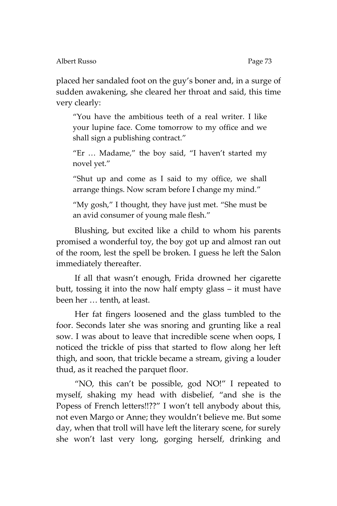placed her sandaled foot on the guy's boner and, in a surge of sudden awakening, she cleared her throat and said, this time very clearly:

'You have the ambitious teeth of a real writer. I like your lupine face. Come tomorrow to my office and we shall sign a publishing contract.'

'Er … Madame,' the boy said, 'I haven't started my novel yet.'

'Shut up and come as I said to my office, we shall arrange things. Now scram before I change my mind.'

'My gosh,' I thought, they have just met. 'She must be an avid consumer of young male flesh.'

Blushing, but excited like a child to whom his parents promised a wonderful toy, the boy got up and almost ran out of the room, lest the spell be broken. I guess he left the Salon immediately thereafter.

If all that wasn't enough, Frida drowned her cigarette butt, tossing it into the now half empty glass – it must have been her … tenth, at least.

Her fat fingers loosened and the glass tumbled to the foor. Seconds later she was snoring and grunting like a real sow. I was about to leave that incredible scene when oops, I noticed the trickle of piss that started to flow along her left thigh, and soon, that trickle became a stream, giving a louder thud, as it reached the parquet floor.

'NO, this can't be possible, god NO!' I repeated to myself, shaking my head with disbelief, 'and she is the Popess of French letters!!??" I won't tell anybody about this, not even Margo or Anne; they wouldn't believe me. But some day, when that troll will have left the literary scene, for surely she won't last very long, gorging herself, drinking and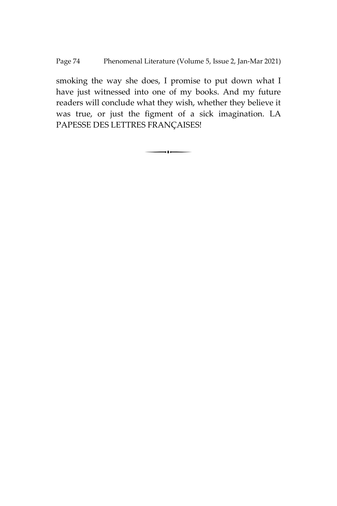smoking the way she does, I promise to put down what I have just witnessed into one of my books. And my future readers will conclude what they wish, whether they believe it was true, or just the figment of a sick imagination. LA PAPESSE DES LETTRES FRANÇAISES!

 $\overline{\phantom{a}}$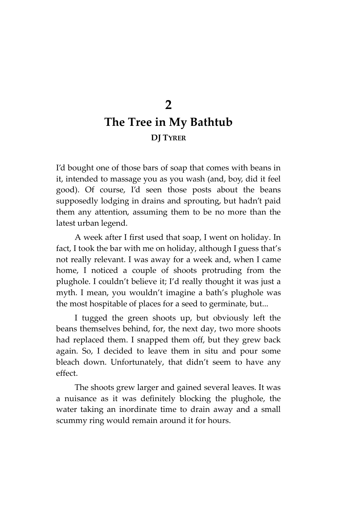# **2 The Tree in My Bathtub DJ TYRER**

I'd bought one of those bars of soap that comes with beans in it, intended to massage you as you wash (and, boy, did it feel good). Of course, I'd seen those posts about the beans supposedly lodging in drains and sprouting, but hadn't paid them any attention, assuming them to be no more than the latest urban legend.

A week after I first used that soap, I went on holiday. In fact, I took the bar with me on holiday, although I guess that's not really relevant. I was away for a week and, when I came home, I noticed a couple of shoots protruding from the plughole. I couldn't believe it; I'd really thought it was just a myth. I mean, you wouldn't imagine a bath's plughole was the most hospitable of places for a seed to germinate, but...

I tugged the green shoots up, but obviously left the beans themselves behind, for, the next day, two more shoots had replaced them. I snapped them off, but they grew back again. So, I decided to leave them in situ and pour some bleach down. Unfortunately, that didn't seem to have any effect.

The shoots grew larger and gained several leaves. It was a nuisance as it was definitely blocking the plughole, the water taking an inordinate time to drain away and a small scummy ring would remain around it for hours.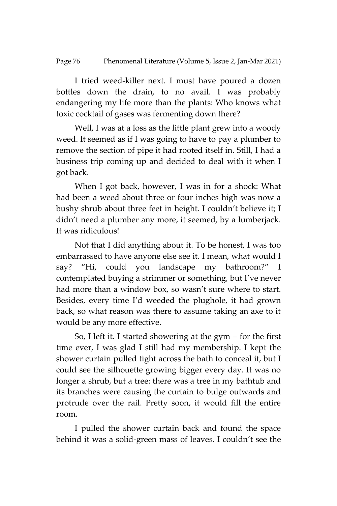I tried weed-killer next. I must have poured a dozen bottles down the drain, to no avail. I was probably endangering my life more than the plants: Who knows what toxic cocktail of gases was fermenting down there?

Well, I was at a loss as the little plant grew into a woody weed. It seemed as if I was going to have to pay a plumber to remove the section of pipe it had rooted itself in. Still, I had a business trip coming up and decided to deal with it when I got back.

When I got back, however, I was in for a shock: What had been a weed about three or four inches high was now a bushy shrub about three feet in height. I couldn't believe it; I didn't need a plumber any more, it seemed, by a lumberjack. It was ridiculous!

Not that I did anything about it. To be honest, I was too embarrassed to have anyone else see it. I mean, what would I say? 'Hi, could you landscape my bathroom?' I contemplated buying a strimmer or something, but I've never had more than a window box, so wasn't sure where to start. Besides, every time I'd weeded the plughole, it had grown back, so what reason was there to assume taking an axe to it would be any more effective.

So, I left it. I started showering at the gym – for the first time ever, I was glad I still had my membership. I kept the shower curtain pulled tight across the bath to conceal it, but I could see the silhouette growing bigger every day. It was no longer a shrub, but a tree: there was a tree in my bathtub and its branches were causing the curtain to bulge outwards and protrude over the rail. Pretty soon, it would fill the entire room.

I pulled the shower curtain back and found the space behind it was a solid-green mass of leaves. I couldn't see the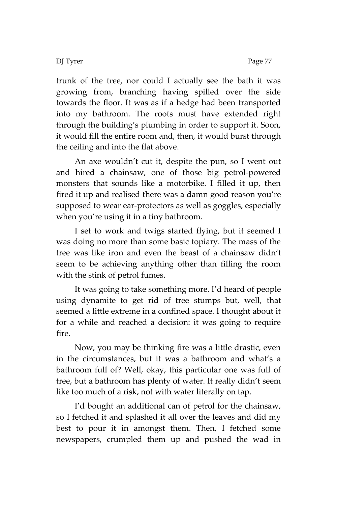DJ Tyrer Page 77

trunk of the tree, nor could I actually see the bath it was growing from, branching having spilled over the side towards the floor. It was as if a hedge had been transported into my bathroom. The roots must have extended right through the building's plumbing in order to support it. Soon, it would fill the entire room and, then, it would burst through the ceiling and into the flat above.

An axe wouldn't cut it, despite the pun, so I went out and hired a chainsaw, one of those big petrol-powered monsters that sounds like a motorbike. I filled it up, then fired it up and realised there was a damn good reason you're supposed to wear ear-protectors as well as goggles, especially when you're using it in a tiny bathroom.

I set to work and twigs started flying, but it seemed I was doing no more than some basic topiary. The mass of the tree was like iron and even the beast of a chainsaw didn't seem to be achieving anything other than filling the room with the stink of petrol fumes.

It was going to take something more. I'd heard of people using dynamite to get rid of tree stumps but, well, that seemed a little extreme in a confined space. I thought about it for a while and reached a decision: it was going to require fire.

Now, you may be thinking fire was a little drastic, even in the circumstances, but it was a bathroom and what's a bathroom full of? Well, okay, this particular one was full of tree, but a bathroom has plenty of water. It really didn't seem like too much of a risk, not with water literally on tap.

I'd bought an additional can of petrol for the chainsaw, so I fetched it and splashed it all over the leaves and did my best to pour it in amongst them. Then, I fetched some newspapers, crumpled them up and pushed the wad in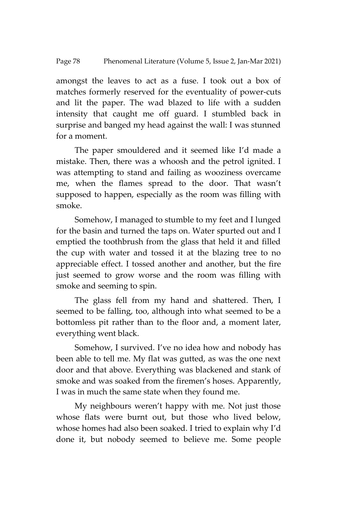amongst the leaves to act as a fuse. I took out a box of matches formerly reserved for the eventuality of power-cuts and lit the paper. The wad blazed to life with a sudden intensity that caught me off guard. I stumbled back in surprise and banged my head against the wall: I was stunned for a moment.

The paper smouldered and it seemed like I'd made a mistake. Then, there was a whoosh and the petrol ignited. I was attempting to stand and failing as wooziness overcame me, when the flames spread to the door. That wasn't supposed to happen, especially as the room was filling with smoke.

Somehow, I managed to stumble to my feet and I lunged for the basin and turned the taps on. Water spurted out and I emptied the toothbrush from the glass that held it and filled the cup with water and tossed it at the blazing tree to no appreciable effect. I tossed another and another, but the fire just seemed to grow worse and the room was filling with smoke and seeming to spin.

The glass fell from my hand and shattered. Then, I seemed to be falling, too, although into what seemed to be a bottomless pit rather than to the floor and, a moment later, everything went black.

Somehow, I survived. I've no idea how and nobody has been able to tell me. My flat was gutted, as was the one next door and that above. Everything was blackened and stank of smoke and was soaked from the firemen's hoses. Apparently, I was in much the same state when they found me.

My neighbours weren't happy with me. Not just those whose flats were burnt out, but those who lived below, whose homes had also been soaked. I tried to explain why I'd done it, but nobody seemed to believe me. Some people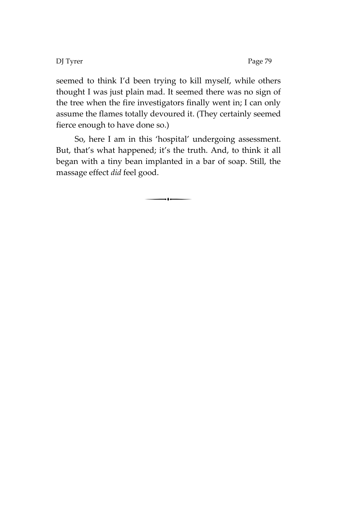DJ Tyrer Page 79

seemed to think I'd been trying to kill myself, while others thought I was just plain mad. It seemed there was no sign of the tree when the fire investigators finally went in; I can only assume the flames totally devoured it. (They certainly seemed fierce enough to have done so.)

So, here I am in this 'hospital' undergoing assessment. But, that's what happened; it's the truth. And, to think it all began with a tiny bean implanted in a bar of soap. Still, the massage effect *did* feel good.

 $\overline{\phantom{a}}$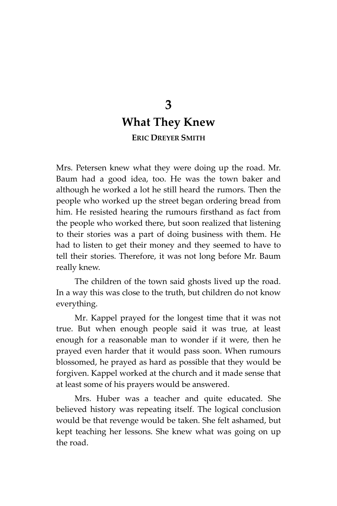## **3 What They Knew ERIC DREYER SMITH**

Mrs. Petersen knew what they were doing up the road. Mr. Baum had a good idea, too. He was the town baker and although he worked a lot he still heard the rumors. Then the people who worked up the street began ordering bread from him. He resisted hearing the rumours firsthand as fact from the people who worked there, but soon realized that listening to their stories was a part of doing business with them. He had to listen to get their money and they seemed to have to tell their stories. Therefore, it was not long before Mr. Baum really knew.

The children of the town said ghosts lived up the road. In a way this was close to the truth, but children do not know everything.

Mr. Kappel prayed for the longest time that it was not true. But when enough people said it was true, at least enough for a reasonable man to wonder if it were, then he prayed even harder that it would pass soon. When rumours blossomed, he prayed as hard as possible that they would be forgiven. Kappel worked at the church and it made sense that at least some of his prayers would be answered.

Mrs. Huber was a teacher and quite educated. She believed history was repeating itself. The logical conclusion would be that revenge would be taken. She felt ashamed, but kept teaching her lessons. She knew what was going on up the road.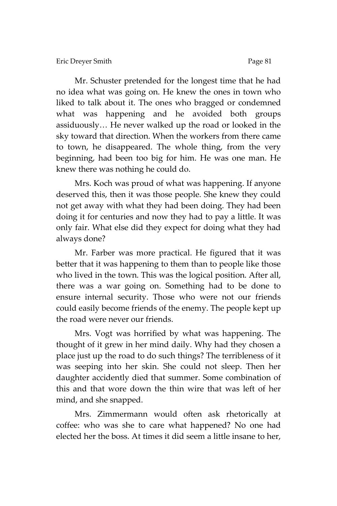Mr. Schuster pretended for the longest time that he had no idea what was going on. He knew the ones in town who liked to talk about it. The ones who bragged or condemned what was happening and he avoided both groups assiduously… He never walked up the road or looked in the sky toward that direction. When the workers from there came to town, he disappeared. The whole thing, from the very beginning, had been too big for him. He was one man. He knew there was nothing he could do.

Mrs. Koch was proud of what was happening. If anyone deserved this, then it was those people. She knew they could not get away with what they had been doing. They had been doing it for centuries and now they had to pay a little. It was only fair. What else did they expect for doing what they had always done?

Mr. Farber was more practical. He figured that it was better that it was happening to them than to people like those who lived in the town. This was the logical position. After all, there was a war going on. Something had to be done to ensure internal security. Those who were not our friends could easily become friends of the enemy. The people kept up the road were never our friends.

Mrs. Vogt was horrified by what was happening. The thought of it grew in her mind daily. Why had they chosen a place just up the road to do such things? The terribleness of it was seeping into her skin. She could not sleep. Then her daughter accidently died that summer. Some combination of this and that wore down the thin wire that was left of her mind, and she snapped.

Mrs. Zimmermann would often ask rhetorically at coffee: who was she to care what happened? No one had elected her the boss. At times it did seem a little insane to her,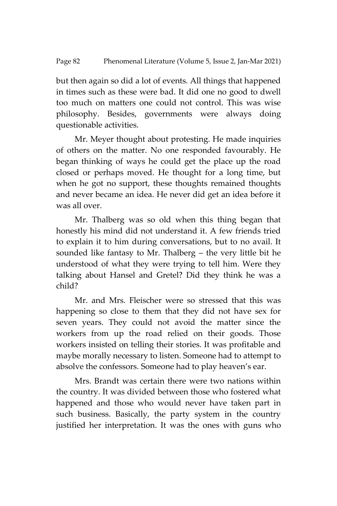but then again so did a lot of events. All things that happened in times such as these were bad. It did one no good to dwell too much on matters one could not control. This was wise philosophy. Besides, governments were always doing questionable activities.

Mr. Meyer thought about protesting. He made inquiries of others on the matter. No one responded favourably. He began thinking of ways he could get the place up the road closed or perhaps moved. He thought for a long time, but when he got no support, these thoughts remained thoughts and never became an idea. He never did get an idea before it was all over.

Mr. Thalberg was so old when this thing began that honestly his mind did not understand it. A few friends tried to explain it to him during conversations, but to no avail. It sounded like fantasy to Mr. Thalberg – the very little bit he understood of what they were trying to tell him. Were they talking about Hansel and Gretel? Did they think he was a child?

Mr. and Mrs. Fleischer were so stressed that this was happening so close to them that they did not have sex for seven years. They could not avoid the matter since the workers from up the road relied on their goods. Those workers insisted on telling their stories. It was profitable and maybe morally necessary to listen. Someone had to attempt to absolve the confessors. Someone had to play heaven's ear.

Mrs. Brandt was certain there were two nations within the country. It was divided between those who fostered what happened and those who would never have taken part in such business. Basically, the party system in the country justified her interpretation. It was the ones with guns who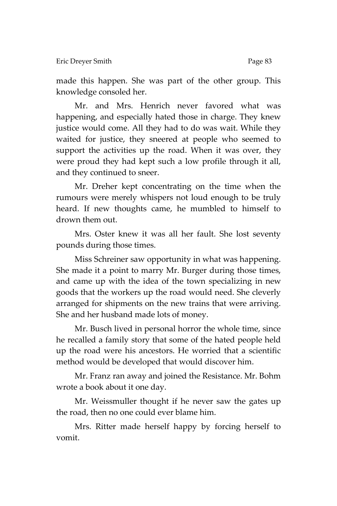made this happen. She was part of the other group. This knowledge consoled her.

Mr. and Mrs. Henrich never favored what was happening, and especially hated those in charge. They knew justice would come. All they had to do was wait. While they waited for justice, they sneered at people who seemed to support the activities up the road. When it was over, they were proud they had kept such a low profile through it all, and they continued to sneer.

Mr. Dreher kept concentrating on the time when the rumours were merely whispers not loud enough to be truly heard. If new thoughts came, he mumbled to himself to drown them out.

Mrs. Oster knew it was all her fault. She lost seventy pounds during those times.

Miss Schreiner saw opportunity in what was happening. She made it a point to marry Mr. Burger during those times, and came up with the idea of the town specializing in new goods that the workers up the road would need. She cleverly arranged for shipments on the new trains that were arriving. She and her husband made lots of money.

Mr. Busch lived in personal horror the whole time, since he recalled a family story that some of the hated people held up the road were his ancestors. He worried that a scientific method would be developed that would discover him.

Mr. Franz ran away and joined the Resistance. Mr. Bohm wrote a book about it one day.

Mr. Weissmuller thought if he never saw the gates up the road, then no one could ever blame him.

Mrs. Ritter made herself happy by forcing herself to vomit.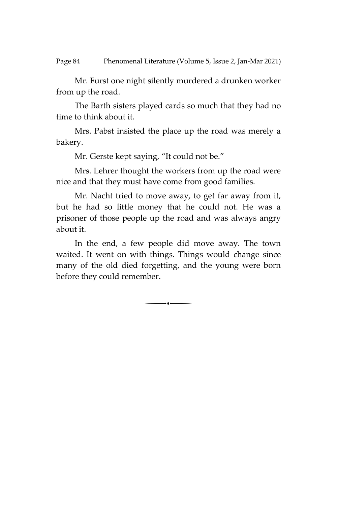Mr. Furst one night silently murdered a drunken worker from up the road.

The Barth sisters played cards so much that they had no time to think about it.

Mrs. Pabst insisted the place up the road was merely a bakery.

Mr. Gerste kept saying, "It could not be."

Mrs. Lehrer thought the workers from up the road were nice and that they must have come from good families.

Mr. Nacht tried to move away, to get far away from it, but he had so little money that he could not. He was a prisoner of those people up the road and was always angry about it.

In the end, a few people did move away. The town waited. It went on with things. Things would change since many of the old died forgetting, and the young were born before they could remember.

 $\overline{\phantom{a}}$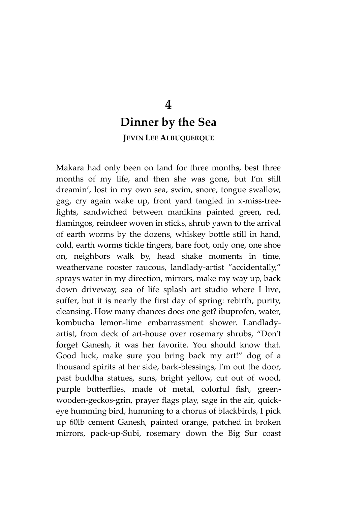## **4 Dinner by the Sea JEVIN LEE ALBUQUERQUE**

Makara had only been on land for three months, best three months of my life, and then she was gone, but I'm still dreamin', lost in my own sea, swim, snore, tongue swallow, gag, cry again wake up, front yard tangled in x-miss-treelights, sandwiched between manikins painted green, red, flamingos, reindeer woven in sticks, shrub yawn to the arrival of earth worms by the dozens, whiskey bottle still in hand, cold, earth worms tickle fingers, bare foot, only one, one shoe on, neighbors walk by, head shake moments in time, weathervane rooster raucous, landlady-artist "accidentally," sprays water in my direction, mirrors, make my way up, back down driveway, sea of life splash art studio where I live, suffer, but it is nearly the first day of spring: rebirth, purity, cleansing. How many chances does one get? ibuprofen, water, kombucha lemon-lime embarrassment shower. Landladyartist, from deck of art-house over rosemary shrubs, 'Don't forget Ganesh, it was her favorite. You should know that. Good luck, make sure you bring back my art!' dog of a thousand spirits at her side, bark-blessings, I'm out the door, past buddha statues, suns, bright yellow, cut out of wood, purple butterflies, made of metal, colorful fish, greenwooden-geckos-grin, prayer flags play, sage in the air, quickeye humming bird, humming to a chorus of blackbirds, I pick up 60lb cement Ganesh, painted orange, patched in broken mirrors, pack-up-Subi, rosemary down the Big Sur coast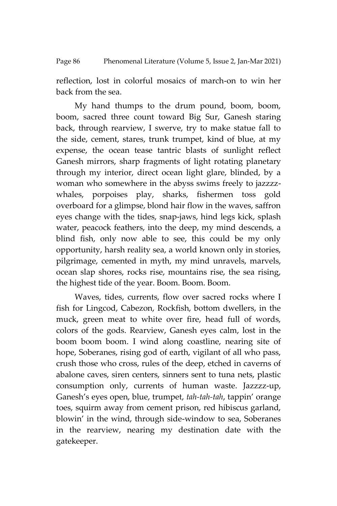### Page 86 Phenomenal Literature (Volume 5, Issue 2, Jan-Mar 2021)

reflection, lost in colorful mosaics of march-on to win her back from the sea.

My hand thumps to the drum pound, boom, boom, boom, sacred three count toward Big Sur, Ganesh staring back, through rearview, I swerve, try to make statue fall to the side, cement, stares, trunk trumpet, kind of blue, at my expense, the ocean tease tantric blasts of sunlight reflect Ganesh mirrors, sharp fragments of light rotating planetary through my interior, direct ocean light glare, blinded, by a woman who somewhere in the abyss swims freely to jazzzzwhales, porpoises play, sharks, fishermen toss gold overboard for a glimpse, blond hair flow in the waves, saffron eyes change with the tides, snap-jaws, hind legs kick, splash water, peacock feathers, into the deep, my mind descends, a blind fish, only now able to see, this could be my only opportunity, harsh reality sea, a world known only in stories, pilgrimage, cemented in myth, my mind unravels, marvels, ocean slap shores, rocks rise, mountains rise, the sea rising, the highest tide of the year. Boom. Boom. Boom.

Waves, tides, currents, flow over sacred rocks where I fish for Lingcod, Cabezon, Rockfish, bottom dwellers, in the muck, green meat to white over fire, head full of words, colors of the gods. Rearview, Ganesh eyes calm, lost in the boom boom boom. I wind along coastline, nearing site of hope, Soberanes, rising god of earth, vigilant of all who pass, crush those who cross, rules of the deep, etched in caverns of abalone caves, siren centers, sinners sent to tuna nets, plastic consumption only, currents of human waste. Jazzzz-up, Ganesh's eyes open, blue, trumpet, *tah-tah-tah*, tappin' orange toes, squirm away from cement prison, red hibiscus garland, blowin' in the wind, through side-window to sea, Soberanes in the rearview, nearing my destination date with the gatekeeper.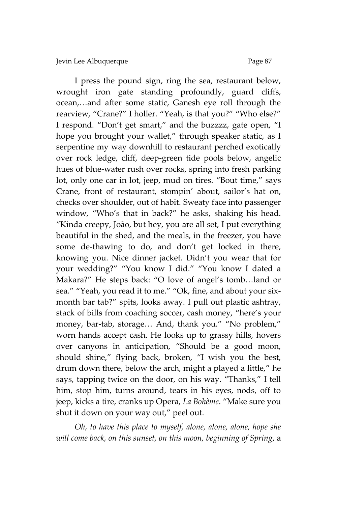I press the pound sign, ring the sea, restaurant below, wrought iron gate standing profoundly, guard cliffs, ocean,…and after some static, Ganesh eye roll through the rearview, "Crane?" I holler. "Yeah, is that you?" "Who else?" I respond. "Don't get smart," and the buzzzz, gate open, "I hope you brought your wallet," through speaker static, as I serpentine my way downhill to restaurant perched exotically over rock ledge, cliff, deep-green tide pools below, angelic hues of blue-water rush over rocks, spring into fresh parking lot, only one car in lot, jeep, mud on tires. "Bout time," says Crane, front of restaurant, stompin' about, sailor's hat on, checks over shoulder, out of habit. Sweaty face into passenger window, 'Who's that in back?' he asks, shaking his head. 'Kinda creepy, João, but hey, you are all set, I put everything beautiful in the shed, and the meals, in the freezer, you have some de-thawing to do, and don't get locked in there, knowing you. Nice dinner jacket. Didn't you wear that for your wedding?' 'You know I did.' 'You know I dated a Makara?' He steps back: 'O love of angel's tomb…land or sea." "Yeah, you read it to me." "Ok, fine, and about your sixmonth bar tab?" spits, looks away. I pull out plastic ashtray, stack of bills from coaching soccer, cash money, 'here's your money, bar-tab, storage… And, thank you.' 'No problem,' worn hands accept cash. He looks up to grassy hills, hovers over canyons in anticipation, 'Should be a good moon, should shine,' flying back, broken, 'I wish you the best, drum down there, below the arch, might a played a little,' he says, tapping twice on the door, on his way. 'Thanks,' I tell him, stop him, turns around, tears in his eyes, nods, off to jeep, kicks a tire, cranks up Opera, *La Bohème*. 'Make sure you shut it down on your way out,' peel out.

*Oh, to have this place to myself, alone, alone, alone, hope she will come back, on this sunset, on this moon, beginning of Spring*, a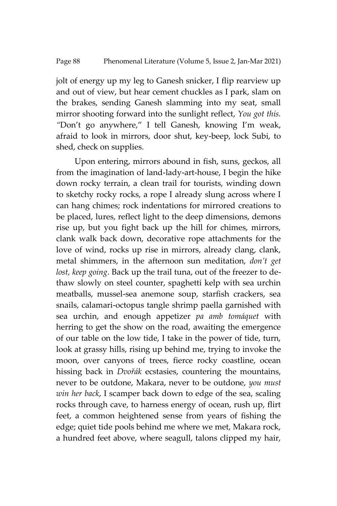jolt of energy up my leg to Ganesh snicker, I flip rearview up and out of view, but hear cement chuckles as I park, slam on the brakes, sending Ganesh slamming into my seat, small mirror shooting forward into the sunlight reflect, *You got this. "*Don't go anywhere,' I tell Ganesh, knowing I'm weak, afraid to look in mirrors, door shut, key-beep, lock Subi, to shed, check on supplies.

Upon entering, mirrors abound in fish, suns, geckos, all from the imagination of land-lady-art-house, I begin the hike down rocky terrain, a clean trail for tourists, winding down to sketchy rocky rocks, a rope I already slung across where I can hang chimes; rock indentations for mirrored creations to be placed, lures, reflect light to the deep dimensions, demons rise up, but you fight back up the hill for chimes, mirrors, clank walk back down, decorative rope attachments for the love of wind, rocks up rise in mirrors, already clang, clank, metal shimmers, in the afternoon sun meditation, *don't get lost, keep going*. Back up the trail tuna, out of the freezer to dethaw slowly on steel counter, spaghetti kelp with sea urchin meatballs, mussel-sea anemone soup, starfish crackers, sea snails, calamari-octopus tangle shrimp paella garnished with sea urchin, and enough appetizer *pa amb tomáquet* with herring to get the show on the road, awaiting the emergence of our table on the low tide, I take in the power of tide, turn, look at grassy hills, rising up behind me, trying to invoke the moon, over canyons of trees, fierce rocky coastline, ocean hissing back in *Dvořák* ecstasies, countering the mountains, never to be outdone, Makara, never to be outdone, *you must win her back*, I scamper back down to edge of the sea, scaling rocks through cave, to harness energy of ocean, rush up, flirt feet, a common heightened sense from years of fishing the edge; quiet tide pools behind me where we met, Makara rock, a hundred feet above, where seagull, talons clipped my hair,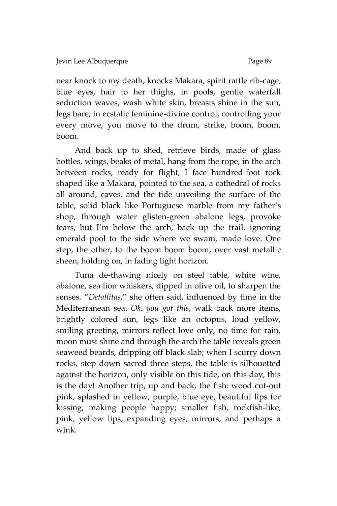near knock to my death, knocks Makara, spirit rattle rib-cage, blue eyes, hair to her thighs, in pools, gentle waterfall seduction waves, wash white skin, breasts shine in the sun, legs bare, in ecstatic feminine-divine control, controlling your every move, you move to the drum, strike, boom, boom, boom.

And back up to shed, retrieve birds, made of glass bottles, wings, beaks of metal, hang from the rope, in the arch between rocks, ready for flight, I face hundred-foot rock shaped like a Makara, pointed to the sea, a cathedral of rocks all around, caves, and the tide unveiling the surface of the table, solid black like Portuguese marble from my father's shop, through water glisten-green abalone legs, provoke tears, but I'm below the arch, back up the trail, ignoring emerald pool to the side where we swam, made love. One step, the other, to the boom boom boom, over vast metallic sheen, holding on, in fading light horizon.

Tuna de-thawing nicely on steel table, white wine, abalone, sea lion whiskers, dipped in olive oil, to sharpen the senses. "Detallitas," she often said, influenced by time in the Mediterranean sea. *Ok, you got this*, walk back more items, brightly colored sun, legs like an octopus, loud yellow, smiling greeting, mirrors reflect love only, no time for rain, moon must shine and through the arch the table reveals green seaweed beards, dripping off black slab; when I scurry down rocks, step down sacred three steps, the table is silhouetted against the horizon, only visible on this tide, on this day, this is the day! Another trip, up and back, the fish: wood cut-out pink, splashed in yellow, purple, blue eye, beautiful lips for kissing, making people happy; smaller fish, rockfish-like, pink, yellow lips, expanding eyes, mirrors, and perhaps a wink.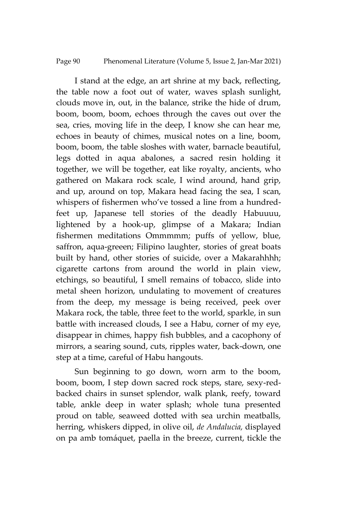Page 90 Phenomenal Literature (Volume 5, Issue 2, Jan-Mar 2021)

I stand at the edge, an art shrine at my back, reflecting, the table now a foot out of water, waves splash sunlight, clouds move in, out, in the balance, strike the hide of drum, boom, boom, boom, echoes through the caves out over the sea, cries, moving life in the deep, I know she can hear me, echoes in beauty of chimes, musical notes on a line, boom, boom, boom, the table sloshes with water, barnacle beautiful, legs dotted in aqua abalones, a sacred resin holding it together, we will be together, eat like royalty, ancients, who gathered on Makara rock scale, I wind around, hand grip, and up, around on top, Makara head facing the sea, I scan, whispers of fishermen who've tossed a line from a hundredfeet up, Japanese tell stories of the deadly Habuuuu, lightened by a hook-up, glimpse of a Makara; Indian fishermen meditations Ommmmm; puffs of yellow, blue, saffron, aqua-greeen; Filipino laughter, stories of great boats built by hand, other stories of suicide, over a Makarahhhh; cigarette cartons from around the world in plain view, etchings, so beautiful, I smell remains of tobacco, slide into metal sheen horizon, undulating to movement of creatures from the deep, my message is being received, peek over Makara rock, the table, three feet to the world, sparkle, in sun battle with increased clouds, I see a Habu, corner of my eye, disappear in chimes, happy fish bubbles, and a cacophony of mirrors, a searing sound, cuts, ripples water, back-down, one step at a time, careful of Habu hangouts.

Sun beginning to go down, worn arm to the boom, boom, boom, I step down sacred rock steps, stare, sexy-redbacked chairs in sunset splendor, walk plank, reefy, toward table, ankle deep in water splash; whole tuna presented proud on table, seaweed dotted with sea urchin meatballs, herring, whiskers dipped, in olive oil, *de Andalucia,* displayed on pa amb tomáquet, paella in the breeze, current, tickle the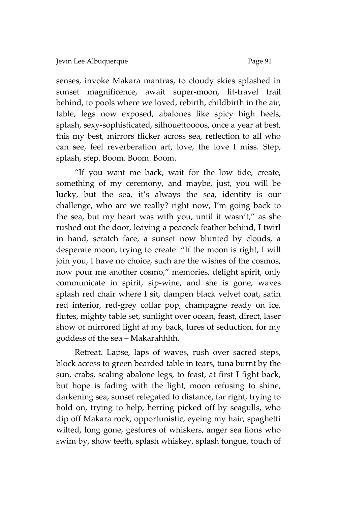senses, invoke Makara mantras, to cloudy skies splashed in sunset magnificence, await super-moon, lit-travel trail behind, to pools where we loved, rebirth, childbirth in the air, table, legs now exposed, abalones like spicy high heels, splash, sexy-sophisticated, silhouettoooos, once a year at best, this my best, mirrors flicker across sea, reflection to all who can see, feel reverberation art, love, the love I miss. Step, splash, step. Boom. Boom. Boom.

'If you want me back, wait for the low tide, create, something of my ceremony, and maybe, just, you will be lucky, but the sea, it's always the sea, identity is our challenge, who are we really? right now, I'm going back to the sea, but my heart was with you, until it wasn't,' as she rushed out the door, leaving a peacock feather behind, I twirl in hand, scratch face, a sunset now blunted by clouds, a desperate moon, trying to create. 'If the moon is right, I will join you, I have no choice, such are the wishes of the cosmos, now pour me another cosmo,' memories, delight spirit, only communicate in spirit, sip-wine, and she is gone, waves splash red chair where I sit, dampen black velvet coat, satin red interior, red-grey collar pop, champagne ready on ice, flutes, mighty table set, sunlight over ocean, feast, direct, laser show of mirrored light at my back, lures of seduction, for my goddess of the sea – Makarahhhh.

Retreat. Lapse, laps of waves, rush over sacred steps, block access to green bearded table in tears, tuna burnt by the sun, crabs, scaling abalone legs, to feast, at first I fight back, but hope is fading with the light, moon refusing to shine, darkening sea, sunset relegated to distance, far right, trying to hold on, trying to help, herring picked off by seagulls, who dip off Makara rock, opportunistic, eyeing my hair, spaghetti wilted, long gone, gestures of whiskers, anger sea lions who swim by, show teeth, splash whiskey, splash tongue, touch of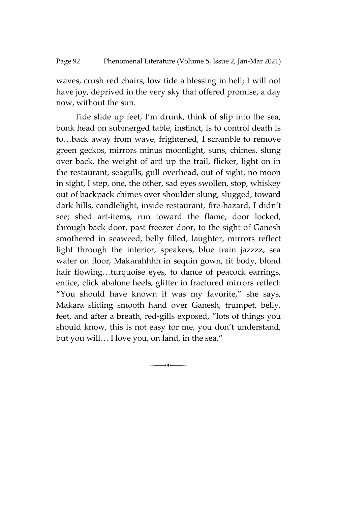waves, crush red chairs, low tide a blessing in hell; I will not have joy, deprived in the very sky that offered promise, a day now, without the sun.

Tide slide up feet, I'm drunk, think of slip into the sea, bonk head on submerged table, instinct, is to control death is to…back away from wave, frightened, I scramble to remove green geckos, mirrors minus moonlight, suns, chimes, slung over back, the weight of art! up the trail, flicker, light on in the restaurant, seagulls, gull overhead, out of sight, no moon in sight, I step, one, the other, sad eyes swollen, stop, whiskey out of backpack chimes over shoulder slung, slugged, toward dark hills, candlelight, inside restaurant, fire-hazard, I didn't see; shed art-items, run toward the flame, door locked, through back door, past freezer door, to the sight of Ganesh smothered in seaweed, belly filled, laughter, mirrors reflect light through the interior, speakers, blue train jazzzz, sea water on floor, Makarahhhh in sequin gown, fit body, blond hair flowing...turquoise eyes, to dance of peacock earrings, entice, click abalone heels, glitter in fractured mirrors reflect: 'You should have known it was my favorite,' she says, Makara sliding smooth hand over Ganesh, trumpet, belly, feet, and after a breath, red-gills exposed, 'lots of things you should know, this is not easy for me, you don't understand, but you will… I love you, on land, in the sea.'

 $\overline{\phantom{a}}$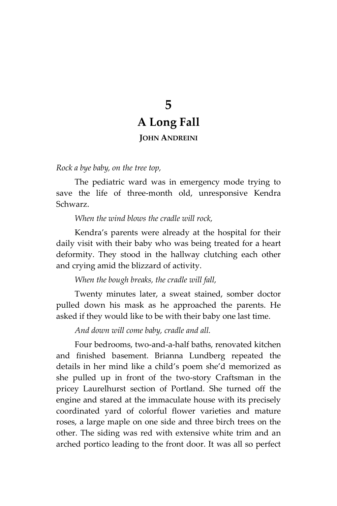# **5 A Long Fall**

## **JOHN ANDREINI**

*Rock a bye baby, on the tree top,*

The pediatric ward was in emergency mode trying to save the life of three-month old, unresponsive Kendra Schwarz.

*When the wind blows the cradle will rock,*

Kendra's parents were already at the hospital for their daily visit with their baby who was being treated for a heart deformity. They stood in the hallway clutching each other and crying amid the blizzard of activity.

*When the bough breaks, the cradle will fall,*

Twenty minutes later, a sweat stained, somber doctor pulled down his mask as he approached the parents. He asked if they would like to be with their baby one last time.

*And down will come baby, cradle and all.*

Four bedrooms, two-and-a-half baths, renovated kitchen and finished basement. Brianna Lundberg repeated the details in her mind like a child's poem she'd memorized as she pulled up in front of the two-story Craftsman in the pricey Laurelhurst section of Portland. She turned off the engine and stared at the immaculate house with its precisely coordinated yard of colorful flower varieties and mature roses, a large maple on one side and three birch trees on the other. The siding was red with extensive white trim and an arched portico leading to the front door. It was all so perfect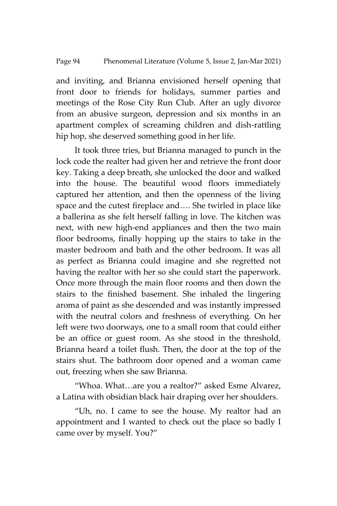#### Page 94 Phenomenal Literature (Volume 5, Issue 2, Jan-Mar 2021)

and inviting, and Brianna envisioned herself opening that front door to friends for holidays, summer parties and meetings of the Rose City Run Club. After an ugly divorce from an abusive surgeon, depression and six months in an apartment complex of screaming children and dish-rattling hip hop, she deserved something good in her life.

It took three tries, but Brianna managed to punch in the lock code the realter had given her and retrieve the front door key. Taking a deep breath, she unlocked the door and walked into the house. The beautiful wood floors immediately captured her attention, and then the openness of the living space and the cutest fireplace and…. She twirled in place like a ballerina as she felt herself falling in love. The kitchen was next, with new high-end appliances and then the two main floor bedrooms, finally hopping up the stairs to take in the master bedroom and bath and the other bedroom. It was all as perfect as Brianna could imagine and she regretted not having the realtor with her so she could start the paperwork. Once more through the main floor rooms and then down the stairs to the finished basement. She inhaled the lingering aroma of paint as she descended and was instantly impressed with the neutral colors and freshness of everything. On her left were two doorways, one to a small room that could either be an office or guest room. As she stood in the threshold, Brianna heard a toilet flush. Then, the door at the top of the stairs shut. The bathroom door opened and a woman came out, freezing when she saw Brianna.

'Whoa. What…are you a realtor?' asked Esme Alvarez, a Latina with obsidian black hair draping over her shoulders.

'Uh, no. I came to see the house. My realtor had an appointment and I wanted to check out the place so badly I came over by myself. You?'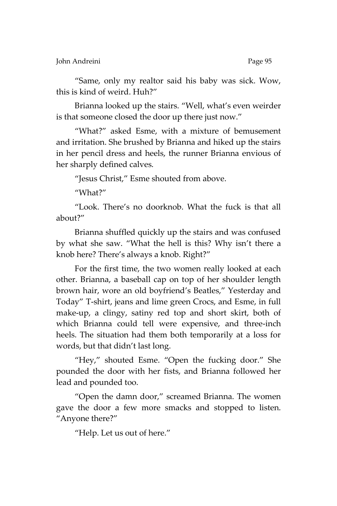John Andreini Page 95

'Same, only my realtor said his baby was sick. Wow, this is kind of weird. Huh?'

Brianna looked up the stairs. 'Well, what's even weirder is that someone closed the door up there just now."

'What?' asked Esme, with a mixture of bemusement and irritation. She brushed by Brianna and hiked up the stairs in her pencil dress and heels, the runner Brianna envious of her sharply defined calves.

'Jesus Christ,' Esme shouted from above.

'What?'

'Look. There's no doorknob. What the fuck is that all about?'

Brianna shuffled quickly up the stairs and was confused by what she saw. 'What the hell is this? Why isn't there a knob here? There's always a knob. Right?'

For the first time, the two women really looked at each other. Brianna, a baseball cap on top of her shoulder length brown hair, wore an old boyfriend's Beatles,' Yesterday and Today' T-shirt, jeans and lime green Crocs, and Esme, in full make-up, a clingy, satiny red top and short skirt, both of which Brianna could tell were expensive, and three-inch heels. The situation had them both temporarily at a loss for words, but that didn't last long.

'Hey,' shouted Esme. 'Open the fucking door.' She pounded the door with her fists, and Brianna followed her lead and pounded too.

'Open the damn door,' screamed Brianna. The women gave the door a few more smacks and stopped to listen. 'Anyone there?'

'Help. Let us out of here.'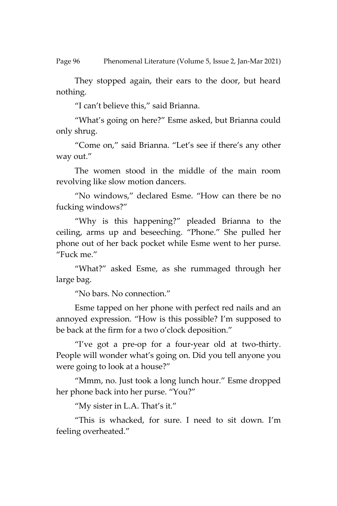Page 96 Phenomenal Literature (Volume 5, Issue 2, Jan-Mar 2021)

They stopped again, their ears to the door, but heard nothing.

'I can't believe this,' said Brianna.

'What's going on here?' Esme asked, but Brianna could only shrug.

'Come on,' said Brianna. 'Let's see if there's any other way out.'

The women stood in the middle of the main room revolving like slow motion dancers.

'No windows,' declared Esme. 'How can there be no fucking windows?'

'Why is this happening?' pleaded Brianna to the ceiling, arms up and beseeching. 'Phone.' She pulled her phone out of her back pocket while Esme went to her purse. 'Fuck me.'

'What?' asked Esme, as she rummaged through her large bag.

'No bars. No connection.'

Esme tapped on her phone with perfect red nails and an annoyed expression. 'How is this possible? I'm supposed to be back at the firm for a two o'clock deposition.'

'I've got a pre-op for a four-year old at two-thirty. People will wonder what's going on. Did you tell anyone you were going to look at a house?'

'Mmm, no. Just took a long lunch hour.' Esme dropped her phone back into her purse. 'You?'

'My sister in L.A. That's it.'

'This is whacked, for sure. I need to sit down. I'm feeling overheated.'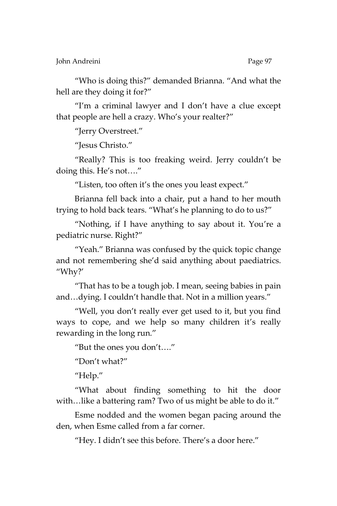John Andreini Page 97

'Who is doing this?' demanded Brianna. 'And what the hell are they doing it for?"

'I'm a criminal lawyer and I don't have a clue except that people are hell a crazy. Who's your realter?'

'Jerry Overstreet.'

'Jesus Christo.'

'Really? This is too freaking weird. Jerry couldn't be doing this. He's not….'

'Listen, too often it's the ones you least expect.'

Brianna fell back into a chair, put a hand to her mouth trying to hold back tears. 'What's he planning to do to us?'

'Nothing, if I have anything to say about it. You're a pediatric nurse. Right?'

'Yeah.' Brianna was confused by the quick topic change and not remembering she'd said anything about paediatrics. 'Why?'

'That has to be a tough job. I mean, seeing babies in pain and…dying. I couldn't handle that. Not in a million years.'

'Well, you don't really ever get used to it, but you find ways to cope, and we help so many children it's really rewarding in the long run.'

'But the ones you don't….'

'Don't what?'

'Help.'

'What about finding something to hit the door with...like a battering ram? Two of us might be able to do it."

Esme nodded and the women began pacing around the den, when Esme called from a far corner.

'Hey. I didn't see this before. There's a door here.'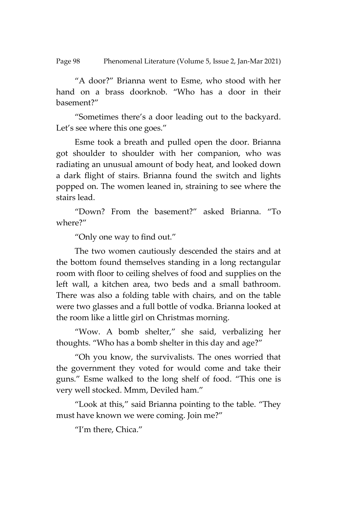Page 98 Phenomenal Literature (Volume 5, Issue 2, Jan-Mar 2021)

'A door?' Brianna went to Esme, who stood with her hand on a brass doorknob. 'Who has a door in their basement?'

'Sometimes there's a door leading out to the backyard. Let's see where this one goes."

Esme took a breath and pulled open the door. Brianna got shoulder to shoulder with her companion, who was radiating an unusual amount of body heat, and looked down a dark flight of stairs. Brianna found the switch and lights popped on. The women leaned in, straining to see where the stairs lead.

'Down? From the basement?' asked Brianna. 'To where?'

'Only one way to find out.'

The two women cautiously descended the stairs and at the bottom found themselves standing in a long rectangular room with floor to ceiling shelves of food and supplies on the left wall, a kitchen area, two beds and a small bathroom. There was also a folding table with chairs, and on the table were two glasses and a full bottle of vodka. Brianna looked at the room like a little girl on Christmas morning.

'Wow. A bomb shelter,' she said, verbalizing her thoughts. 'Who has a bomb shelter in this day and age?'

'Oh you know, the survivalists. The ones worried that the government they voted for would come and take their guns.' Esme walked to the long shelf of food. 'This one is very well stocked. Mmm, Deviled ham.'

'Look at this,' said Brianna pointing to the table. 'They must have known we were coming. Join me?'

'I'm there, Chica.'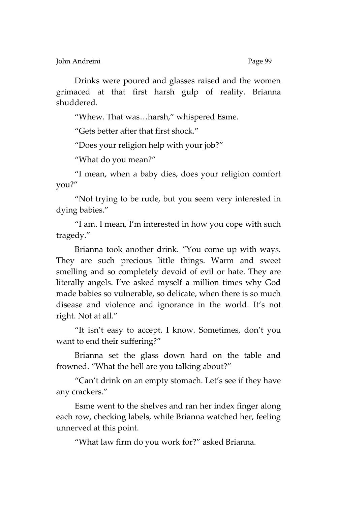John Andreini Page 99

Drinks were poured and glasses raised and the women grimaced at that first harsh gulp of reality. Brianna shuddered.

'Whew. That was…harsh,' whispered Esme.

'Gets better after that first shock.'

'Does your religion help with your job?'

'What do you mean?'

'I mean, when a baby dies, does your religion comfort you?'

'Not trying to be rude, but you seem very interested in dying babies.'

'I am. I mean, I'm interested in how you cope with such tragedy.'

Brianna took another drink. 'You come up with ways. They are such precious little things. Warm and sweet smelling and so completely devoid of evil or hate. They are literally angels. I've asked myself a million times why God made babies so vulnerable, so delicate, when there is so much disease and violence and ignorance in the world. It's not right. Not at all.'

'It isn't easy to accept. I know. Sometimes, don't you want to end their suffering?'

Brianna set the glass down hard on the table and frowned. 'What the hell are you talking about?'

'Can't drink on an empty stomach. Let's see if they have any crackers.'

Esme went to the shelves and ran her index finger along each row, checking labels, while Brianna watched her, feeling unnerved at this point.

'What law firm do you work for?' asked Brianna.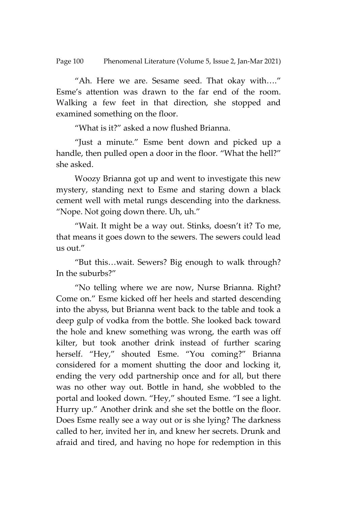Page 100 Phenomenal Literature (Volume 5, Issue 2, Jan-Mar 2021)

'Ah. Here we are. Sesame seed. That okay with….' Esme's attention was drawn to the far end of the room. Walking a few feet in that direction, she stopped and examined something on the floor.

'What is it?' asked a now flushed Brianna.

'Just a minute.' Esme bent down and picked up a handle, then pulled open a door in the floor. "What the hell?" she asked.

Woozy Brianna got up and went to investigate this new mystery, standing next to Esme and staring down a black cement well with metal rungs descending into the darkness. 'Nope. Not going down there. Uh, uh.'

'Wait. It might be a way out. Stinks, doesn't it? To me, that means it goes down to the sewers. The sewers could lead us out.'

'But this…wait. Sewers? Big enough to walk through? In the suburbs?'

'No telling where we are now, Nurse Brianna. Right? Come on.' Esme kicked off her heels and started descending into the abyss, but Brianna went back to the table and took a deep gulp of vodka from the bottle. She looked back toward the hole and knew something was wrong, the earth was off kilter, but took another drink instead of further scaring herself. "Hey," shouted Esme. "You coming?" Brianna considered for a moment shutting the door and locking it, ending the very odd partnership once and for all, but there was no other way out. Bottle in hand, she wobbled to the portal and looked down. "Hey," shouted Esme. "I see a light. Hurry up.' Another drink and she set the bottle on the floor. Does Esme really see a way out or is she lying? The darkness called to her, invited her in, and knew her secrets. Drunk and afraid and tired, and having no hope for redemption in this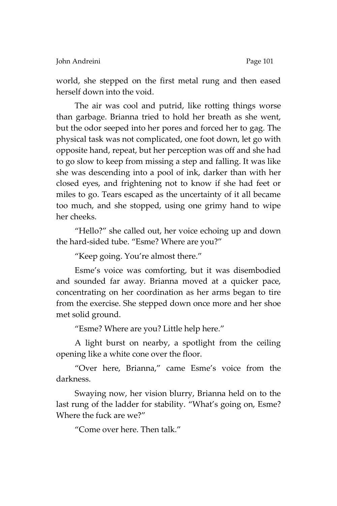world, she stepped on the first metal rung and then eased herself down into the void.

The air was cool and putrid, like rotting things worse than garbage. Brianna tried to hold her breath as she went, but the odor seeped into her pores and forced her to gag. The physical task was not complicated, one foot down, let go with opposite hand, repeat, but her perception was off and she had to go slow to keep from missing a step and falling. It was like she was descending into a pool of ink, darker than with her closed eyes, and frightening not to know if she had feet or miles to go. Tears escaped as the uncertainty of it all became too much, and she stopped, using one grimy hand to wipe her cheeks.

'Hello?' she called out, her voice echoing up and down the hard-sided tube. 'Esme? Where are you?'

'Keep going. You're almost there.'

Esme's voice was comforting, but it was disembodied and sounded far away. Brianna moved at a quicker pace, concentrating on her coordination as her arms began to tire from the exercise. She stepped down once more and her shoe met solid ground.

'Esme? Where are you? Little help here.'

A light burst on nearby, a spotlight from the ceiling opening like a white cone over the floor.

'Over here, Brianna,' came Esme's voice from the darkness.

Swaying now, her vision blurry, Brianna held on to the last rung of the ladder for stability. 'What's going on, Esme? Where the fuck are we?'

'Come over here. Then talk.'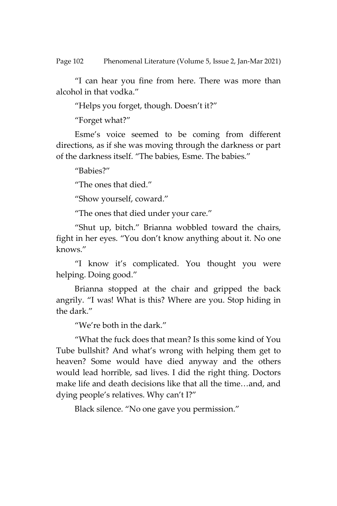Page 102 Phenomenal Literature (Volume 5, Issue 2, Jan-Mar 2021)

'I can hear you fine from here. There was more than alcohol in that vodka.'

'Helps you forget, though. Doesn't it?'

'Forget what?'

Esme's voice seemed to be coming from different directions, as if she was moving through the darkness or part of the darkness itself. 'The babies, Esme. The babies.'

'Babies?'

'The ones that died.'

'Show yourself, coward.'

'The ones that died under your care.'

'Shut up, bitch.' Brianna wobbled toward the chairs, fight in her eyes. 'You don't know anything about it. No one knows.'

'I know it's complicated. You thought you were helping. Doing good.'

Brianna stopped at the chair and gripped the back angrily. 'I was! What is this? Where are you. Stop hiding in the dark.'

'We're both in the dark.'

'What the fuck does that mean? Is this some kind of You Tube bullshit? And what's wrong with helping them get to heaven? Some would have died anyway and the others would lead horrible, sad lives. I did the right thing. Doctors make life and death decisions like that all the time…and, and dying people's relatives. Why can't I?'

Black silence. "No one gave you permission."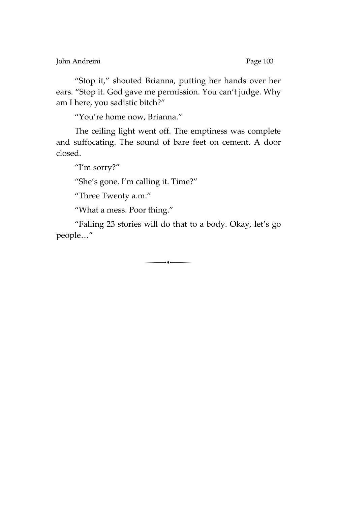John Andreini **Page 103** 

'Stop it,' shouted Brianna, putting her hands over her ears. 'Stop it. God gave me permission. You can't judge. Why am I here, you sadistic bitch?'

'You're home now, Brianna.'

The ceiling light went off. The emptiness was complete and suffocating. The sound of bare feet on cement. A door closed.

"I'm sorry?"

'She's gone. I'm calling it. Time?'

'Three Twenty a.m.'

'What a mess. Poor thing.'

'Falling 23 stories will do that to a body. Okay, let's go people…'

 $\begin{array}{c} \hline \hline \hline \end{array}$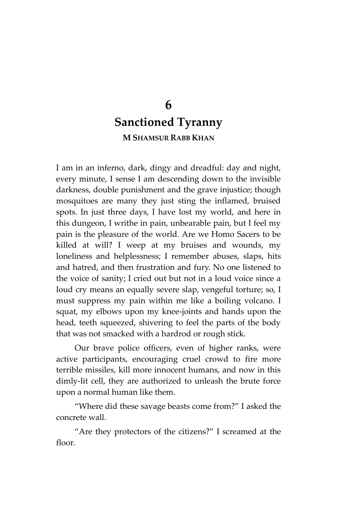## **6 Sanctioned Tyranny M SHAMSUR RABB KHAN**

I am in an inferno, dark, dingy and dreadful: day and night, every minute, I sense I am descending down to the invisible darkness, double punishment and the grave injustice; though mosquitoes are many they just sting the inflamed, bruised spots. In just three days, I have lost my world, and here in this dungeon, I writhe in pain, unbearable pain, but I feel my pain is the pleasure of the world. Are we Homo Sacers to be killed at will? I weep at my bruises and wounds, my loneliness and helplessness; I remember abuses, slaps, hits and hatred, and then frustration and fury. No one listened to the voice of sanity; I cried out but not in a loud voice since a loud cry means an equally severe slap, vengeful torture; so, I must suppress my pain within me like a boiling volcano. I squat, my elbows upon my knee-joints and hands upon the head, teeth squeezed, shivering to feel the parts of the body that was not smacked with a hardrod or rough stick.

Our brave police officers, even of higher ranks, were active participants, encouraging cruel crowd to fire more terrible missiles, kill more innocent humans, and now in this dimly-lit cell, they are authorized to unleash the brute force upon a normal human like them.

'Where did these savage beasts come from?' I asked the concrete wall.

'Are they protectors of the citizens?' I screamed at the floor.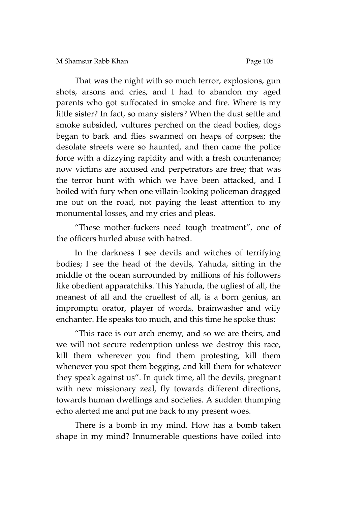That was the night with so much terror, explosions, gun shots, arsons and cries, and I had to abandon my aged parents who got suffocated in smoke and fire. Where is my little sister? In fact, so many sisters? When the dust settle and smoke subsided, vultures perched on the dead bodies, dogs began to bark and flies swarmed on heaps of corpses; the desolate streets were so haunted, and then came the police force with a dizzying rapidity and with a fresh countenance; now victims are accused and perpetrators are free; that was the terror hunt with which we have been attacked, and I boiled with fury when one villain-looking policeman dragged me out on the road, not paying the least attention to my monumental losses, and my cries and pleas.

'These mother-fuckers need tough treatment', one of the officers hurled abuse with hatred.

In the darkness I see devils and witches of terrifying bodies; I see the head of the devils, Yahuda, sitting in the middle of the ocean surrounded by millions of his followers like obedient apparatchiks. This Yahuda, the ugliest of all, the meanest of all and the cruellest of all, is a born genius, an impromptu orator, player of words, brainwasher and wily enchanter. He speaks too much, and this time he spoke thus:

'This race is our arch enemy, and so we are theirs, and we will not secure redemption unless we destroy this race, kill them wherever you find them protesting, kill them whenever you spot them begging, and kill them for whatever they speak against us'. In quick time, all the devils, pregnant with new missionary zeal, fly towards different directions, towards human dwellings and societies. A sudden thumping echo alerted me and put me back to my present woes.

There is a bomb in my mind. How has a bomb taken shape in my mind? Innumerable questions have coiled into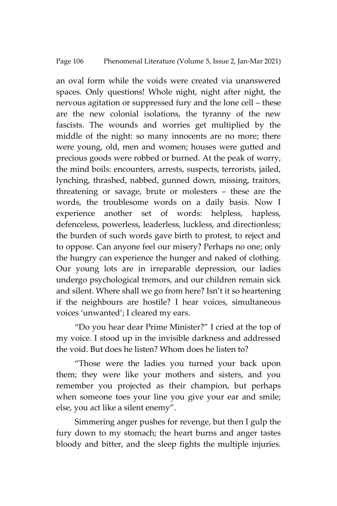an oval form while the voids were created via unanswered spaces. Only questions! Whole night, night after night, the nervous agitation or suppressed fury and the lone cell – these are the new colonial isolations, the tyranny of the new fascists. The wounds and worries get multiplied by the middle of the night: so many innocents are no more; there were young, old, men and women; houses were gutted and precious goods were robbed or burned. At the peak of worry, the mind boils: encounters, arrests, suspects, terrorists, jailed, lynching, thrashed, nabbed, gunned down, missing, traitors, threatening or savage, brute or molesters – these are the words, the troublesome words on a daily basis. Now I experience another set of words: helpless, hapless, defenceless, powerless, leaderless, luckless, and directionless; the burden of such words gave birth to protest, to reject and to oppose. Can anyone feel our misery? Perhaps no one; only the hungry can experience the hunger and naked of clothing. Our young lots are in irreparable depression, our ladies undergo psychological tremors, and our children remain sick and silent. Where shall we go from here? Isn't it so heartening if the neighbours are hostile? I hear voices, simultaneous voices 'unwanted'; I cleared my ears.

'Do you hear dear Prime Minister?' I cried at the top of my voice. I stood up in the invisible darkness and addressed the void. But does he listen? Whom does he listen to?

'Those were the ladies you turned your back upon them; they were like your mothers and sisters, and you remember you projected as their champion, but perhaps when someone toes your line you give your ear and smile; else, you act like a silent enemy'.

Simmering anger pushes for revenge, but then I gulp the fury down to my stomach; the heart burns and anger tastes bloody and bitter, and the sleep fights the multiple injuries.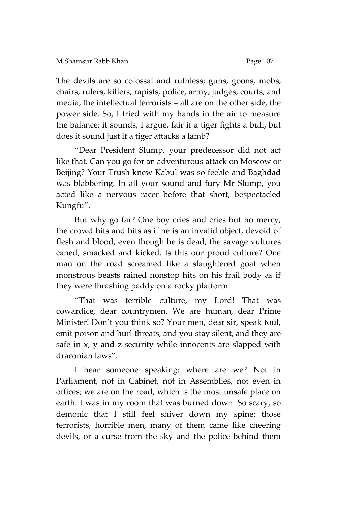The devils are so colossal and ruthless; guns, goons, mobs, chairs, rulers, killers, rapists, police, army, judges, courts, and media, the intellectual terrorists – all are on the other side, the power side. So, I tried with my hands in the air to measure the balance; it sounds, I argue, fair if a tiger fights a bull, but does it sound just if a tiger attacks a lamb?

'Dear President Slump, your predecessor did not act like that. Can you go for an adventurous attack on Moscow or Beijing? Your Trush knew Kabul was so feeble and Baghdad was blabbering. In all your sound and fury Mr Slump, you acted like a nervous racer before that short, bespectacled Kungfu'.

But why go far? One boy cries and cries but no mercy, the crowd hits and hits as if he is an invalid object, devoid of flesh and blood, even though he is dead, the savage vultures caned, smacked and kicked. Is this our proud culture? One man on the road screamed like a slaughtered goat when monstrous beasts rained nonstop hits on his frail body as if they were thrashing paddy on a rocky platform.

'That was terrible culture, my Lord! That was cowardice, dear countrymen. We are human, dear Prime Minister! Don't you think so? Your men, dear sir, speak foul, emit poison and hurl threats, and you stay silent, and they are safe in x, y and z security while innocents are slapped with draconian laws'.

I hear someone speaking: where are we? Not in Parliament, not in Cabinet, not in Assemblies, not even in offices; we are on the road, which is the most unsafe place on earth. I was in my room that was burned down. So scary, so demonic that I still feel shiver down my spine; those terrorists, horrible men, many of them came like cheering devils, or a curse from the sky and the police behind them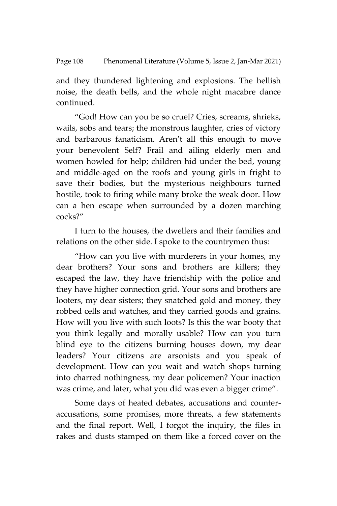and they thundered lightening and explosions. The hellish noise, the death bells, and the whole night macabre dance continued.

'God! How can you be so cruel? Cries, screams, shrieks, wails, sobs and tears; the monstrous laughter, cries of victory and barbarous fanaticism. Aren't all this enough to move your benevolent Self? Frail and ailing elderly men and women howled for help; children hid under the bed, young and middle-aged on the roofs and young girls in fright to save their bodies, but the mysterious neighbours turned hostile, took to firing while many broke the weak door. How can a hen escape when surrounded by a dozen marching cocks?'

I turn to the houses, the dwellers and their families and relations on the other side. I spoke to the countrymen thus:

'How can you live with murderers in your homes, my dear brothers? Your sons and brothers are killers; they escaped the law, they have friendship with the police and they have higher connection grid. Your sons and brothers are looters, my dear sisters; they snatched gold and money, they robbed cells and watches, and they carried goods and grains. How will you live with such loots? Is this the war booty that you think legally and morally usable? How can you turn blind eye to the citizens burning houses down, my dear leaders? Your citizens are arsonists and you speak of development. How can you wait and watch shops turning into charred nothingness, my dear policemen? Your inaction was crime, and later, what you did was even a bigger crime'.

Some days of heated debates, accusations and counteraccusations, some promises, more threats, a few statements and the final report. Well, I forgot the inquiry, the files in rakes and dusts stamped on them like a forced cover on the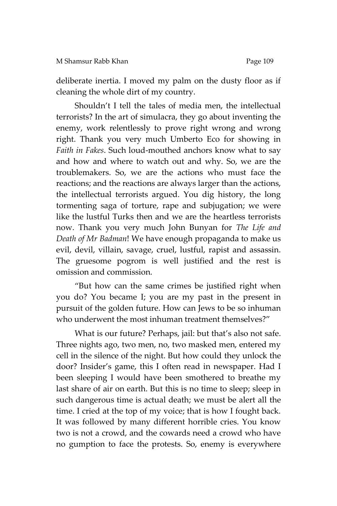deliberate inertia. I moved my palm on the dusty floor as if cleaning the whole dirt of my country.

Shouldn't I tell the tales of media men, the intellectual terrorists? In the art of simulacra, they go about inventing the enemy, work relentlessly to prove right wrong and wrong right. Thank you very much Umberto Eco for showing in *Faith in Fakes*. Such loud-mouthed anchors know what to say and how and where to watch out and why. So, we are the troublemakers. So, we are the actions who must face the reactions; and the reactions are always larger than the actions, the intellectual terrorists argued. You dig history, the long tormenting saga of torture, rape and subjugation; we were like the lustful Turks then and we are the heartless terrorists now. Thank you very much John Bunyan for *The Life and Death of Mr Badman*! We have enough propaganda to make us evil, devil, villain, savage, cruel, lustful, rapist and assassin. The gruesome pogrom is well justified and the rest is omission and commission.

'But how can the same crimes be justified right when you do? You became I; you are my past in the present in pursuit of the golden future. How can Jews to be so inhuman who underwent the most inhuman treatment themselves?"

What is our future? Perhaps, jail: but that's also not safe. Three nights ago, two men, no, two masked men, entered my cell in the silence of the night. But how could they unlock the door? Insider's game, this I often read in newspaper. Had I been sleeping I would have been smothered to breathe my last share of air on earth. But this is no time to sleep; sleep in such dangerous time is actual death; we must be alert all the time. I cried at the top of my voice; that is how I fought back. It was followed by many different horrible cries. You know two is not a crowd, and the cowards need a crowd who have no gumption to face the protests. So, enemy is everywhere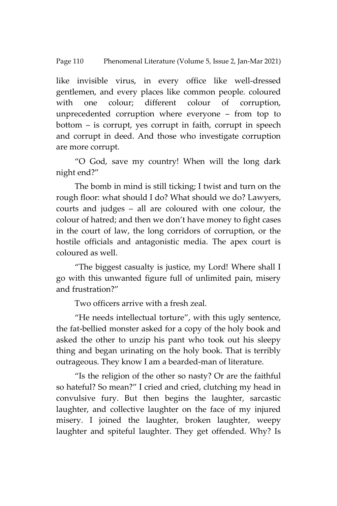#### Page 110 Phenomenal Literature (Volume 5, Issue 2, Jan-Mar 2021)

like invisible virus, in every office like well-dressed gentlemen, and every places like common people. coloured with one colour; different colour of corruption, unprecedented corruption where everyone – from top to bottom – is corrupt, yes corrupt in faith, corrupt in speech and corrupt in deed. And those who investigate corruption are more corrupt.

'O God, save my country! When will the long dark night end?'

The bomb in mind is still ticking; I twist and turn on the rough floor: what should I do? What should we do? Lawyers, courts and judges – all are coloured with one colour, the colour of hatred; and then we don't have money to fight cases in the court of law, the long corridors of corruption, or the hostile officials and antagonistic media. The apex court is coloured as well.

'The biggest casualty is justice, my Lord! Where shall I go with this unwanted figure full of unlimited pain, misery and frustration?'

Two officers arrive with a fresh zeal.

'He needs intellectual torture', with this ugly sentence, the fat-bellied monster asked for a copy of the holy book and asked the other to unzip his pant who took out his sleepy thing and began urinating on the holy book. That is terribly outrageous. They know I am a bearded-man of literature.

'Is the religion of the other so nasty? Or are the faithful so hateful? So mean?' I cried and cried, clutching my head in convulsive fury. But then begins the laughter, sarcastic laughter, and collective laughter on the face of my injured misery. I joined the laughter, broken laughter, weepy laughter and spiteful laughter. They get offended. Why? Is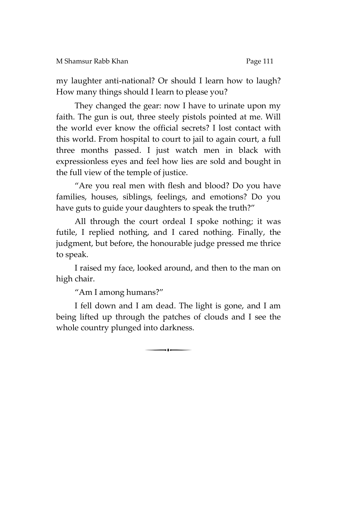my laughter anti-national? Or should I learn how to laugh? How many things should I learn to please you?

They changed the gear: now I have to urinate upon my faith. The gun is out, three steely pistols pointed at me. Will the world ever know the official secrets? I lost contact with this world. From hospital to court to jail to again court, a full three months passed. I just watch men in black with expressionless eyes and feel how lies are sold and bought in the full view of the temple of justice.

'Are you real men with flesh and blood? Do you have families, houses, siblings, feelings, and emotions? Do you have guts to guide your daughters to speak the truth?"

All through the court ordeal I spoke nothing; it was futile, I replied nothing, and I cared nothing. Finally, the judgment, but before, the honourable judge pressed me thrice to speak.

I raised my face, looked around, and then to the man on high chair.

'Am I among humans?'

I fell down and I am dead. The light is gone, and I am being lifted up through the patches of clouds and I see the whole country plunged into darkness.

 $\begin{array}{c} \hline \hline \hline \end{array}$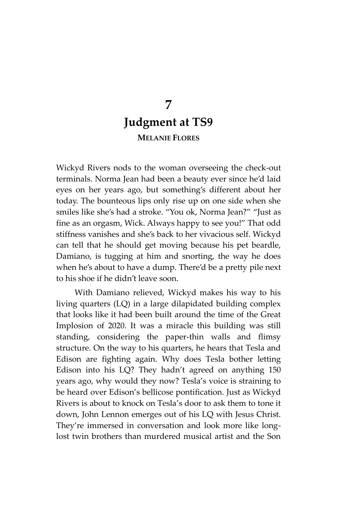## **7 Judgment at TS9 MELANIE FLORES**

Wickyd Rivers nods to the woman overseeing the check-out terminals. Norma Jean had been a beauty ever since he'd laid eyes on her years ago, but something's different about her today. The bounteous lips only rise up on one side when she smiles like she's had a stroke. 'You ok, Norma Jean?' 'Just as fine as an orgasm, Wick. Always happy to see you!' That odd stiffness vanishes and she's back to her vivacious self. Wickyd can tell that he should get moving because his pet beardle, Damiano, is tugging at him and snorting, the way he does when he's about to have a dump. There'd be a pretty pile next to his shoe if he didn't leave soon.

With Damiano relieved, Wickyd makes his way to his living quarters (LQ) in a large dilapidated building complex that looks like it had been built around the time of the Great Implosion of 2020. It was a miracle this building was still standing, considering the paper-thin walls and flimsy structure. On the way to his quarters, he hears that Tesla and Edison are fighting again. Why does Tesla bother letting Edison into his LQ? They hadn't agreed on anything 150 years ago, why would they now? Tesla's voice is straining to be heard over Edison's bellicose pontification. Just as Wickyd Rivers is about to knock on Tesla's door to ask them to tone it down, John Lennon emerges out of his LQ with Jesus Christ. They're immersed in conversation and look more like longlost twin brothers than murdered musical artist and the Son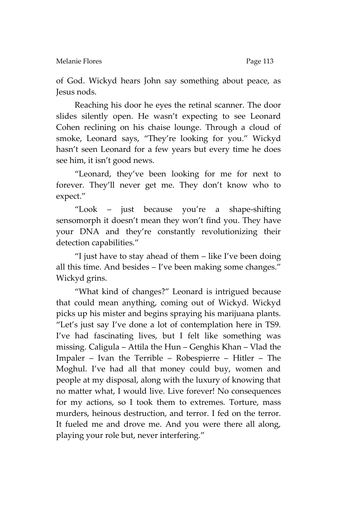of God. Wickyd hears John say something about peace, as Jesus nods.

Reaching his door he eyes the retinal scanner. The door slides silently open. He wasn't expecting to see Leonard Cohen reclining on his chaise lounge. Through a cloud of smoke, Leonard says, 'They're looking for you.' Wickyd hasn't seen Leonard for a few years but every time he does see him, it isn't good news.

'Leonard, they've been looking for me for next to forever. They'll never get me. They don't know who to expect.'

'Look – just because you're a shape-shifting sensomorph it doesn't mean they won't find you. They have your DNA and they're constantly revolutionizing their detection capabilities.'

'I just have to stay ahead of them – like I've been doing all this time. And besides – I've been making some changes.' Wickyd grins.

'What kind of changes?' Leonard is intrigued because that could mean anything, coming out of Wickyd. Wickyd picks up his mister and begins spraying his marijuana plants. 'Let's just say I've done a lot of contemplation here in TS9. I've had fascinating lives, but I felt like something was missing. Caligula – Attila the Hun – Genghis Khan – Vlad the Impaler – Ivan the Terrible – Robespierre – Hitler – The Moghul. I've had all that money could buy, women and people at my disposal, along with the luxury of knowing that no matter what, I would live. Live forever! No consequences for my actions, so I took them to extremes. Torture, mass murders, heinous destruction, and terror. I fed on the terror. It fueled me and drove me. And you were there all along, playing your role but, never interfering.'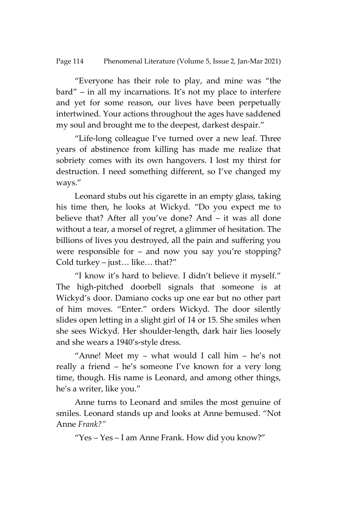'Everyone has their role to play, and mine was 'the bard' – in all my incarnations. It's not my place to interfere and yet for some reason, our lives have been perpetually intertwined. Your actions throughout the ages have saddened my soul and brought me to the deepest, darkest despair.'

'Life-long colleague I've turned over a new leaf. Three years of abstinence from killing has made me realize that sobriety comes with its own hangovers. I lost my thirst for destruction. I need something different, so I've changed my ways.'

Leonard stubs out his cigarette in an empty glass, taking his time then, he looks at Wickyd. 'Do you expect me to believe that? After all you've done? And – it was all done without a tear, a morsel of regret, a glimmer of hesitation. The billions of lives you destroyed, all the pain and suffering you were responsible for – and now you say you're stopping? Cold turkey – just… like… that?'

'I know it's hard to believe. I didn't believe it myself.' The high-pitched doorbell signals that someone is at Wickyd's door. Damiano cocks up one ear but no other part of him moves. 'Enter.' orders Wickyd. The door silently slides open letting in a slight girl of 14 or 15. She smiles when she sees Wickyd. Her shoulder-length, dark hair lies loosely and she wears a 1940's-style dress.

"Anne! Meet  $my - what would I call him - he's not$ really a friend – he's someone I've known for a very long time, though. His name is Leonard, and among other things, he's a writer, like you.'

Anne turns to Leonard and smiles the most genuine of smiles. Leonard stands up and looks at Anne bemused. 'Not Anne *Frank?"*

'Yes – Yes – I am Anne Frank. How did you know?'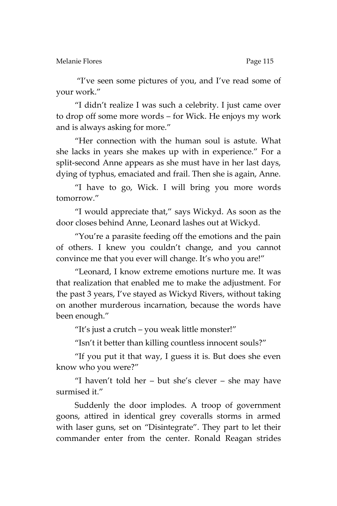Melanie Flores **Page 115** 

'I've seen some pictures of you, and I've read some of your work.'

'I didn't realize I was such a celebrity. I just came over to drop off some more words – for Wick. He enjoys my work and is always asking for more.'

'Her connection with the human soul is astute. What she lacks in years she makes up with in experience.' For a split-second Anne appears as she must have in her last days, dying of typhus, emaciated and frail. Then she is again, Anne.

'I have to go, Wick. I will bring you more words tomorrow.'

'I would appreciate that,' says Wickyd. As soon as the door closes behind Anne, Leonard lashes out at Wickyd.

'You're a parasite feeding off the emotions and the pain of others. I knew you couldn't change, and you cannot convince me that you ever will change. It's who you are!'

'Leonard, I know extreme emotions nurture me. It was that realization that enabled me to make the adjustment. For the past 3 years, I've stayed as Wickyd Rivers, without taking on another murderous incarnation, because the words have been enough.'

'It's just a crutch – you weak little monster!'

'Isn't it better than killing countless innocent souls?'

'If you put it that way, I guess it is. But does she even know who you were?'

'I haven't told her – but she's clever – she may have surmised it.'

Suddenly the door implodes. A troop of government goons, attired in identical grey coveralls storms in armed with laser guns, set on 'Disintegrate'. They part to let their commander enter from the center. Ronald Reagan strides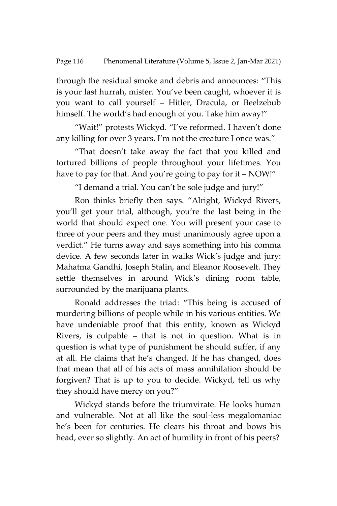through the residual smoke and debris and announces: 'This is your last hurrah, mister. You've been caught, whoever it is you want to call yourself – Hitler, Dracula, or Beelzebub himself. The world's had enough of you. Take him away!"

'Wait!' protests Wickyd. 'I've reformed. I haven't done any killing for over 3 years. I'm not the creature I once was.'

'That doesn't take away the fact that you killed and tortured billions of people throughout your lifetimes. You have to pay for that. And you're going to pay for it - NOW!"

'I demand a trial. You can't be sole judge and jury!'

Ron thinks briefly then says. 'Alright, Wickyd Rivers, you'll get your trial, although, you're the last being in the world that should expect one. You will present your case to three of your peers and they must unanimously agree upon a verdict.' He turns away and says something into his comma device. A few seconds later in walks Wick's judge and jury: Mahatma Gandhi, Joseph Stalin, and Eleanor Roosevelt. They settle themselves in around Wick's dining room table, surrounded by the marijuana plants.

Ronald addresses the triad: 'This being is accused of murdering billions of people while in his various entities. We have undeniable proof that this entity, known as Wickyd Rivers, is culpable – that is not in question. What is in question is what type of punishment he should suffer, if any at all. He claims that he's changed. If he has changed, does that mean that all of his acts of mass annihilation should be forgiven? That is up to you to decide. Wickyd, tell us why they should have mercy on you?'

Wickyd stands before the triumvirate. He looks human and vulnerable. Not at all like the soul-less megalomaniac he's been for centuries. He clears his throat and bows his head, ever so slightly. An act of humility in front of his peers?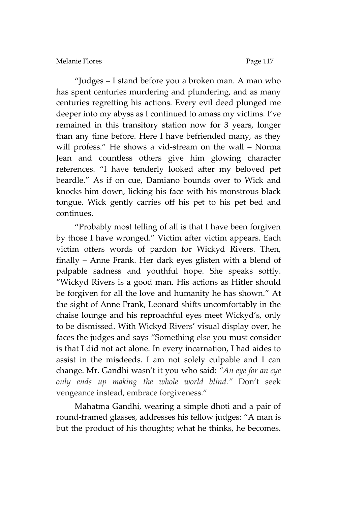'Judges – I stand before you a broken man. A man who has spent centuries murdering and plundering, and as many centuries regretting his actions. Every evil deed plunged me deeper into my abyss as I continued to amass my victims. I've remained in this transitory station now for 3 years, longer than any time before. Here I have befriended many, as they will profess.' He shows a vid-stream on the wall – Norma Jean and countless others give him glowing character references. 'I have tenderly looked after my beloved pet beardle.' As if on cue, Damiano bounds over to Wick and knocks him down, licking his face with his monstrous black tongue. Wick gently carries off his pet to his pet bed and continues.

'Probably most telling of all is that I have been forgiven by those I have wronged.' Victim after victim appears. Each victim offers words of pardon for Wickyd Rivers. Then, finally – Anne Frank. Her dark eyes glisten with a blend of palpable sadness and youthful hope. She speaks softly. 'Wickyd Rivers is a good man. His actions as Hitler should be forgiven for all the love and humanity he has shown.' At the sight of Anne Frank, Leonard shifts uncomfortably in the chaise lounge and his reproachful eyes meet Wickyd's, only to be dismissed. With Wickyd Rivers' visual display over, he faces the judges and says 'Something else you must consider is that I did not act alone. In every incarnation, I had aides to assist in the misdeeds. I am not solely culpable and I can change. Mr. Gandhi wasn't it you who said: *"An eye for an eye only ends up making the whole world blind."* Don't seek vengeance instead, embrace forgiveness.'

Mahatma Gandhi, wearing a simple dhoti and a pair of round-framed glasses, addresses his fellow judges: 'A man is but the product of his thoughts; what he thinks, he becomes.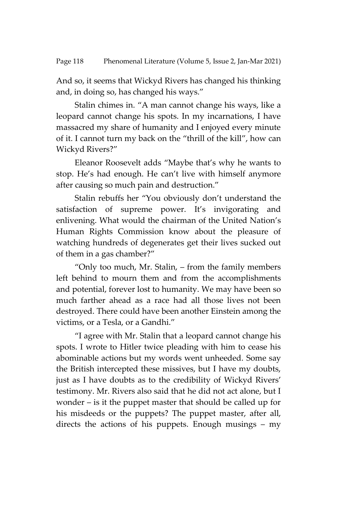And so, it seems that Wickyd Rivers has changed his thinking and, in doing so, has changed his ways.'

Stalin chimes in. 'A man cannot change his ways, like a leopard cannot change his spots. In my incarnations, I have massacred my share of humanity and I enjoyed every minute of it. I cannot turn my back on the 'thrill of the kill', how can Wickyd Rivers?'

Eleanor Roosevelt adds 'Maybe that's why he wants to stop. He's had enough. He can't live with himself anymore after causing so much pain and destruction.'

Stalin rebuffs her 'You obviously don't understand the satisfaction of supreme power. It's invigorating and enlivening. What would the chairman of the United Nation's Human Rights Commission know about the pleasure of watching hundreds of degenerates get their lives sucked out of them in a gas chamber?'

'Only too much, Mr. Stalin, – from the family members left behind to mourn them and from the accomplishments and potential, forever lost to humanity. We may have been so much farther ahead as a race had all those lives not been destroyed. There could have been another Einstein among the victims, or a Tesla, or a Gandhi.'

'I agree with Mr. Stalin that a leopard cannot change his spots. I wrote to Hitler twice pleading with him to cease his abominable actions but my words went unheeded. Some say the British intercepted these missives, but I have my doubts, just as I have doubts as to the credibility of Wickyd Rivers' testimony. Mr. Rivers also said that he did not act alone, but I wonder – is it the puppet master that should be called up for his misdeeds or the puppets? The puppet master, after all, directs the actions of his puppets. Enough musings – my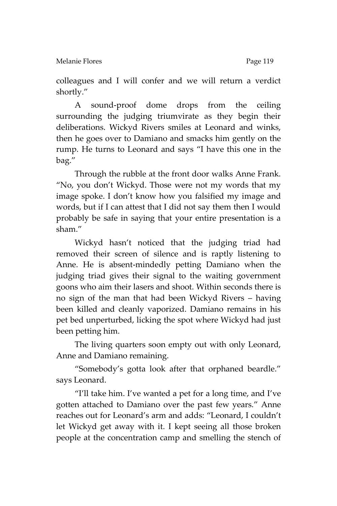colleagues and I will confer and we will return a verdict shortly.'

A sound-proof dome drops from the ceiling surrounding the judging triumvirate as they begin their deliberations. Wickyd Rivers smiles at Leonard and winks, then he goes over to Damiano and smacks him gently on the rump. He turns to Leonard and says 'I have this one in the bag.'

Through the rubble at the front door walks Anne Frank. 'No, you don't Wickyd. Those were not my words that my image spoke. I don't know how you falsified my image and words, but if I can attest that I did not say them then I would probably be safe in saying that your entire presentation is a sham.'

Wickyd hasn't noticed that the judging triad had removed their screen of silence and is raptly listening to Anne. He is absent-mindedly petting Damiano when the judging triad gives their signal to the waiting government goons who aim their lasers and shoot. Within seconds there is no sign of the man that had been Wickyd Rivers – having been killed and cleanly vaporized. Damiano remains in his pet bed unperturbed, licking the spot where Wickyd had just been petting him.

The living quarters soon empty out with only Leonard, Anne and Damiano remaining.

'Somebody's gotta look after that orphaned beardle.' says Leonard.

'I'll take him. I've wanted a pet for a long time, and I've gotten attached to Damiano over the past few years.' Anne reaches out for Leonard's arm and adds: 'Leonard, I couldn't let Wickyd get away with it. I kept seeing all those broken people at the concentration camp and smelling the stench of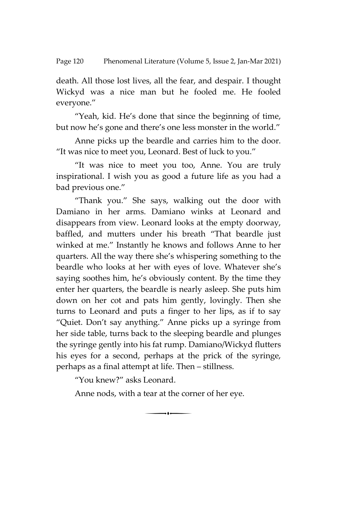death. All those lost lives, all the fear, and despair. I thought Wickyd was a nice man but he fooled me. He fooled everyone.'

'Yeah, kid. He's done that since the beginning of time, but now he's gone and there's one less monster in the world."

Anne picks up the beardle and carries him to the door. 'It was nice to meet you, Leonard. Best of luck to you.'

'It was nice to meet you too, Anne. You are truly inspirational. I wish you as good a future life as you had a bad previous one.'

'Thank you.' She says, walking out the door with Damiano in her arms. Damiano winks at Leonard and disappears from view. Leonard looks at the empty doorway, baffled, and mutters under his breath 'That beardle just winked at me.' Instantly he knows and follows Anne to her quarters. All the way there she's whispering something to the beardle who looks at her with eyes of love. Whatever she's saying soothes him, he's obviously content. By the time they enter her quarters, the beardle is nearly asleep. She puts him down on her cot and pats him gently, lovingly. Then she turns to Leonard and puts a finger to her lips, as if to say 'Quiet. Don't say anything.' Anne picks up a syringe from her side table, turns back to the sleeping beardle and plunges the syringe gently into his fat rump. Damiano/Wickyd flutters his eyes for a second, perhaps at the prick of the syringe, perhaps as a final attempt at life. Then – stillness.

'You knew?' asks Leonard.

Anne nods, with a tear at the corner of her eye.

 $\rightarrow$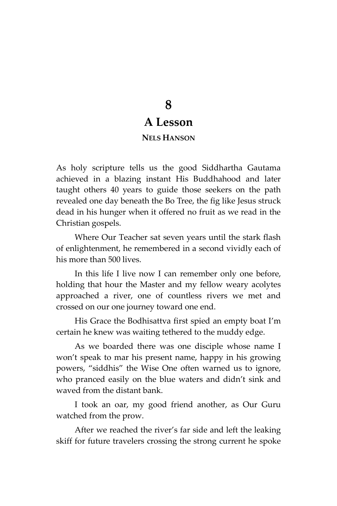# **8 A Lesson**

### **NELS HANSON**

As holy scripture tells us the good Siddhartha Gautama achieved in a blazing instant His Buddhahood and later taught others 40 years to guide those seekers on the path revealed one day beneath the Bo Tree, the fig like Jesus struck dead in his hunger when it offered no fruit as we read in the Christian gospels.

Where Our Teacher sat seven years until the stark flash of enlightenment, he remembered in a second vividly each of his more than 500 lives.

In this life I live now I can remember only one before, holding that hour the Master and my fellow weary acolytes approached a river, one of countless rivers we met and crossed on our one journey toward one end.

His Grace the Bodhisattva first spied an empty boat I'm certain he knew was waiting tethered to the muddy edge.

As we boarded there was one disciple whose name I won't speak to mar his present name, happy in his growing powers, 'siddhis' the Wise One often warned us to ignore, who pranced easily on the blue waters and didn't sink and waved from the distant bank.

I took an oar, my good friend another, as Our Guru watched from the prow.

After we reached the river's far side and left the leaking skiff for future travelers crossing the strong current he spoke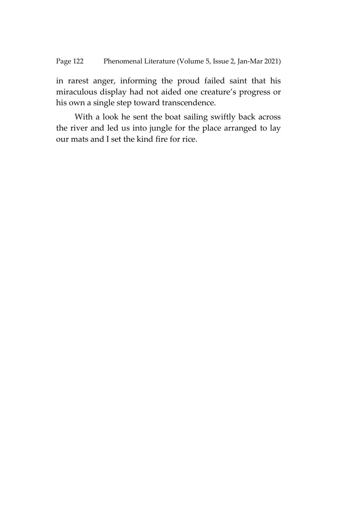in rarest anger, informing the proud failed saint that his miraculous display had not aided one creature's progress or his own a single step toward transcendence.

With a look he sent the boat sailing swiftly back across the river and led us into jungle for the place arranged to lay our mats and I set the kind fire for rice.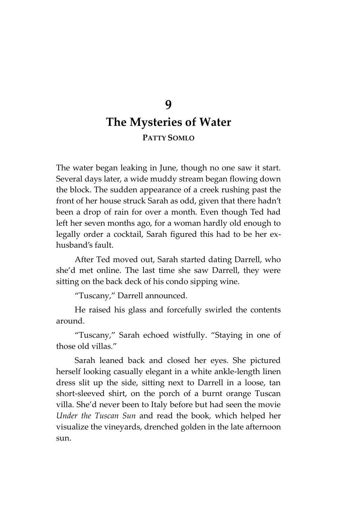## **9 The Mysteries of Water PATTY SOMLO**

The water began leaking in June, though no one saw it start. Several days later, a wide muddy stream began flowing down the block. The sudden appearance of a creek rushing past the front of her house struck Sarah as odd, given that there hadn't been a drop of rain for over a month. Even though Ted had left her seven months ago, for a woman hardly old enough to legally order a cocktail, Sarah figured this had to be her exhusband's fault.

After Ted moved out, Sarah started dating Darrell, who she'd met online. The last time she saw Darrell, they were sitting on the back deck of his condo sipping wine.

'Tuscany,' Darrell announced.

He raised his glass and forcefully swirled the contents around.

'Tuscany,' Sarah echoed wistfully. 'Staying in one of those old villas.'

Sarah leaned back and closed her eyes. She pictured herself looking casually elegant in a white ankle-length linen dress slit up the side, sitting next to Darrell in a loose, tan short-sleeved shirt, on the porch of a burnt orange Tuscan villa. She'd never been to Italy before but had seen the movie *Under the Tuscan Sun* and read the book*,* which helped her visualize the vineyards, drenched golden in the late afternoon sun.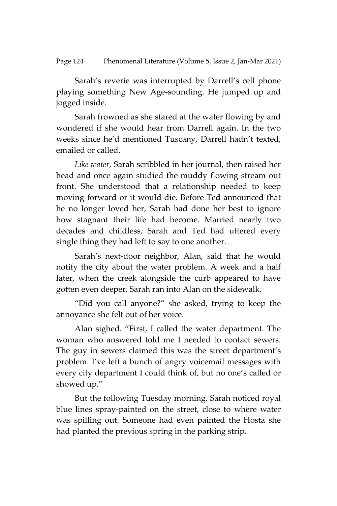Sarah's reverie was interrupted by Darrell's cell phone playing something New Age-sounding. He jumped up and jogged inside.

Sarah frowned as she stared at the water flowing by and wondered if she would hear from Darrell again. In the two weeks since he'd mentioned Tuscany, Darrell hadn't texted, emailed or called.

*Like water,* Sarah scribbled in her journal, then raised her head and once again studied the muddy flowing stream out front. She understood that a relationship needed to keep moving forward or it would die. Before Ted announced that he no longer loved her, Sarah had done her best to ignore how stagnant their life had become. Married nearly two decades and childless, Sarah and Ted had uttered every single thing they had left to say to one another.

Sarah's next-door neighbor, Alan, said that he would notify the city about the water problem. A week and a half later, when the creek alongside the curb appeared to have gotten even deeper, Sarah ran into Alan on the sidewalk.

'Did you call anyone?' she asked, trying to keep the annoyance she felt out of her voice.

Alan sighed. 'First, I called the water department. The woman who answered told me I needed to contact sewers. The guy in sewers claimed this was the street department's problem. I've left a bunch of angry voicemail messages with every city department I could think of, but no one's called or showed up.'

But the following Tuesday morning, Sarah noticed royal blue lines spray-painted on the street, close to where water was spilling out. Someone had even painted the Hosta she had planted the previous spring in the parking strip.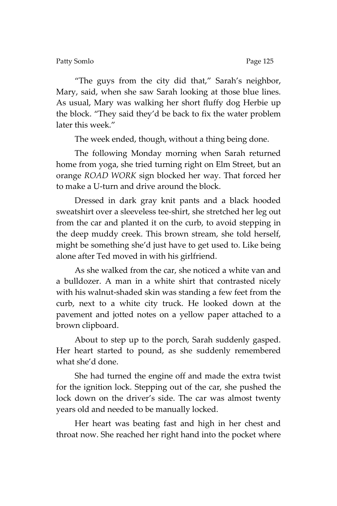Patty Somlo **Page 125** 

'The guys from the city did that,' Sarah's neighbor, Mary, said, when she saw Sarah looking at those blue lines. As usual, Mary was walking her short fluffy dog Herbie up the block. 'They said they'd be back to fix the water problem later this week.'

The week ended, though, without a thing being done.

The following Monday morning when Sarah returned home from yoga, she tried turning right on Elm Street, but an orange *ROAD WORK* sign blocked her way. That forced her to make a U-turn and drive around the block.

Dressed in dark gray knit pants and a black hooded sweatshirt over a sleeveless tee-shirt, she stretched her leg out from the car and planted it on the curb, to avoid stepping in the deep muddy creek. This brown stream, she told herself, might be something she'd just have to get used to. Like being alone after Ted moved in with his girlfriend.

As she walked from the car, she noticed a white van and a bulldozer. A man in a white shirt that contrasted nicely with his walnut-shaded skin was standing a few feet from the curb, next to a white city truck. He looked down at the pavement and jotted notes on a yellow paper attached to a brown clipboard.

About to step up to the porch, Sarah suddenly gasped. Her heart started to pound, as she suddenly remembered what she'd done.

She had turned the engine off and made the extra twist for the ignition lock. Stepping out of the car, she pushed the lock down on the driver's side. The car was almost twenty years old and needed to be manually locked.

Her heart was beating fast and high in her chest and throat now. She reached her right hand into the pocket where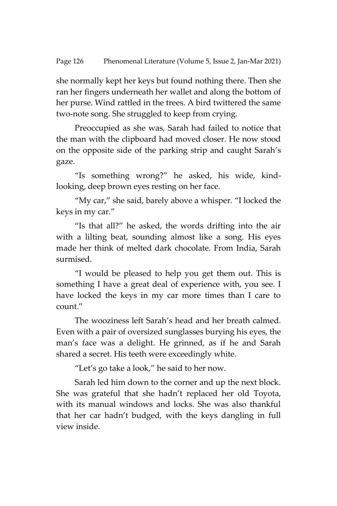she normally kept her keys but found nothing there. Then she ran her fingers underneath her wallet and along the bottom of her purse. Wind rattled in the trees. A bird twittered the same two-note song. She struggled to keep from crying.

Preoccupied as she was, Sarah had failed to notice that the man with the clipboard had moved closer. He now stood on the opposite side of the parking strip and caught Sarah's gaze.

'Is something wrong?' he asked, his wide, kindlooking, deep brown eyes resting on her face.

'My car,' she said, barely above a whisper. 'I locked the keys in my car.'

'Is that all?' he asked, the words drifting into the air with a lilting beat, sounding almost like a song. His eyes made her think of melted dark chocolate. From India, Sarah surmised.

'I would be pleased to help you get them out. This is something I have a great deal of experience with, you see. I have locked the keys in my car more times than I care to count.'

The wooziness left Sarah's head and her breath calmed. Even with a pair of oversized sunglasses burying his eyes, the man's face was a delight. He grinned, as if he and Sarah shared a secret. His teeth were exceedingly white.

'Let's go take a look,' he said to her now.

Sarah led him down to the corner and up the next block. She was grateful that she hadn't replaced her old Toyota, with its manual windows and locks. She was also thankful that her car hadn't budged, with the keys dangling in full view inside.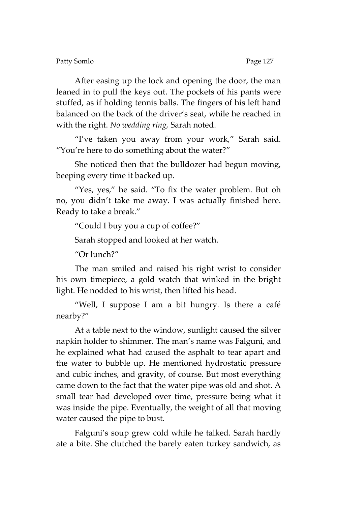After easing up the lock and opening the door, the man leaned in to pull the keys out. The pockets of his pants were stuffed, as if holding tennis balls. The fingers of his left hand balanced on the back of the driver's seat, while he reached in with the right. *No wedding ring,* Sarah noted.

'I've taken you away from your work,' Sarah said. 'You're here to do something about the water?'

She noticed then that the bulldozer had begun moving, beeping every time it backed up.

"Yes, yes," he said. "To fix the water problem. But oh no, you didn't take me away. I was actually finished here. Ready to take a break.'

'Could I buy you a cup of coffee?'

Sarah stopped and looked at her watch.

'Or lunch?'

The man smiled and raised his right wrist to consider his own timepiece, a gold watch that winked in the bright light. He nodded to his wrist, then lifted his head.

'Well, I suppose I am a bit hungry. Is there a café nearby?'

At a table next to the window, sunlight caused the silver napkin holder to shimmer. The man's name was Falguni, and he explained what had caused the asphalt to tear apart and the water to bubble up. He mentioned hydrostatic pressure and cubic inches, and gravity, of course. But most everything came down to the fact that the water pipe was old and shot. A small tear had developed over time, pressure being what it was inside the pipe. Eventually, the weight of all that moving water caused the pipe to bust.

Falguni's soup grew cold while he talked. Sarah hardly ate a bite. She clutched the barely eaten turkey sandwich, as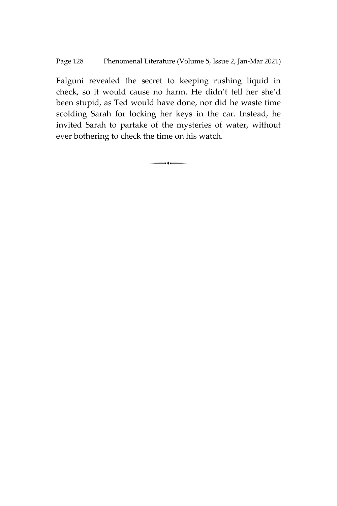Falguni revealed the secret to keeping rushing liquid in check, so it would cause no harm. He didn't tell her she'd been stupid, as Ted would have done, nor did he waste time scolding Sarah for locking her keys in the car. Instead, he invited Sarah to partake of the mysteries of water, without ever bothering to check the time on his watch.

 $\overline{\phantom{a}}$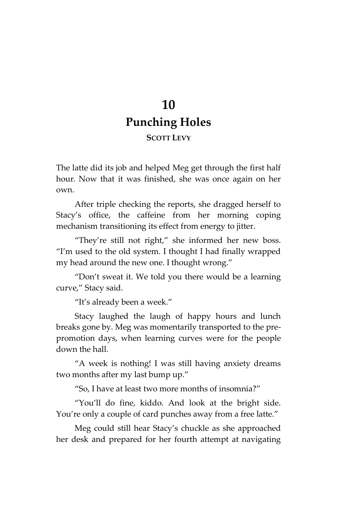# **10 Punching Holes**

### **SCOTT LEVY**

The latte did its job and helped Meg get through the first half hour. Now that it was finished, she was once again on her own.

After triple checking the reports, she dragged herself to Stacy's office, the caffeine from her morning coping mechanism transitioning its effect from energy to jitter.

'They're still not right,' she informed her new boss. 'I'm used to the old system. I thought I had finally wrapped my head around the new one. I thought wrong.'

'Don't sweat it. We told you there would be a learning curve," Stacy said.

'It's already been a week.'

Stacy laughed the laugh of happy hours and lunch breaks gone by. Meg was momentarily transported to the prepromotion days, when learning curves were for the people down the hall.

'A week is nothing! I was still having anxiety dreams two months after my last bump up.'

'So, I have at least two more months of insomnia?'

'You'll do fine, kiddo. And look at the bright side. You're only a couple of card punches away from a free latte.'

Meg could still hear Stacy's chuckle as she approached her desk and prepared for her fourth attempt at navigating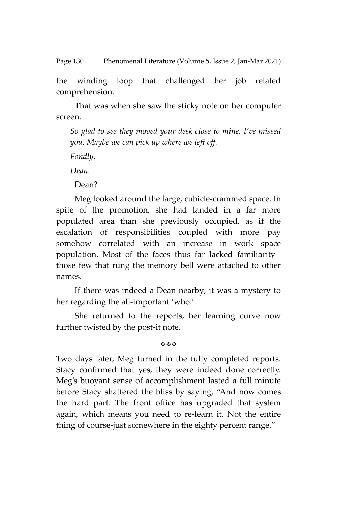Page 130 Phenomenal Literature (Volume 5, Issue 2, Jan-Mar 2021)

the winding loop that challenged her job related comprehension.

That was when she saw the sticky note on her computer screen.

*So glad to see they moved your desk close to mine. I've missed you. Maybe we can pick up where we left off.* 

*Fondly,* 

*Dean.*

Dean?

Meg looked around the large, cubicle-crammed space. In spite of the promotion, she had landed in a far more populated area than she previously occupied, as if the escalation of responsibilities coupled with more pay somehow correlated with an increase in work space population. Most of the faces thus far lacked familiarity- those few that rung the memory bell were attached to other names.

If there was indeed a Dean nearby, it was a mystery to her regarding the all-important 'who.'

She returned to the reports, her learning curve now further twisted by the post-it note.

#### 哈哈哈

Two days later, Meg turned in the fully completed reports. Stacy confirmed that yes, they were indeed done correctly. Meg's buoyant sense of accomplishment lasted a full minute before Stacy shattered the bliss by saying, 'And now comes the hard part. The front office has upgraded that system again, which means you need to re-learn it. Not the entire thing of course-just somewhere in the eighty percent range.'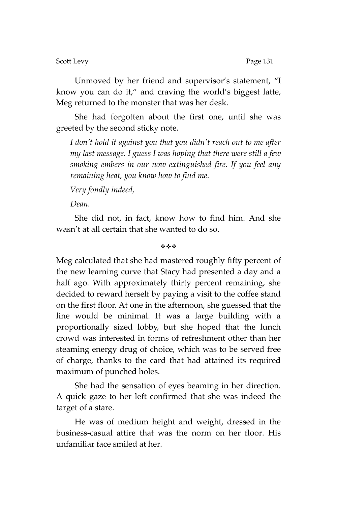Scott Levy Page 131

Unmoved by her friend and supervisor's statement, 'I know you can do it,' and craving the world's biggest latte, Meg returned to the monster that was her desk.

She had forgotten about the first one, until she was greeted by the second sticky note.

*I don't hold it against you that you didn't reach out to me after my last message. I guess I was hoping that there were still a few smoking embers in our now extinguished fire. If you feel any remaining heat, you know how to find me.*

*Very fondly indeed,*

*Dean.*

She did not, in fact, know how to find him. And she wasn't at all certain that she wanted to do so.

#### 哈哈哈

Meg calculated that she had mastered roughly fifty percent of the new learning curve that Stacy had presented a day and a half ago. With approximately thirty percent remaining, she decided to reward herself by paying a visit to the coffee stand on the first floor. At one in the afternoon, she guessed that the line would be minimal. It was a large building with a proportionally sized lobby, but she hoped that the lunch crowd was interested in forms of refreshment other than her steaming energy drug of choice, which was to be served free of charge, thanks to the card that had attained its required maximum of punched holes.

She had the sensation of eyes beaming in her direction. A quick gaze to her left confirmed that she was indeed the target of a stare.

He was of medium height and weight, dressed in the business-casual attire that was the norm on her floor. His unfamiliar face smiled at her.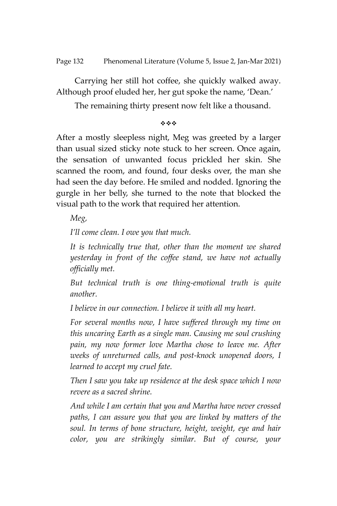Carrying her still hot coffee, she quickly walked away. Although proof eluded her, her gut spoke the name, 'Dean.'

The remaining thirty present now felt like a thousand.

\*\*\*

After a mostly sleepless night, Meg was greeted by a larger than usual sized sticky note stuck to her screen. Once again, the sensation of unwanted focus prickled her skin. She scanned the room, and found, four desks over, the man she had seen the day before. He smiled and nodded. Ignoring the gurgle in her belly, she turned to the note that blocked the visual path to the work that required her attention.

*Meg,*

*I'll come clean. I owe you that much.*

*It is technically true that, other than the moment we shared yesterday in front of the coffee stand, we have not actually officially met.*

*But technical truth is one thing-emotional truth is quite another.* 

*I believe in our connection. I believe it with all my heart.*

*For several months now, I have suffered through my time on this uncaring Earth as a single man. Causing me soul crushing pain, my now former love Martha chose to leave me. After weeks of unreturned calls, and post-knock unopened doors, I learned to accept my cruel fate.* 

*Then I saw you take up residence at the desk space which I now revere as a sacred shrine.*

*And while I am certain that you and Martha have never crossed paths, I can assure you that you are linked by matters of the soul. In terms of bone structure, height, weight, eye and hair color, you are strikingly similar. But of course, your*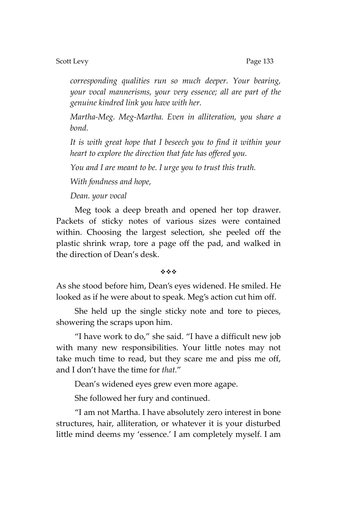#### Scott Levy **Page 133**

*corresponding qualities run so much deeper. Your bearing, your vocal mannerisms, your very essence; all are part of the genuine kindred link you have with her.* 

*Martha-Meg. Meg-Martha. Even in alliteration, you share a bond.*

*It is with great hope that I beseech you to find it within your heart to explore the direction that fate has offered you.* 

*You and I are meant to be. I urge you to trust this truth.*

*With fondness and hope,*

#### *Dean. your vocal*

Meg took a deep breath and opened her top drawer. Packets of sticky notes of various sizes were contained within. Choosing the largest selection, she peeled off the plastic shrink wrap, tore a page off the pad, and walked in the direction of Dean's desk.

#### 哈哈哈

As she stood before him, Dean's eyes widened. He smiled. He looked as if he were about to speak. Meg's action cut him off.

She held up the single sticky note and tore to pieces, showering the scraps upon him.

'I have work to do,' she said. 'I have a difficult new job with many new responsibilities. Your little notes may not take much time to read, but they scare me and piss me off, and I don't have the time for *that.*'

Dean's widened eyes grew even more agape.

She followed her fury and continued.

'I am not Martha. I have absolutely zero interest in bone structures, hair, alliteration, or whatever it is your disturbed little mind deems my 'essence.' I am completely myself. I am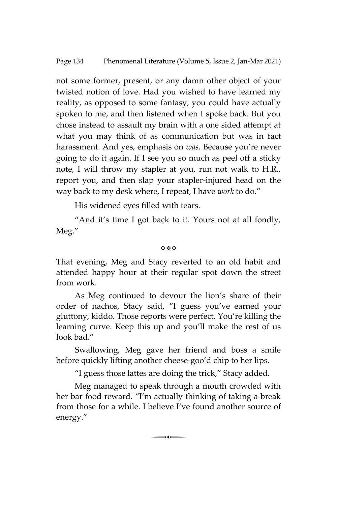not some former, present, or any damn other object of your twisted notion of love. Had you wished to have learned my reality, as opposed to some fantasy, you could have actually spoken to me, and then listened when I spoke back. But you chose instead to assault my brain with a one sided attempt at what you may think of as communication but was in fact harassment. And yes, emphasis on *was.* Because you're never going to do it again. If I see you so much as peel off a sticky note, I will throw my stapler at you, run not walk to H.R., report you, and then slap your stapler-injured head on the way back to my desk where, I repeat, I have *work* to do.'

His widened eyes filled with tears.

'And it's time I got back to it. Yours not at all fondly, Meg.'

#### \*\*\*

That evening, Meg and Stacy reverted to an old habit and attended happy hour at their regular spot down the street from work.

As Meg continued to devour the lion's share of their order of nachos, Stacy said, 'I guess you've earned your gluttony, kiddo. Those reports were perfect. You're killing the learning curve. Keep this up and you'll make the rest of us look bad."

Swallowing, Meg gave her friend and boss a smile before quickly lifting another cheese-goo'd chip to her lips.

'I guess those lattes are doing the trick,' Stacy added.

Meg managed to speak through a mouth crowded with her bar food reward. 'I'm actually thinking of taking a break from those for a while. I believe I've found another source of energy.'

 $\overline{\phantom{a}}$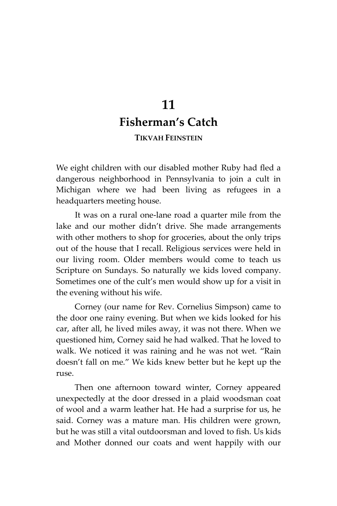# **11 Fisherman's Catch**

### **TIKVAH FEINSTEIN**

We eight children with our disabled mother Ruby had fled a dangerous neighborhood in Pennsylvania to join a cult in Michigan where we had been living as refugees in a headquarters meeting house.

It was on a rural one-lane road a quarter mile from the lake and our mother didn't drive. She made arrangements with other mothers to shop for groceries, about the only trips out of the house that I recall. Religious services were held in our living room. Older members would come to teach us Scripture on Sundays. So naturally we kids loved company. Sometimes one of the cult's men would show up for a visit in the evening without his wife.

Corney (our name for Rev. Cornelius Simpson) came to the door one rainy evening. But when we kids looked for his car, after all, he lived miles away, it was not there. When we questioned him, Corney said he had walked. That he loved to walk. We noticed it was raining and he was not wet. 'Rain doesn't fall on me.' We kids knew better but he kept up the ruse.

Then one afternoon toward winter, Corney appeared unexpectedly at the door dressed in a plaid woodsman coat of wool and a warm leather hat. He had a surprise for us, he said. Corney was a mature man. His children were grown, but he was still a vital outdoorsman and loved to fish. Us kids and Mother donned our coats and went happily with our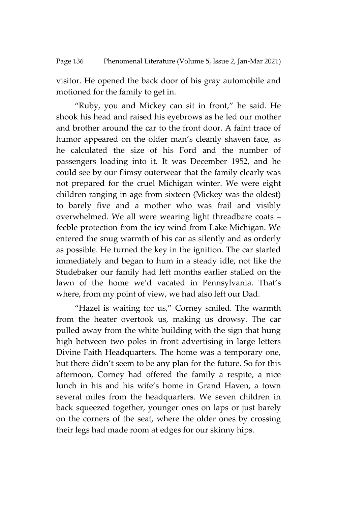visitor. He opened the back door of his gray automobile and motioned for the family to get in.

'Ruby, you and Mickey can sit in front,' he said. He shook his head and raised his eyebrows as he led our mother and brother around the car to the front door. A faint trace of humor appeared on the older man's cleanly shaven face, as he calculated the size of his Ford and the number of passengers loading into it. It was December 1952, and he could see by our flimsy outerwear that the family clearly was not prepared for the cruel Michigan winter. We were eight children ranging in age from sixteen (Mickey was the oldest) to barely five and a mother who was frail and visibly overwhelmed. We all were wearing light threadbare coats – feeble protection from the icy wind from Lake Michigan. We entered the snug warmth of his car as silently and as orderly as possible. He turned the key in the ignition. The car started immediately and began to hum in a steady idle, not like the Studebaker our family had left months earlier stalled on the lawn of the home we'd vacated in Pennsylvania. That's where, from my point of view, we had also left our Dad.

'Hazel is waiting for us,' Corney smiled. The warmth from the heater overtook us, making us drowsy. The car pulled away from the white building with the sign that hung high between two poles in front advertising in large letters Divine Faith Headquarters. The home was a temporary one, but there didn't seem to be any plan for the future. So for this afternoon, Corney had offered the family a respite, a nice lunch in his and his wife's home in Grand Haven, a town several miles from the headquarters. We seven children in back squeezed together, younger ones on laps or just barely on the corners of the seat, where the older ones by crossing their legs had made room at edges for our skinny hips.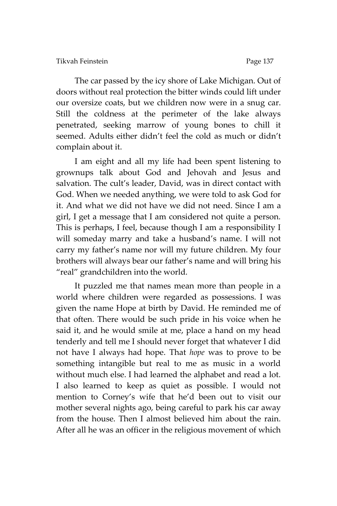The car passed by the icy shore of Lake Michigan. Out of doors without real protection the bitter winds could lift under our oversize coats, but we children now were in a snug car. Still the coldness at the perimeter of the lake always penetrated, seeking marrow of young bones to chill it seemed. Adults either didn't feel the cold as much or didn't complain about it.

I am eight and all my life had been spent listening to grownups talk about God and Jehovah and Jesus and salvation. The cult's leader, David, was in direct contact with God. When we needed anything, we were told to ask God for it. And what we did not have we did not need. Since I am a girl, I get a message that I am considered not quite a person. This is perhaps, I feel, because though I am a responsibility I will someday marry and take a husband's name. I will not carry my father's name nor will my future children. My four brothers will always bear our father's name and will bring his 'real' grandchildren into the world.

It puzzled me that names mean more than people in a world where children were regarded as possessions. I was given the name Hope at birth by David. He reminded me of that often. There would be such pride in his voice when he said it, and he would smile at me, place a hand on my head tenderly and tell me I should never forget that whatever I did not have I always had hope. That *hope* was to prove to be something intangible but real to me as music in a world without much else. I had learned the alphabet and read a lot. I also learned to keep as quiet as possible. I would not mention to Corney's wife that he'd been out to visit our mother several nights ago, being careful to park his car away from the house. Then I almost believed him about the rain. After all he was an officer in the religious movement of which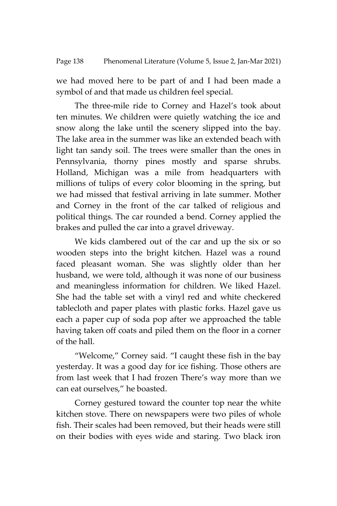#### Page 138 Phenomenal Literature (Volume 5, Issue 2, Jan-Mar 2021)

we had moved here to be part of and I had been made a symbol of and that made us children feel special.

The three-mile ride to Corney and Hazel's took about ten minutes. We children were quietly watching the ice and snow along the lake until the scenery slipped into the bay. The lake area in the summer was like an extended beach with light tan sandy soil. The trees were smaller than the ones in Pennsylvania, thorny pines mostly and sparse shrubs. Holland, Michigan was a mile from headquarters with millions of tulips of every color blooming in the spring, but we had missed that festival arriving in late summer. Mother and Corney in the front of the car talked of religious and political things. The car rounded a bend. Corney applied the brakes and pulled the car into a gravel driveway.

We kids clambered out of the car and up the six or so wooden steps into the bright kitchen. Hazel was a round faced pleasant woman. She was slightly older than her husband, we were told, although it was none of our business and meaningless information for children. We liked Hazel. She had the table set with a vinyl red and white checkered tablecloth and paper plates with plastic forks. Hazel gave us each a paper cup of soda pop after we approached the table having taken off coats and piled them on the floor in a corner of the hall.

'Welcome,' Corney said. 'I caught these fish in the bay yesterday. It was a good day for ice fishing. Those others are from last week that I had frozen There's way more than we can eat ourselves," he boasted.

Corney gestured toward the counter top near the white kitchen stove. There on newspapers were two piles of whole fish. Their scales had been removed, but their heads were still on their bodies with eyes wide and staring. Two black iron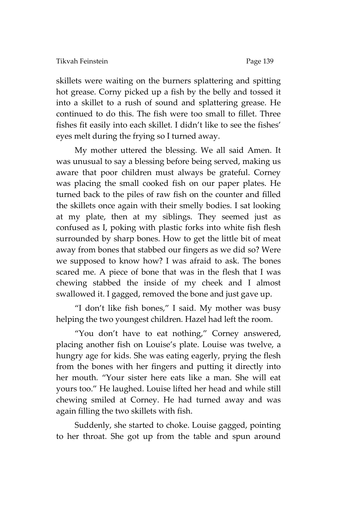skillets were waiting on the burners splattering and spitting hot grease. Corny picked up a fish by the belly and tossed it into a skillet to a rush of sound and splattering grease. He continued to do this. The fish were too small to fillet. Three fishes fit easily into each skillet. I didn't like to see the fishes' eyes melt during the frying so I turned away.

My mother uttered the blessing. We all said Amen. It was unusual to say a blessing before being served, making us aware that poor children must always be grateful. Corney was placing the small cooked fish on our paper plates. He turned back to the piles of raw fish on the counter and filled the skillets once again with their smelly bodies. I sat looking at my plate, then at my siblings. They seemed just as confused as I, poking with plastic forks into white fish flesh surrounded by sharp bones. How to get the little bit of meat away from bones that stabbed our fingers as we did so? Were we supposed to know how? I was afraid to ask. The bones scared me. A piece of bone that was in the flesh that I was chewing stabbed the inside of my cheek and I almost swallowed it. I gagged, removed the bone and just gave up.

'I don't like fish bones,' I said. My mother was busy helping the two youngest children. Hazel had left the room.

"You don't have to eat nothing," Corney answered, placing another fish on Louise's plate. Louise was twelve, a hungry age for kids. She was eating eagerly, prying the flesh from the bones with her fingers and putting it directly into her mouth. 'Your sister here eats like a man. She will eat yours too.' He laughed. Louise lifted her head and while still chewing smiled at Corney. He had turned away and was again filling the two skillets with fish.

Suddenly, she started to choke. Louise gagged, pointing to her throat. She got up from the table and spun around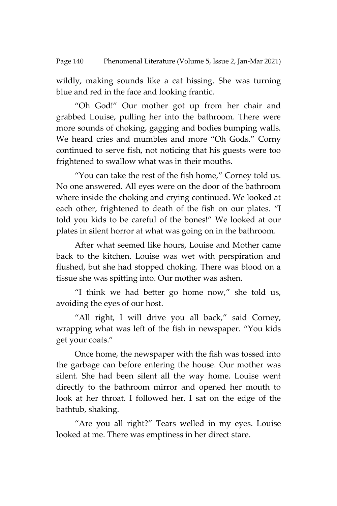wildly, making sounds like a cat hissing. She was turning blue and red in the face and looking frantic.

'Oh God!' Our mother got up from her chair and grabbed Louise, pulling her into the bathroom. There were more sounds of choking, gagging and bodies bumping walls. We heard cries and mumbles and more 'Oh Gods.' Corny continued to serve fish, not noticing that his guests were too frightened to swallow what was in their mouths.

"You can take the rest of the fish home," Corney told us. No one answered. All eyes were on the door of the bathroom where inside the choking and crying continued. We looked at each other, frightened to death of the fish on our plates. 'I told you kids to be careful of the bones!' We looked at our plates in silent horror at what was going on in the bathroom.

After what seemed like hours, Louise and Mother came back to the kitchen. Louise was wet with perspiration and flushed, but she had stopped choking. There was blood on a tissue she was spitting into. Our mother was ashen.

'I think we had better go home now,' she told us, avoiding the eyes of our host.

"All right, I will drive you all back," said Corney, wrapping what was left of the fish in newspaper. 'You kids get your coats.'

Once home, the newspaper with the fish was tossed into the garbage can before entering the house. Our mother was silent. She had been silent all the way home. Louise went directly to the bathroom mirror and opened her mouth to look at her throat. I followed her. I sat on the edge of the bathtub, shaking.

'Are you all right?' Tears welled in my eyes. Louise looked at me. There was emptiness in her direct stare.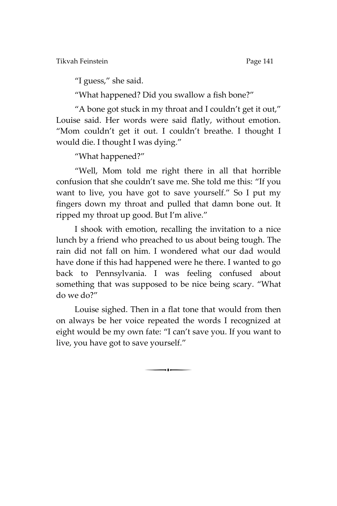Tikvah Feinstein Page 141

'I guess,' she said.

'What happened? Did you swallow a fish bone?'

'A bone got stuck in my throat and I couldn't get it out,' Louise said. Her words were said flatly, without emotion. 'Mom couldn't get it out. I couldn't breathe. I thought I would die. I thought I was dying.'

'What happened?'

'Well, Mom told me right there in all that horrible confusion that she couldn't save me. She told me this: 'If you want to live, you have got to save yourself.' So I put my fingers down my throat and pulled that damn bone out. It ripped my throat up good. But I'm alive.'

I shook with emotion, recalling the invitation to a nice lunch by a friend who preached to us about being tough. The rain did not fall on him. I wondered what our dad would have done if this had happened were he there. I wanted to go back to Pennsylvania. I was feeling confused about something that was supposed to be nice being scary. 'What do we do?'

Louise sighed. Then in a flat tone that would from then on always be her voice repeated the words I recognized at eight would be my own fate: 'I can't save you. If you want to live, you have got to save yourself.'

 $\begin{array}{c} \hline \hline \hline \end{array}$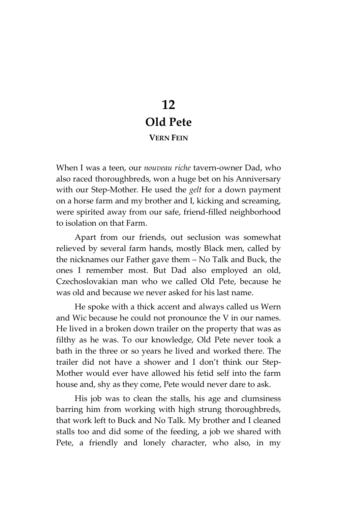## **12 Old Pete VERN FEIN**

When I was a teen, our *nouveau riche* tavern-owner Dad, who also raced thoroughbreds, won a huge bet on his Anniversary with our Step-Mother. He used the *gelt* for a down payment on a horse farm and my brother and I, kicking and screaming, were spirited away from our safe, friend-filled neighborhood to isolation on that Farm.

Apart from our friends, out seclusion was somewhat relieved by several farm hands, mostly Black men, called by the nicknames our Father gave them – No Talk and Buck, the ones I remember most. But Dad also employed an old, Czechoslovakian man who we called Old Pete, because he was old and because we never asked for his last name.

He spoke with a thick accent and always called us Wern and Wic because he could not pronounce the V in our names. He lived in a broken down trailer on the property that was as filthy as he was. To our knowledge, Old Pete never took a bath in the three or so years he lived and worked there. The trailer did not have a shower and I don't think our Step-Mother would ever have allowed his fetid self into the farm house and, shy as they come, Pete would never dare to ask.

His job was to clean the stalls, his age and clumsiness barring him from working with high strung thoroughbreds, that work left to Buck and No Talk. My brother and I cleaned stalls too and did some of the feeding, a job we shared with Pete, a friendly and lonely character, who also, in my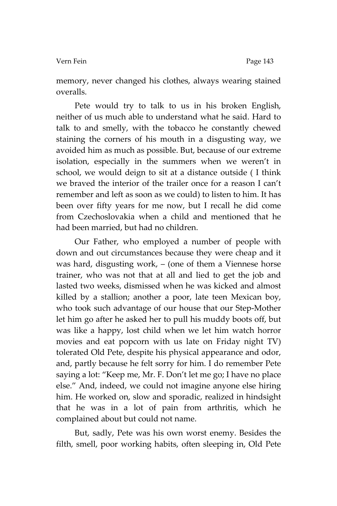#### Vern Fein Page 143

memory, never changed his clothes, always wearing stained overalls.

Pete would try to talk to us in his broken English, neither of us much able to understand what he said. Hard to talk to and smelly, with the tobacco he constantly chewed staining the corners of his mouth in a disgusting way, we avoided him as much as possible. But, because of our extreme isolation, especially in the summers when we weren't in school, we would deign to sit at a distance outside ( I think we braved the interior of the trailer once for a reason I can't remember and left as soon as we could) to listen to him. It has been over fifty years for me now, but I recall he did come from Czechoslovakia when a child and mentioned that he had been married, but had no children.

Our Father, who employed a number of people with down and out circumstances because they were cheap and it was hard, disgusting work, – (one of them a Viennese horse trainer, who was not that at all and lied to get the job and lasted two weeks, dismissed when he was kicked and almost killed by a stallion; another a poor, late teen Mexican boy, who took such advantage of our house that our Step-Mother let him go after he asked her to pull his muddy boots off, but was like a happy, lost child when we let him watch horror movies and eat popcorn with us late on Friday night TV) tolerated Old Pete, despite his physical appearance and odor, and, partly because he felt sorry for him. I do remember Pete saying a lot: 'Keep me, Mr. F. Don't let me go; I have no place else.' And, indeed, we could not imagine anyone else hiring him. He worked on, slow and sporadic, realized in hindsight that he was in a lot of pain from arthritis, which he complained about but could not name.

But, sadly, Pete was his own worst enemy. Besides the filth, smell, poor working habits, often sleeping in, Old Pete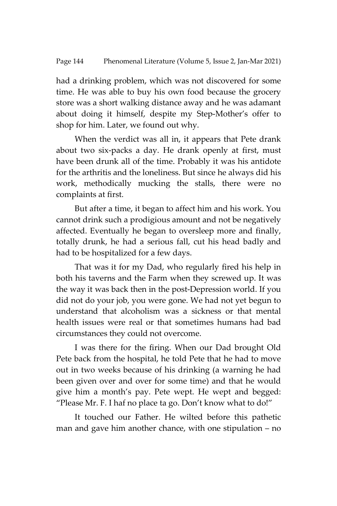had a drinking problem, which was not discovered for some time. He was able to buy his own food because the grocery store was a short walking distance away and he was adamant about doing it himself, despite my Step-Mother's offer to shop for him. Later, we found out why.

When the verdict was all in, it appears that Pete drank about two six-packs a day. He drank openly at first, must have been drunk all of the time. Probably it was his antidote for the arthritis and the loneliness. But since he always did his work, methodically mucking the stalls, there were no complaints at first.

But after a time, it began to affect him and his work. You cannot drink such a prodigious amount and not be negatively affected. Eventually he began to oversleep more and finally, totally drunk, he had a serious fall, cut his head badly and had to be hospitalized for a few days.

That was it for my Dad, who regularly fired his help in both his taverns and the Farm when they screwed up. It was the way it was back then in the post-Depression world. If you did not do your job, you were gone. We had not yet begun to understand that alcoholism was a sickness or that mental health issues were real or that sometimes humans had bad circumstances they could not overcome.

I was there for the firing. When our Dad brought Old Pete back from the hospital, he told Pete that he had to move out in two weeks because of his drinking (a warning he had been given over and over for some time) and that he would give him a month's pay. Pete wept. He wept and begged: 'Please Mr. F. I haf no place ta go. Don't know what to do!'

It touched our Father. He wilted before this pathetic man and gave him another chance, with one stipulation – no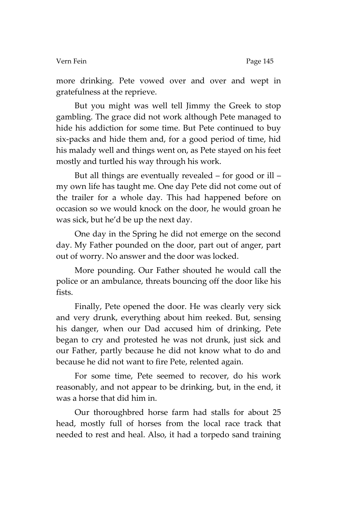#### Vern Fein Page 145

more drinking. Pete vowed over and over and wept in gratefulness at the reprieve.

But you might was well tell Jimmy the Greek to stop gambling. The grace did not work although Pete managed to hide his addiction for some time. But Pete continued to buy six-packs and hide them and, for a good period of time, hid his malady well and things went on, as Pete stayed on his feet mostly and turtled his way through his work.

But all things are eventually revealed – for good or ill – my own life has taught me. One day Pete did not come out of the trailer for a whole day. This had happened before on occasion so we would knock on the door, he would groan he was sick, but he'd be up the next day.

One day in the Spring he did not emerge on the second day. My Father pounded on the door, part out of anger, part out of worry. No answer and the door was locked.

More pounding. Our Father shouted he would call the police or an ambulance, threats bouncing off the door like his fists.

Finally, Pete opened the door. He was clearly very sick and very drunk, everything about him reeked. But, sensing his danger, when our Dad accused him of drinking, Pete began to cry and protested he was not drunk, just sick and our Father, partly because he did not know what to do and because he did not want to fire Pete, relented again.

For some time, Pete seemed to recover, do his work reasonably, and not appear to be drinking, but, in the end, it was a horse that did him in.

Our thoroughbred horse farm had stalls for about 25 head, mostly full of horses from the local race track that needed to rest and heal. Also, it had a torpedo sand training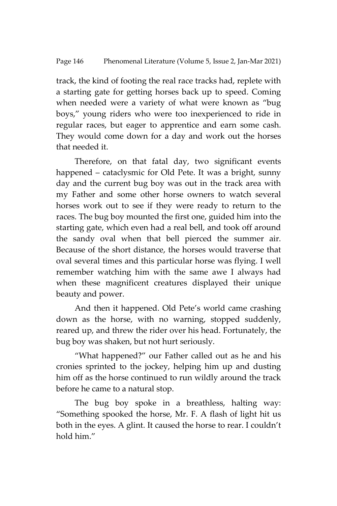track, the kind of footing the real race tracks had, replete with a starting gate for getting horses back up to speed. Coming when needed were a variety of what were known as 'bug boys,' young riders who were too inexperienced to ride in regular races, but eager to apprentice and earn some cash. They would come down for a day and work out the horses that needed it.

Therefore, on that fatal day, two significant events happened – cataclysmic for Old Pete. It was a bright, sunny day and the current bug boy was out in the track area with my Father and some other horse owners to watch several horses work out to see if they were ready to return to the races. The bug boy mounted the first one, guided him into the starting gate, which even had a real bell, and took off around the sandy oval when that bell pierced the summer air. Because of the short distance, the horses would traverse that oval several times and this particular horse was flying. I well remember watching him with the same awe I always had when these magnificent creatures displayed their unique beauty and power.

And then it happened. Old Pete's world came crashing down as the horse, with no warning, stopped suddenly, reared up, and threw the rider over his head. Fortunately, the bug boy was shaken, but not hurt seriously.

'What happened?' our Father called out as he and his cronies sprinted to the jockey, helping him up and dusting him off as the horse continued to run wildly around the track before he came to a natural stop.

The bug boy spoke in a breathless, halting way: 'Something spooked the horse, Mr. F. A flash of light hit us both in the eyes. A glint. It caused the horse to rear. I couldn't hold him"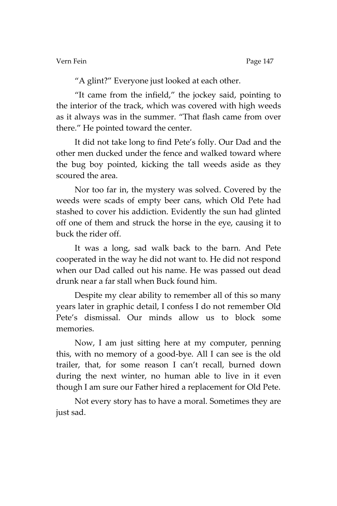Vern Fein Page 147

'A glint?' Everyone just looked at each other.

'It came from the infield,' the jockey said, pointing to the interior of the track, which was covered with high weeds as it always was in the summer. 'That flash came from over there.' He pointed toward the center.

It did not take long to find Pete's folly. Our Dad and the other men ducked under the fence and walked toward where the bug boy pointed, kicking the tall weeds aside as they scoured the area.

Nor too far in, the mystery was solved. Covered by the weeds were scads of empty beer cans, which Old Pete had stashed to cover his addiction. Evidently the sun had glinted off one of them and struck the horse in the eye, causing it to buck the rider off.

It was a long, sad walk back to the barn. And Pete cooperated in the way he did not want to. He did not respond when our Dad called out his name. He was passed out dead drunk near a far stall when Buck found him.

Despite my clear ability to remember all of this so many years later in graphic detail, I confess I do not remember Old Pete's dismissal. Our minds allow us to block some memories.

Now, I am just sitting here at my computer, penning this, with no memory of a good-bye. All I can see is the old trailer, that, for some reason I can't recall, burned down during the next winter, no human able to live in it even though I am sure our Father hired a replacement for Old Pete.

Not every story has to have a moral. Sometimes they are just sad.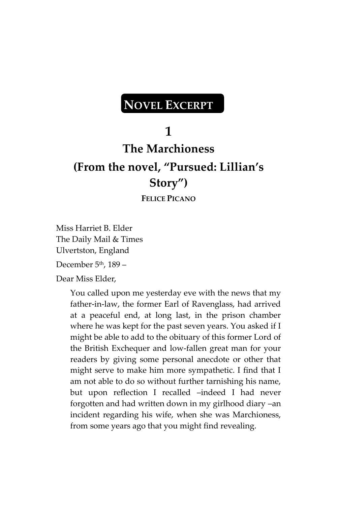# **NOVEL EXCERPT**

## **1**

# **The Marchioness (From the novel, "Pursued: Lillian's Story")**

**FELICE PICANO** 

Miss Harriet B. Elder The Daily Mail & Times Ulvertston, England December  $5<sup>th</sup>$ , 189 –

Dear Miss Elder,

You called upon me yesterday eve with the news that my father-in-law, the former Earl of Ravenglass, had arrived at a peaceful end, at long last, in the prison chamber where he was kept for the past seven years. You asked if I might be able to add to the obituary of this former Lord of the British Exchequer and low-fallen great man for your readers by giving some personal anecdote or other that might serve to make him more sympathetic. I find that I am not able to do so without further tarnishing his name, but upon reflection I recalled –indeed I had never forgotten and had written down in my girlhood diary –an incident regarding his wife, when she was Marchioness, from some years ago that you might find revealing.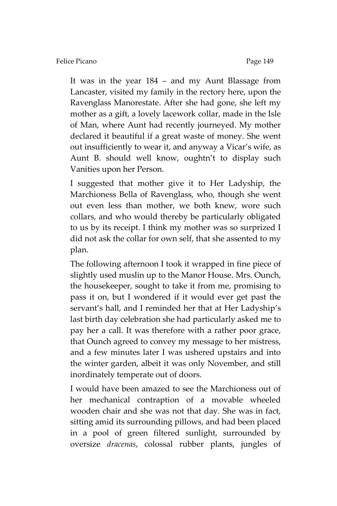It was in the year 184 – and my Aunt Blassage from Lancaster, visited my family in the rectory here, upon the Ravenglass Manorestate. After she had gone, she left my mother as a gift, a lovely lacework collar, made in the Isle of Man, where Aunt had recently journeyed. My mother declared it beautiful if a great waste of money. She went out insufficiently to wear it, and anyway a Vicar's wife, as Aunt B. should well know, oughtn't to display such Vanities upon her Person.

I suggested that mother give it to Her Ladyship, the Marchioness Bella of Ravenglass, who, though she went out even less than mother, we both knew, wore such collars, and who would thereby be particularly obligated to us by its receipt. I think my mother was so surprized I did not ask the collar for own self, that she assented to my plan.

The following afternoon I took it wrapped in fine piece of slightly used muslin up to the Manor House. Mrs. Ounch, the housekeeper, sought to take it from me, promising to pass it on, but I wondered if it would ever get past the servant's hall, and I reminded her that at Her Ladyship's last birth day celebration she had particularly asked me to pay her a call. It was therefore with a rather poor grace, that Ounch agreed to convey my message to her mistress, and a few minutes later I was ushered upstairs and into the winter garden, albeit it was only November, and still inordinately temperate out of doors.

I would have been amazed to see the Marchioness out of her mechanical contraption of a movable wheeled wooden chair and she was not that day. She was in fact, sitting amid its surrounding pillows, and had been placed in a pool of green filtered sunlight, surrounded by oversize *dracenas*, colossal rubber plants, jungles of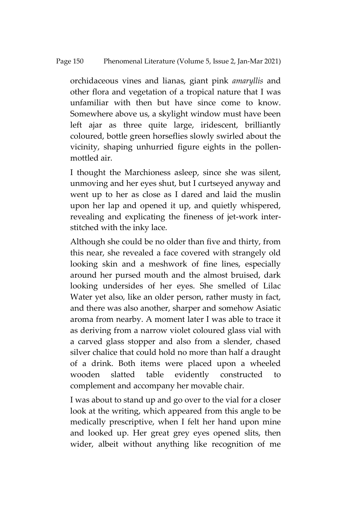orchidaceous vines and lianas, giant pink *amaryllis* and other flora and vegetation of a tropical nature that I was unfamiliar with then but have since come to know. Somewhere above us, a skylight window must have been left ajar as three quite large, iridescent, brilliantly coloured, bottle green horseflies slowly swirled about the vicinity, shaping unhurried figure eights in the pollenmottled air.

I thought the Marchioness asleep, since she was silent, unmoving and her eyes shut, but I curtseyed anyway and went up to her as close as I dared and laid the muslin upon her lap and opened it up, and quietly whispered, revealing and explicating the fineness of jet-work interstitched with the inky lace.

Although she could be no older than five and thirty, from this near, she revealed a face covered with strangely old looking skin and a meshwork of fine lines, especially around her pursed mouth and the almost bruised, dark looking undersides of her eyes. She smelled of Lilac Water yet also, like an older person, rather musty in fact, and there was also another, sharper and somehow Asiatic aroma from nearby. A moment later I was able to trace it as deriving from a narrow violet coloured glass vial with a carved glass stopper and also from a slender, chased silver chalice that could hold no more than half a draught of a drink. Both items were placed upon a wheeled wooden slatted table evidently constructed to complement and accompany her movable chair.

I was about to stand up and go over to the vial for a closer look at the writing, which appeared from this angle to be medically prescriptive, when I felt her hand upon mine and looked up. Her great grey eyes opened slits, then wider, albeit without anything like recognition of me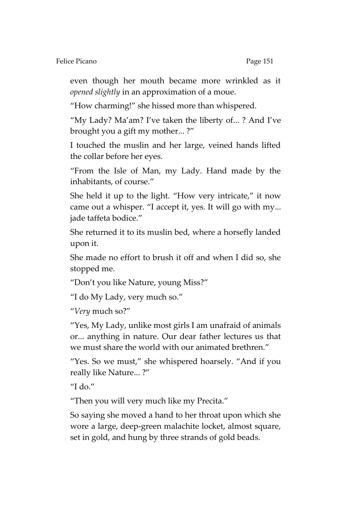even though her mouth became more wrinkled as it *opened slightly* in an approximation of a moue.

'How charming!' she hissed more than whispered.

'My Lady? Ma'am? I've taken the liberty of... ? And I've brought you a gift my mother... ?'

I touched the muslin and her large, veined hands lifted the collar before her eyes.

'From the Isle of Man, my Lady. Hand made by the inhabitants, of course.'

She held it up to the light. "How very intricate," it now came out a whisper. 'I accept it, yes. It will go with my... jade taffeta bodice.'

She returned it to its muslin bed, where a horsefly landed upon it.

She made no effort to brush it off and when I did so, she stopped me.

'Don't you like Nature, young Miss?'

'I do My Lady, very much so.'

'*Very* much so?'

'Yes, My Lady, unlike most girls I am unafraid of animals or... anything in nature. Our dear father lectures us that we must share the world with our animated brethren.'

'Yes. So we must,' she whispered hoarsely. 'And if you really like Nature... ?'

"I do."

'Then you will very much like my Precita.'

So saying she moved a hand to her throat upon which she wore a large, deep-green malachite locket, almost square, set in gold, and hung by three strands of gold beads.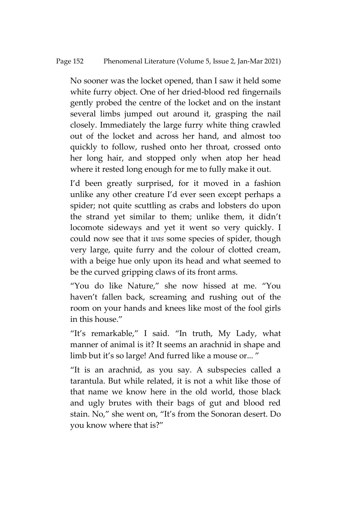No sooner was the locket opened, than I saw it held some white furry object. One of her dried-blood red fingernails gently probed the centre of the locket and on the instant several limbs jumped out around it, grasping the nail closely. Immediately the large furry white thing crawled out of the locket and across her hand, and almost too quickly to follow, rushed onto her throat, crossed onto her long hair, and stopped only when atop her head where it rested long enough for me to fully make it out.

I'd been greatly surprised, for it moved in a fashion unlike any other creature I'd ever seen except perhaps a spider; not quite scuttling as crabs and lobsters do upon the strand yet similar to them; unlike them, it didn't locomote sideways and yet it went so very quickly. I could now see that it *was* some species of spider, though very large, quite furry and the colour of clotted cream, with a beige hue only upon its head and what seemed to be the curved gripping claws of its front arms.

'You do like Nature,' she now hissed at me. 'You haven't fallen back, screaming and rushing out of the room on your hands and knees like most of the fool girls in this house.'

'It's remarkable,' I said. 'In truth, My Lady, what manner of animal is it? It seems an arachnid in shape and limb but it's so large! And furred like a mouse or..."

'It is an arachnid, as you say. A subspecies called a tarantula. But while related, it is not a whit like those of that name we know here in the old world, those black and ugly brutes with their bags of gut and blood red stain. No,' she went on, 'It's from the Sonoran desert. Do you know where that is?'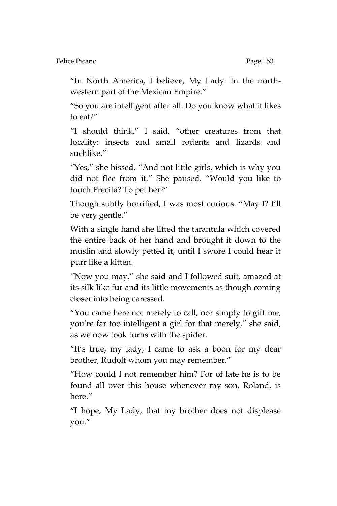Felice Picano Page 153

'In North America, I believe, My Lady: In the northwestern part of the Mexican Empire.'

'So you are intelligent after all. Do you know what it likes to eat?'

'I should think,' I said, 'other creatures from that locality: insects and small rodents and lizards and suchlike."

"Yes," she hissed, "And not little girls, which is why you did not flee from it.' She paused. 'Would you like to touch Precita? To pet her?'

Though subtly horrified, I was most curious. 'May I? I'll be very gentle.'

With a single hand she lifted the tarantula which covered the entire back of her hand and brought it down to the muslin and slowly petted it, until I swore I could hear it purr like a kitten.

'Now you may,' she said and I followed suit, amazed at its silk like fur and its little movements as though coming closer into being caressed.

'You came here not merely to call, nor simply to gift me, you're far too intelligent a girl for that merely,' she said, as we now took turns with the spider.

'It's true, my lady, I came to ask a boon for my dear brother, Rudolf whom you may remember.'

'How could I not remember him? For of late he is to be found all over this house whenever my son, Roland, is here.'

'I hope, My Lady, that my brother does not displease you.'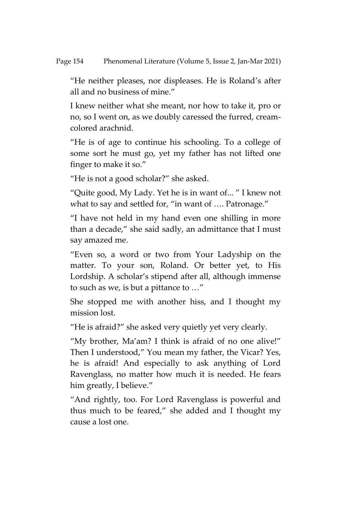'He neither pleases, nor displeases. He is Roland's after all and no business of mine.'

I knew neither what she meant, nor how to take it, pro or no, so I went on, as we doubly caressed the furred, creamcolored arachnid.

'He is of age to continue his schooling. To a college of some sort he must go, yet my father has not lifted one finger to make it so.'

'He is not a good scholar?' she asked.

'Quite good, My Lady. Yet he is in want of... ' I knew not what to say and settled for, "in want of .... Patronage."

'I have not held in my hand even one shilling in more than a decade,' she said sadly, an admittance that I must say amazed me.

'Even so, a word or two from Your Ladyship on the matter. To your son, Roland. Or better yet, to His Lordship. A scholar's stipend after all, although immense to such as we, is but a pittance to …'

She stopped me with another hiss, and I thought my mission lost.

'He is afraid?' she asked very quietly yet very clearly.

'My brother, Ma'am? I think is afraid of no one alive!' Then I understood,' You mean my father, the Vicar? Yes, he is afraid! And especially to ask anything of Lord Ravenglass, no matter how much it is needed. He fears him greatly, I believe."

'And rightly, too. For Lord Ravenglass is powerful and thus much to be feared,' she added and I thought my cause a lost one.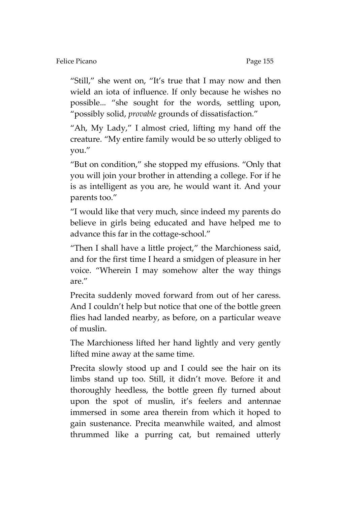"Still," she went on, "It's true that I may now and then wield an iota of influence. If only because he wishes no possible... 'she sought for the words, settling upon, 'possibly solid, *provable* grounds of dissatisfaction.'

'Ah, My Lady,' I almost cried, lifting my hand off the creature. 'My entire family would be so utterly obliged to you.'

'But on condition,' she stopped my effusions. 'Only that you will join your brother in attending a college. For if he is as intelligent as you are, he would want it. And your parents too.'

'I would like that very much, since indeed my parents do believe in girls being educated and have helped me to advance this far in the cottage-school.'

'Then I shall have a little project,' the Marchioness said, and for the first time I heard a smidgen of pleasure in her voice. 'Wherein I may somehow alter the way things are.'

Precita suddenly moved forward from out of her caress. And I couldn't help but notice that one of the bottle green flies had landed nearby, as before, on a particular weave of muslin.

The Marchioness lifted her hand lightly and very gently lifted mine away at the same time.

Precita slowly stood up and I could see the hair on its limbs stand up too. Still, it didn't move. Before it and thoroughly heedless, the bottle green fly turned about upon the spot of muslin, it's feelers and antennae immersed in some area therein from which it hoped to gain sustenance. Precita meanwhile waited, and almost thrummed like a purring cat, but remained utterly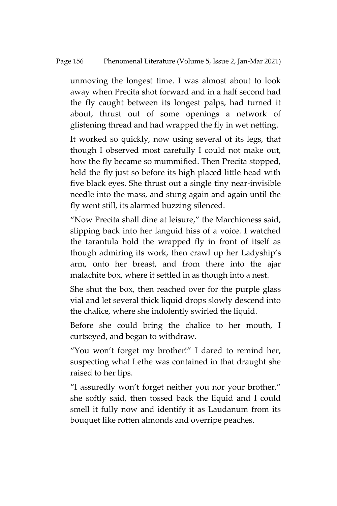#### Page 156 Phenomenal Literature (Volume 5, Issue 2, Jan-Mar 2021)

unmoving the longest time. I was almost about to look away when Precita shot forward and in a half second had the fly caught between its longest palps, had turned it about, thrust out of some openings a network of glistening thread and had wrapped the fly in wet netting.

It worked so quickly, now using several of its legs, that though I observed most carefully I could not make out, how the fly became so mummified. Then Precita stopped, held the fly just so before its high placed little head with five black eyes. She thrust out a single tiny near-invisible needle into the mass, and stung again and again until the fly went still, its alarmed buzzing silenced.

'Now Precita shall dine at leisure,' the Marchioness said, slipping back into her languid hiss of a voice. I watched the tarantula hold the wrapped fly in front of itself as though admiring its work, then crawl up her Ladyship's arm, onto her breast, and from there into the ajar malachite box, where it settled in as though into a nest.

She shut the box, then reached over for the purple glass vial and let several thick liquid drops slowly descend into the chalice, where she indolently swirled the liquid.

Before she could bring the chalice to her mouth, I curtseyed, and began to withdraw.

'You won't forget my brother!' I dared to remind her, suspecting what Lethe was contained in that draught she raised to her lips.

'I assuredly won't forget neither you nor your brother,' she softly said, then tossed back the liquid and I could smell it fully now and identify it as Laudanum from its bouquet like rotten almonds and overripe peaches.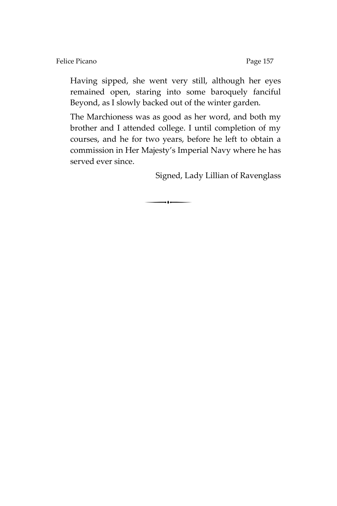Having sipped, she went very still, although her eyes remained open, staring into some baroquely fanciful Beyond, as I slowly backed out of the winter garden.

The Marchioness was as good as her word, and both my brother and I attended college. I until completion of my courses, and he for two years, before he left to obtain a commission in Her Majesty's Imperial Navy where he has served ever since.

 $\overline{\phantom{a}}$ 

Signed, Lady Lillian of Ravenglass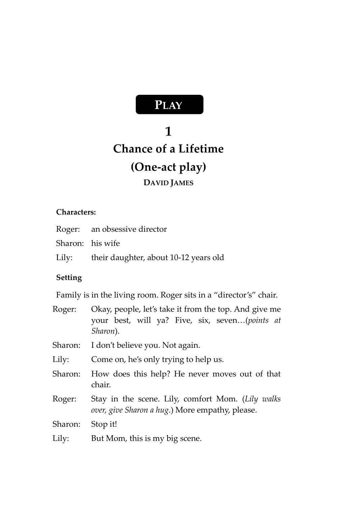# **PLAY**

# **1 Chance of a Lifetime (One-act play)**

## **DAVID JAMES**

### **Characters:**

| Roger: an obsessive director                |
|---------------------------------------------|
| Sharon: his wife                            |
| Lily: their daughter, about 10-12 years old |

### **Setting**

Family is in the living room. Roger sits in a "director's" chair.

| Roger:  | Okay, people, let's take it from the top. And give me<br>your best, will ya? Five, six, seven(points at<br>Sharon). |
|---------|---------------------------------------------------------------------------------------------------------------------|
| Sharon: | I don't believe you. Not again.                                                                                     |
| Lily:   | Come on, he's only trying to help us.                                                                               |
| Sharon: | How does this help? He never moves out of that<br>chair.                                                            |
| Roger:  | Stay in the scene. Lily, comfort Mom. (Lily walks<br>over, give Sharon a hug.) More empathy, please.                |
| Sharon: | Stop it!                                                                                                            |
| Lily:   | But Mom, this is my big scene.                                                                                      |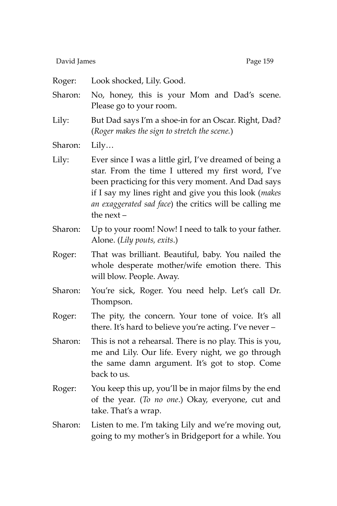David James **Page 159** 

Roger: Look shocked, Lily. Good. Sharon: No, honey, this is your Mom and Dad's scene. Please go to your room. Lily: But Dad says I'm a shoe-in for an Oscar. Right, Dad? (*Roger makes the sign to stretch the scene.*) Sharon: Lily… Lily: Ever since I was a little girl, I've dreamed of being a star. From the time I uttered my first word, I've been practicing for this very moment. And Dad says if I say my lines right and give you this look (*makes an exaggerated sad face*) the critics will be calling me the next – Sharon: Up to your room! Now! I need to talk to your father. Alone. (*Lily pouts, exits*.) Roger: That was brilliant. Beautiful, baby. You nailed the whole desperate mother/wife emotion there. This will blow. People. Away. Sharon: You're sick, Roger. You need help. Let's call Dr. Thompson. Roger: The pity, the concern. Your tone of voice. It's all there. It's hard to believe you're acting. I've never – Sharon: This is not a rehearsal. There is no play. This is you, me and Lily. Our life. Every night, we go through the same damn argument. It's got to stop. Come back to us. Roger: You keep this up, you'll be in major films by the end of the year. (*To no one*.) Okay, everyone, cut and take. That's a wrap. Sharon: Listen to me. I'm taking Lily and we're moving out, going to my mother's in Bridgeport for a while. You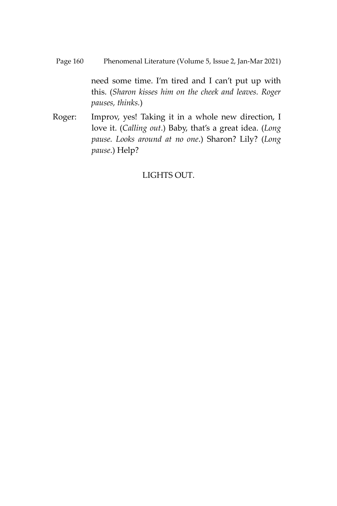Page 160 Phenomenal Literature (Volume 5, Issue 2, Jan-Mar 2021)

need some time. I'm tired and I can't put up with this. (*Sharon kisses him on the cheek and leaves. Roger pauses, thinks.*)

Roger: Improv, yes! Taking it in a whole new direction, I love it. (*Calling out*.) Baby, that's a great idea. (*Long pause. Looks around at no one*.) Sharon? Lily? (*Long pause*.) Help?

### LIGHTS OUT.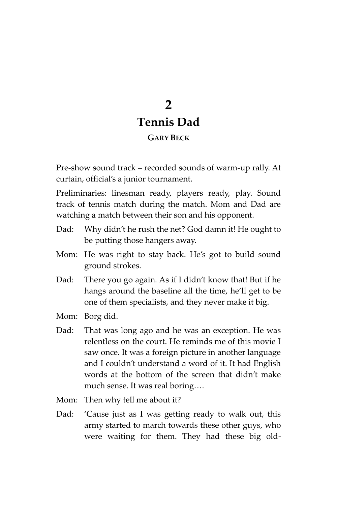## **2 Tennis Dad GARY BECK**

Pre-show sound track – recorded sounds of warm-up rally. At curtain, official's a junior tournament.

Preliminaries: linesman ready, players ready, play. Sound track of tennis match during the match. Mom and Dad are watching a match between their son and his opponent.

- Dad: Why didn't he rush the net? God damn it! He ought to be putting those hangers away.
- Mom: He was right to stay back. He's got to build sound ground strokes.
- Dad: There you go again. As if I didn't know that! But if he hangs around the baseline all the time, he'll get to be one of them specialists, and they never make it big.
- Mom: Borg did.
- Dad: That was long ago and he was an exception. He was relentless on the court. He reminds me of this movie I saw once. It was a foreign picture in another language and I couldn't understand a word of it. It had English words at the bottom of the screen that didn't make much sense. It was real boring….
- Mom: Then why tell me about it?
- Dad: 'Cause just as I was getting ready to walk out, this army started to march towards these other guys, who were waiting for them. They had these big old-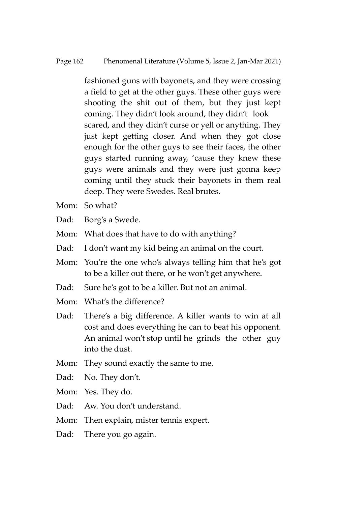fashioned guns with bayonets, and they were crossing a field to get at the other guys. These other guys were shooting the shit out of them, but they just kept coming. They didn't look around, they didn't look scared, and they didn't curse or yell or anything. They just kept getting closer. And when they got close enough for the other guys to see their faces, the other guys started running away, 'cause they knew these guys were animals and they were just gonna keep coming until they stuck their bayonets in them real deep. They were Swedes. Real brutes.

- Mom: So what?
- Dad: Borg's a Swede.
- Mom: What does that have to do with anything?
- Dad: I don't want my kid being an animal on the court.
- Mom: You're the one who's always telling him that he's got to be a killer out there, or he won't get anywhere.
- Dad: Sure he's got to be a killer. But not an animal.
- Mom: What's the difference?
- Dad: There's a big difference. A killer wants to win at all cost and does everything he can to beat his opponent. An animal won't stop until he grinds the other guy into the dust.
- Mom: They sound exactly the same to me.
- Dad: No. They don't.
- Mom: Yes. They do.
- Dad: Aw. You don't understand.
- Mom: Then explain, mister tennis expert.
- Dad: There you go again.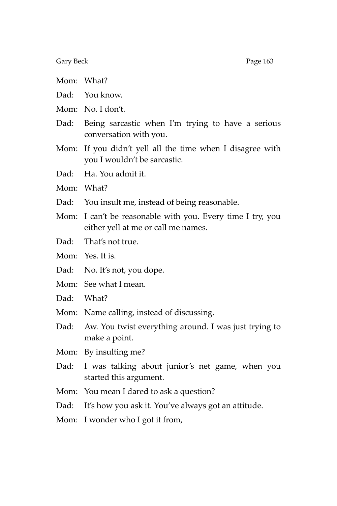Gary Beck Page 163

- Mom: What?
- Dad: You know.
- Mom: No. I don't.
- Dad: Being sarcastic when I'm trying to have a serious conversation with you.
- Mom: If you didn't yell all the time when I disagree with you I wouldn't be sarcastic.
- Dad: Ha. You admit it.
- Mom: What?
- Dad: You insult me, instead of being reasonable.
- Mom: I can't be reasonable with you. Every time I try, you either yell at me or call me names.
- Dad: That's not true.
- Mom: Yes. It is.
- Dad: No. It's not, you dope.
- Mom: See what I mean.
- Dad: What?
- Mom: Name calling, instead of discussing.
- Dad: Aw. You twist everything around. I was just trying to make a point.
- Mom: By insulting me?
- Dad: I was talking about junior's net game, when you started this argument.
- Mom: You mean I dared to ask a question?
- Dad: It's how you ask it. You've always got an attitude.
- Mom: I wonder who I got it from,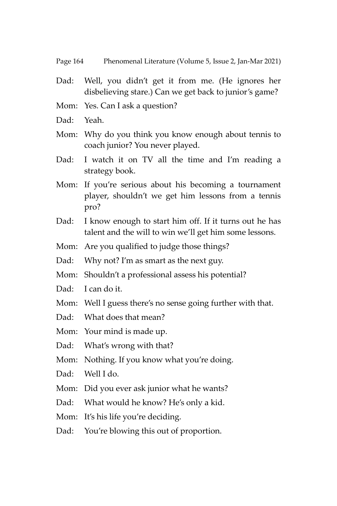- Dad: Well, you didn't get it from me. (He ignores her disbelieving stare.) Can we get back to junior's game?
- Mom: Yes. Can I ask a question?
- Dad: Yeah.
- Mom: Why do you think you know enough about tennis to coach junior? You never played.
- Dad: I watch it on TV all the time and I'm reading a strategy book.
- Mom: If you're serious about his becoming a tournament player, shouldn't we get him lessons from a tennis pro?
- Dad: I know enough to start him off. If it turns out he has talent and the will to win we'll get him some lessons.
- Mom: Are you qualified to judge those things?
- Dad: Why not? I'm as smart as the next guy.
- Mom: Shouldn't a professional assess his potential?
- Dad: I can do it.
- Mom: Well I guess there's no sense going further with that.
- Dad: What does that mean?
- Mom: Your mind is made up.
- Dad: What's wrong with that?
- Mom: Nothing. If you know what you're doing.
- Dad: Well I do.
- Mom: Did you ever ask junior what he wants?
- Dad: What would he know? He's only a kid.
- Mom: It's his life you're deciding.
- Dad: You're blowing this out of proportion.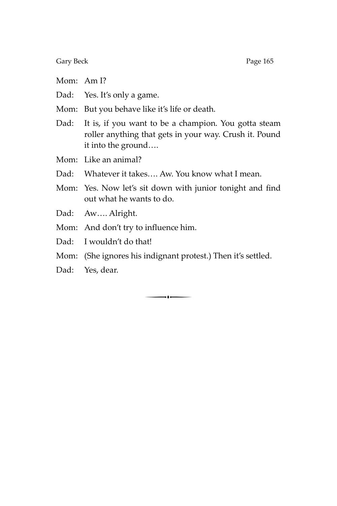Gary Beck Page 165

- Mom: Am I?
- Dad: Yes. It's only a game.
- Mom: But you behave like it's life or death.
- Dad: It is, if you want to be a champion. You gotta steam roller anything that gets in your way. Crush it. Pound it into the ground….

Mom: Like an animal?

- Dad: Whatever it takes…. Aw. You know what I mean.
- Mom: Yes. Now let's sit down with junior tonight and find out what he wants to do.
- Dad: Aw…. Alright.
- Mom: And don't try to influence him.
- Dad: I wouldn't do that!
- Mom: (She ignores his indignant protest.) Then it's settled.
- Dad: Yes, dear.

 $\begin{array}{c} \hline \hline \hline \end{array}$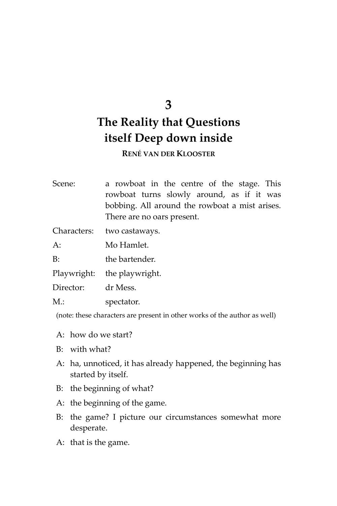### **3**

## **The Reality that Questions itself Deep down inside**

**RENÉ VAN DER KLOOSTER**

Scene: a rowboat in the centre of the stage. This rowboat turns slowly around, as if it was bobbing. All around the rowboat a mist arises. There are no oars present.

Characters: two castaways.

A: Mo Hamlet.

B: the bartender.

Playwright: the playwright.

Director: dr Mess.

M.: spectator.

(note: these characters are present in other works of the author as well)

- A: how do we start?
- B: with what?
- A: ha, unnoticed, it has already happened, the beginning has started by itself.
- B: the beginning of what?
- A: the beginning of the game.
- B: the game? I picture our circumstances somewhat more desperate.
- A: that is the game.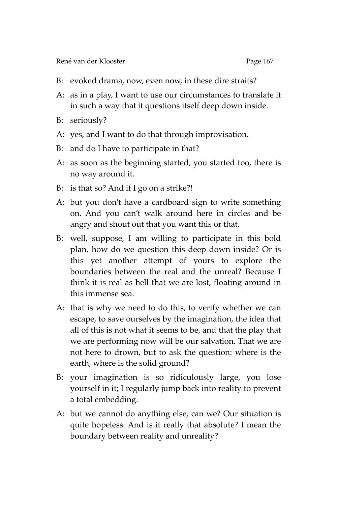- B: evoked drama, now, even now, in these dire straits?
- A: as in a play, I want to use our circumstances to translate it in such a way that it questions itself deep down inside.
- B: seriously?
- A: yes, and I want to do that through improvisation.
- B: and do I have to participate in that?
- A: as soon as the beginning started, you started too, there is no way around it.
- B: is that so? And if I go on a strike?!
- A: but you don't have a cardboard sign to write something on. And you can't walk around here in circles and be angry and shout out that you want this or that.
- B: well, suppose, I am willing to participate in this bold plan, how do we question this deep down inside? Or is this yet another attempt of yours to explore the boundaries between the real and the unreal? Because I think it is real as hell that we are lost, floating around in this immense sea.
- A: that is why we need to do this, to verify whether we can escape, to save ourselves by the imagination, the idea that all of this is not what it seems to be, and that the play that we are performing now will be our salvation. That we are not here to drown, but to ask the question: where is the earth, where is the solid ground?
- B: your imagination is so ridiculously large, you lose yourself in it; I regularly jump back into reality to prevent a total embedding.
- A: but we cannot do anything else, can we? Our situation is quite hopeless. And is it really that absolute? I mean the boundary between reality and unreality?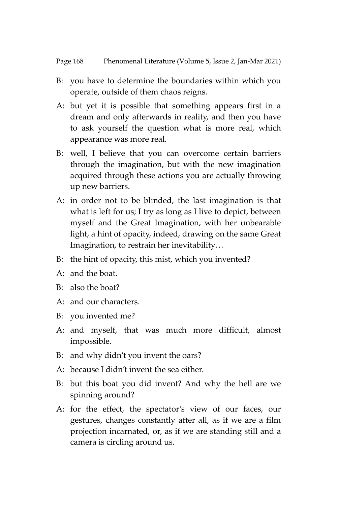- B: you have to determine the boundaries within which you operate, outside of them chaos reigns.
- A: but yet it is possible that something appears first in a dream and only afterwards in reality, and then you have to ask yourself the question what is more real, which appearance was more real.
- B: well, I believe that you can overcome certain barriers through the imagination, but with the new imagination acquired through these actions you are actually throwing up new barriers.
- A: in order not to be blinded, the last imagination is that what is left for us; I try as long as I live to depict, between myself and the Great Imagination, with her unbearable light, a hint of opacity, indeed, drawing on the same Great Imagination, to restrain her inevitability…
- B: the hint of opacity, this mist, which you invented?
- $A^{\dagger}$  and the boat.
- B: also the boat?
- A: and our characters.
- B: you invented me?
- A: and myself, that was much more difficult, almost impossible.
- B: and why didn't you invent the oars?
- A: because I didn't invent the sea either.
- B: but this boat you did invent? And why the hell are we spinning around?
- A: for the effect, the spectator's view of our faces, our gestures, changes constantly after all, as if we are a film projection incarnated, or, as if we are standing still and a camera is circling around us.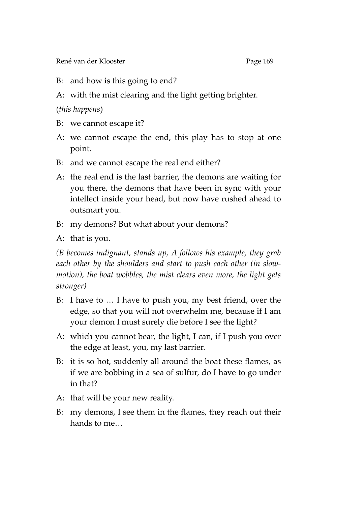René van der Klooster **Page 169** 

- B: and how is this going to end?
- A: with the mist clearing and the light getting brighter.

(*this happens*)

- B: we cannot escape it?
- A: we cannot escape the end, this play has to stop at one point.
- B: and we cannot escape the real end either?
- A: the real end is the last barrier, the demons are waiting for you there, the demons that have been in sync with your intellect inside your head, but now have rushed ahead to outsmart you.
- B: my demons? But what about your demons?
- A: that is you.

*(B becomes indignant, stands up, A follows his example, they grab each other by the shoulders and start to push each other (in slowmotion), the boat wobbles, the mist clears even more, the light gets stronger)*

- B: I have to … I have to push you, my best friend, over the edge, so that you will not overwhelm me, because if I am your demon I must surely die before I see the light?
- A: which you cannot bear, the light, I can, if I push you over the edge at least, you, my last barrier.
- B: it is so hot, suddenly all around the boat these flames, as if we are bobbing in a sea of sulfur, do I have to go under in that?
- A: that will be your new reality.
- B: my demons, I see them in the flames, they reach out their hands to me…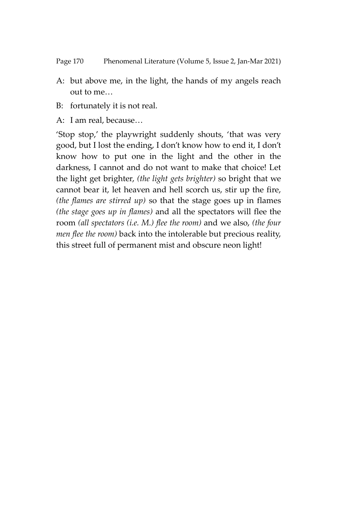- A: but above me, in the light, the hands of my angels reach out to me…
- B: fortunately it is not real.
- A: I am real, because…

'Stop stop,' the playwright suddenly shouts, 'that was very good, but I lost the ending, I don't know how to end it, I don't know how to put one in the light and the other in the darkness, I cannot and do not want to make that choice! Let the light get brighter, *(the light gets brighter)* so bright that we cannot bear it, let heaven and hell scorch us, stir up the fire, *(the flames are stirred up)* so that the stage goes up in flames *(the stage goes up in flames)* and all the spectators will flee the room *(all spectators (i.e. M.) flee the room)* and we also, *(the four men flee the room)* back into the intolerable but precious reality, this street full of permanent mist and obscure neon light!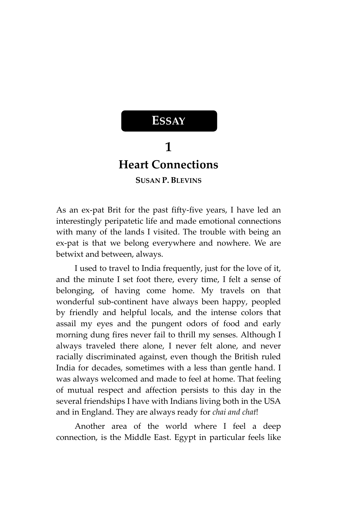## **1 Heart Connections SUSAN P. BLEVINS**

**ESSAY**

As an ex-pat Brit for the past fifty-five years, I have led an interestingly peripatetic life and made emotional connections with many of the lands I visited. The trouble with being an ex-pat is that we belong everywhere and nowhere. We are betwixt and between, always.

I used to travel to India frequently, just for the love of it, and the minute I set foot there, every time, I felt a sense of belonging, of having come home. My travels on that wonderful sub-continent have always been happy, peopled by friendly and helpful locals, and the intense colors that assail my eyes and the pungent odors of food and early morning dung fires never fail to thrill my senses. Although I always traveled there alone, I never felt alone, and never racially discriminated against, even though the British ruled India for decades, sometimes with a less than gentle hand. I was always welcomed and made to feel at home. That feeling of mutual respect and affection persists to this day in the several friendships I have with Indians living both in the USA and in England. They are always ready for *chai and chat*!

Another area of the world where I feel a deep connection, is the Middle East. Egypt in particular feels like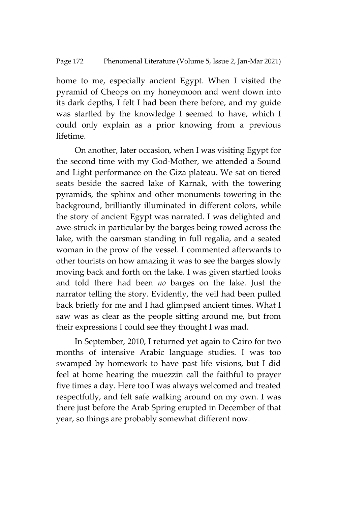home to me, especially ancient Egypt. When I visited the pyramid of Cheops on my honeymoon and went down into its dark depths, I felt I had been there before, and my guide was startled by the knowledge I seemed to have, which I could only explain as a prior knowing from a previous lifetime.

On another, later occasion, when I was visiting Egypt for the second time with my God-Mother, we attended a Sound and Light performance on the Giza plateau. We sat on tiered seats beside the sacred lake of Karnak, with the towering pyramids, the sphinx and other monuments towering in the background, brilliantly illuminated in different colors, while the story of ancient Egypt was narrated. I was delighted and awe-struck in particular by the barges being rowed across the lake, with the oarsman standing in full regalia, and a seated woman in the prow of the vessel. I commented afterwards to other tourists on how amazing it was to see the barges slowly moving back and forth on the lake. I was given startled looks and told there had been *no* barges on the lake. Just the narrator telling the story. Evidently, the veil had been pulled back briefly for me and I had glimpsed ancient times. What I saw was as clear as the people sitting around me, but from their expressions I could see they thought I was mad.

In September, 2010, I returned yet again to Cairo for two months of intensive Arabic language studies. I was too swamped by homework to have past life visions, but I did feel at home hearing the muezzin call the faithful to prayer five times a day. Here too I was always welcomed and treated respectfully, and felt safe walking around on my own. I was there just before the Arab Spring erupted in December of that year, so things are probably somewhat different now.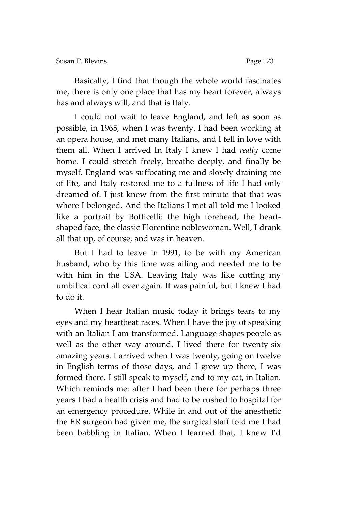Susan P. Blevins **Page 173** 

Basically, I find that though the whole world fascinates me, there is only one place that has my heart forever, always has and always will, and that is Italy.

I could not wait to leave England, and left as soon as possible, in 1965, when I was twenty. I had been working at an opera house, and met many Italians, and I fell in love with them all. When I arrived In Italy I knew I had *really* come home. I could stretch freely, breathe deeply, and finally be myself. England was suffocating me and slowly draining me of life, and Italy restored me to a fullness of life I had only dreamed of. I just knew from the first minute that that was where I belonged. And the Italians I met all told me I looked like a portrait by Botticelli: the high forehead, the heartshaped face, the classic Florentine noblewoman. Well, I drank all that up, of course, and was in heaven.

But I had to leave in 1991, to be with my American husband, who by this time was ailing and needed me to be with him in the USA. Leaving Italy was like cutting my umbilical cord all over again. It was painful, but I knew I had to do it.

When I hear Italian music today it brings tears to my eyes and my heartbeat races. When I have the joy of speaking with an Italian I am transformed. Language shapes people as well as the other way around. I lived there for twenty-six amazing years. I arrived when I was twenty, going on twelve in English terms of those days, and I grew up there, I was formed there. I still speak to myself, and to my cat, in Italian. Which reminds me: after I had been there for perhaps three years I had a health crisis and had to be rushed to hospital for an emergency procedure. While in and out of the anesthetic the ER surgeon had given me, the surgical staff told me I had been babbling in Italian. When I learned that, I knew I'd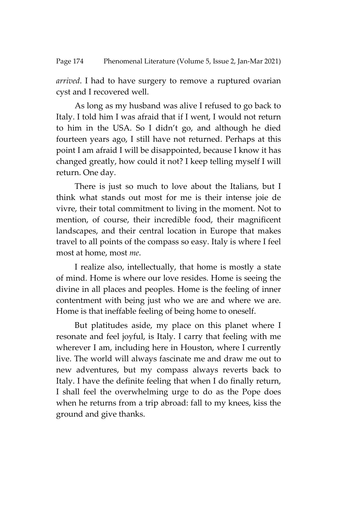*arrived*. I had to have surgery to remove a ruptured ovarian cyst and I recovered well.

As long as my husband was alive I refused to go back to Italy. I told him I was afraid that if I went, I would not return to him in the USA. So I didn't go, and although he died fourteen years ago, I still have not returned. Perhaps at this point I am afraid I will be disappointed, because I know it has changed greatly, how could it not? I keep telling myself I will return. One day.

There is just so much to love about the Italians, but I think what stands out most for me is their intense joie de vivre, their total commitment to living in the moment. Not to mention, of course, their incredible food, their magnificent landscapes, and their central location in Europe that makes travel to all points of the compass so easy. Italy is where I feel most at home, most *me*.

I realize also, intellectually, that home is mostly a state of mind. Home is where our love resides. Home is seeing the divine in all places and peoples. Home is the feeling of inner contentment with being just who we are and where we are. Home is that ineffable feeling of being home to oneself.

But platitudes aside, my place on this planet where I resonate and feel joyful, is Italy. I carry that feeling with me wherever I am, including here in Houston, where I currently live. The world will always fascinate me and draw me out to new adventures, but my compass always reverts back to Italy. I have the definite feeling that when I do finally return, I shall feel the overwhelming urge to do as the Pope does when he returns from a trip abroad: fall to my knees, kiss the ground and give thanks.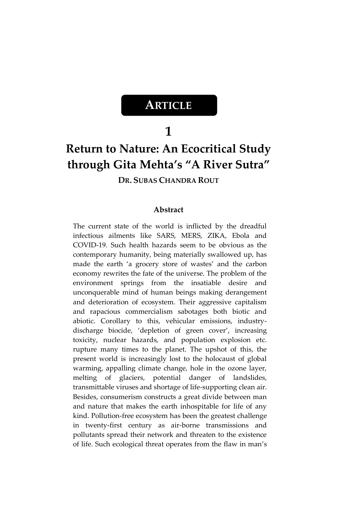## **ARTICLE**

### **1**

# **Return to Nature: An Ecocritical Study through Gita Mehta's "A River Sutra"**

### **DR. SUBAS CHANDRA ROUT**

#### **Abstract**

The current state of the world is inflicted by the dreadful infectious ailments like SARS, MERS, ZIKA, Ebola and COVID-19. Such health hazards seem to be obvious as the contemporary humanity, being materially swallowed up, has made the earth 'a grocery store of wastes' and the carbon economy rewrites the fate of the universe. The problem of the environment springs from the insatiable desire and unconquerable mind of human beings making derangement and deterioration of ecosystem. Their aggressive capitalism and rapacious commercialism sabotages both biotic and abiotic. Corollary to this, vehicular emissions, industrydischarge biocide, 'depletion of green cover', increasing toxicity, nuclear hazards, and population explosion etc. rupture many times to the planet. The upshot of this, the present world is increasingly lost to the holocaust of global warming, appalling climate change, hole in the ozone layer, melting of glaciers, potential danger of landslides, transmittable viruses and shortage of life-supporting clean air. Besides, consumerism constructs a great divide between man and nature that makes the earth inhospitable for life of any kind. Pollution-free ecosystem has been the greatest challenge in twenty-first century as air-borne transmissions and pollutants spread their network and threaten to the existence of life. Such ecological threat operates from the flaw in man's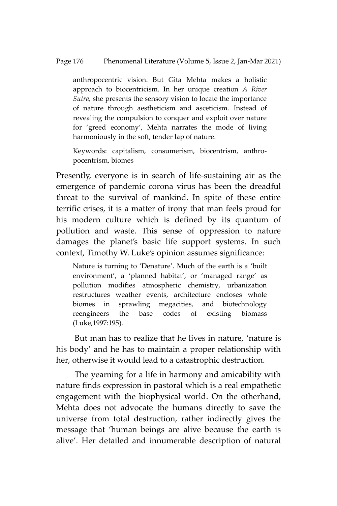#### Page 176 Phenomenal Literature (Volume 5, Issue 2, Jan-Mar 2021)

anthropocentric vision. But Gita Mehta makes a holistic approach to biocentricism. In her unique creation *A River Sutra,* she presents the sensory vision to locate the importance of nature through aestheticism and asceticism*.* Instead of revealing the compulsion to conquer and exploit over nature for 'greed economy', Mehta narrates the mode of living harmoniously in the soft, tender lap of nature.

Keywords: capitalism, consumerism, biocentrism, anthropocentrism, biomes

Presently, everyone is in search of life-sustaining air as the emergence of pandemic corona virus has been the dreadful threat to the survival of mankind. In spite of these entire terrific crises, it is a matter of irony that man feels proud for his modern culture which is defined by its quantum of pollution and waste. This sense of oppression to nature damages the planet's basic life support systems. In such context, Timothy W. Luke's opinion assumes significance:

Nature is turning to 'Denature'. Much of the earth is a 'built environment', a 'planned habitat', or 'managed range' as pollution modifies atmospheric chemistry, urbanization restructures weather events, architecture encloses whole biomes in sprawling megacities, and biotechnology reengineers the base codes of existing biomass (Luke,1997:195).

But man has to realize that he lives in nature, 'nature is his body' and he has to maintain a proper relationship with her, otherwise it would lead to a catastrophic destruction.

The yearning for a life in harmony and amicability with nature finds expression in pastoral which is a real empathetic engagement with the biophysical world. On the otherhand, Mehta does not advocate the humans directly to save the universe from total destruction, rather indirectly gives the message that 'human beings are alive because the earth is alive'. Her detailed and innumerable description of natural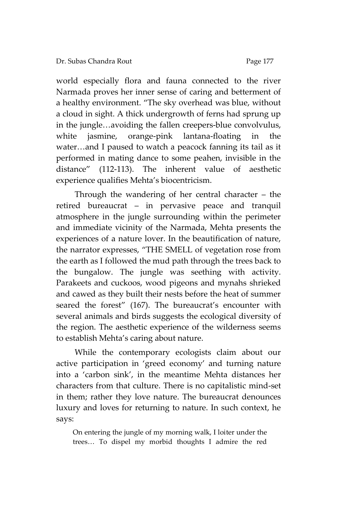world especially flora and fauna connected to the river Narmada proves her inner sense of caring and betterment of a healthy environment. 'The sky overhead was blue, without a cloud in sight. A thick undergrowth of ferns had sprung up in the jungle…avoiding the fallen creepers-blue convolvulus, white jasmine, orange-pink lantana-floating in the water…and I paused to watch a peacock fanning its tail as it performed in mating dance to some peahen, invisible in the distance' (112-113). The inherent value of aesthetic

experience qualifies Mehta's biocentricism.

Through the wandering of her central character – the retired bureaucrat – in pervasive peace and tranquil atmosphere in the jungle surrounding within the perimeter and immediate vicinity of the Narmada, Mehta presents the experiences of a nature lover. In the beautification of nature, the narrator expresses, 'THE SMELL of vegetation rose from the earth as I followed the mud path through the trees back to the bungalow. The jungle was seething with activity. Parakeets and cuckoos, wood pigeons and mynahs shrieked and cawed as they built their nests before the heat of summer seared the forest' (167). The bureaucrat's encounter with several animals and birds suggests the ecological diversity of the region. The aesthetic experience of the wilderness seems to establish Mehta's caring about nature.

While the contemporary ecologists claim about our active participation in 'greed economy' and turning nature into a 'carbon sink', in the meantime Mehta distances her characters from that culture. There is no capitalistic mind-set in them; rather they love nature. The bureaucrat denounces luxury and loves for returning to nature. In such context, he says:

On entering the jungle of my morning walk, I loiter under the trees… To dispel my morbid thoughts I admire the red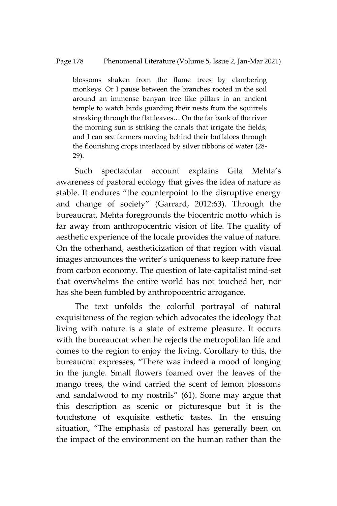blossoms shaken from the flame trees by clambering monkeys. Or I pause between the branches rooted in the soil around an immense banyan tree like pillars in an ancient temple to watch birds guarding their nests from the squirrels streaking through the flat leaves… On the far bank of the river the morning sun is striking the canals that irrigate the fields, and I can see farmers moving behind their buffaloes through the flourishing crops interlaced by silver ribbons of water (28- 29).

Such spectacular account explains Gita Mehta's awareness of pastoral ecology that gives the idea of nature as stable. It endures "the counterpoint to the disruptive energy and change of society' (Garrard, 2012:63). Through the bureaucrat, Mehta foregrounds the biocentric motto which is far away from anthropocentric vision of life. The quality of aesthetic experience of the locale provides the value of nature. On the otherhand, aestheticization of that region with visual images announces the writer's uniqueness to keep nature free from carbon economy. The question of late-capitalist mind-set that overwhelms the entire world has not touched her, nor has she been fumbled by anthropocentric arrogance.

The text unfolds the colorful portrayal of natural exquisiteness of the region which advocates the ideology that living with nature is a state of extreme pleasure. It occurs with the bureaucrat when he rejects the metropolitan life and comes to the region to enjoy the living. Corollary to this, the bureaucrat expresses, 'There was indeed a mood of longing in the jungle. Small flowers foamed over the leaves of the mango trees, the wind carried the scent of lemon blossoms and sandalwood to my nostrils' (61). Some may argue that this description as scenic or picturesque but it is the touchstone of exquisite esthetic tastes. In the ensuing situation, 'The emphasis of pastoral has generally been on the impact of the environment on the human rather than the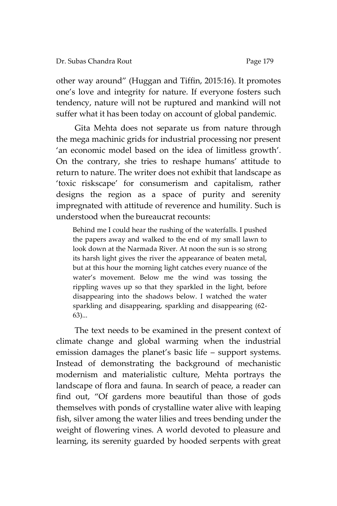other way around' (Huggan and Tiffin, 2015:16). It promotes one's love and integrity for nature. If everyone fosters such tendency, nature will not be ruptured and mankind will not suffer what it has been today on account of global pandemic.

Gita Mehta does not separate us from nature through the mega machinic grids for industrial processing nor present 'an economic model based on the idea of limitless growth'. On the contrary, she tries to reshape humans' attitude to return to nature. The writer does not exhibit that landscape as 'toxic riskscape' for consumerism and capitalism, rather designs the region as a space of purity and serenity impregnated with attitude of reverence and humility. Such is understood when the bureaucrat recounts:

Behind me I could hear the rushing of the waterfalls. I pushed the papers away and walked to the end of my small lawn to look down at the Narmada River. At noon the sun is so strong its harsh light gives the river the appearance of beaten metal, but at this hour the morning light catches every nuance of the water's movement. Below me the wind was tossing the rippling waves up so that they sparkled in the light, before disappearing into the shadows below. I watched the water sparkling and disappearing, sparkling and disappearing (62- 63)...

The text needs to be examined in the present context of climate change and global warming when the industrial emission damages the planet's basic life – support systems. Instead of demonstrating the background of mechanistic modernism and materialistic culture, Mehta portrays the landscape of flora and fauna. In search of peace, a reader can find out, 'Of gardens more beautiful than those of gods themselves with ponds of crystalline water alive with leaping fish, silver among the water lilies and trees bending under the weight of flowering vines. A world devoted to pleasure and learning, its serenity guarded by hooded serpents with great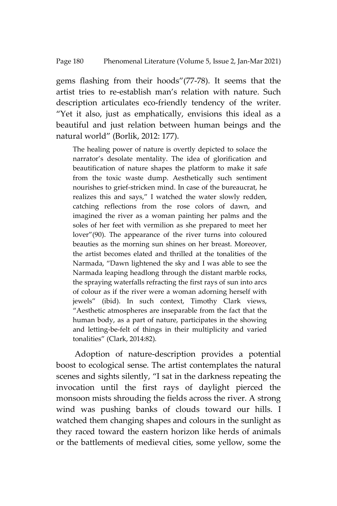gems flashing from their hoods'(77-78). It seems that the artist tries to re-establish man's relation with nature. Such description articulates eco-friendly tendency of the writer. 'Yet it also, just as emphatically, envisions this ideal as a beautiful and just relation between human beings and the natural world' (Borlik, 2012: 177).

The healing power of nature is overtly depicted to solace the narrator's desolate mentality. The idea of glorification and beautification of nature shapes the platform to make it safe from the toxic waste dump. Aesthetically such sentiment nourishes to grief-stricken mind. In case of the bureaucrat, he realizes this and says,' I watched the water slowly redden, catching reflections from the rose colors of dawn, and imagined the river as a woman painting her palms and the soles of her feet with vermilion as she prepared to meet her lover'(90). The appearance of the river turns into coloured beauties as the morning sun shines on her breast. Moreover, the artist becomes elated and thrilled at the tonalities of the Narmada, 'Dawn lightened the sky and I was able to see the Narmada leaping headlong through the distant marble rocks, the spraying waterfalls refracting the first rays of sun into arcs of colour as if the river were a woman adorning herself with jewels' (ibid). In such context, Timothy Clark views, 'Aesthetic atmospheres are inseparable from the fact that the human body, as a part of nature, participates in the showing and letting-be-felt of things in their multiplicity and varied tonalities' (Clark, 2014:82).

Adoption of nature-description provides a potential boost to ecological sense. The artist contemplates the natural scenes and sights silently, 'I sat in the darkness repeating the invocation until the first rays of daylight pierced the monsoon mists shrouding the fields across the river. A strong wind was pushing banks of clouds toward our hills. I watched them changing shapes and colours in the sunlight as they raced toward the eastern horizon like herds of animals or the battlements of medieval cities, some yellow, some the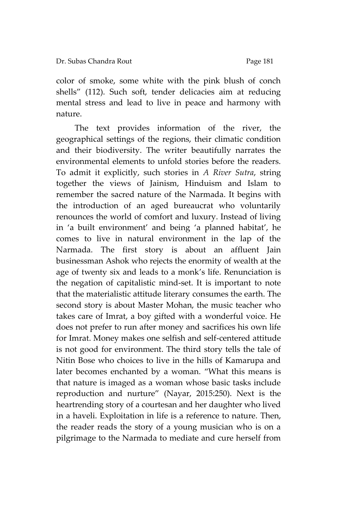color of smoke, some white with the pink blush of conch shells' (112). Such soft, tender delicacies aim at reducing mental stress and lead to live in peace and harmony with nature.

The text provides information of the river, the geographical settings of the regions, their climatic condition and their biodiversity. The writer beautifully narrates the environmental elements to unfold stories before the readers. To admit it explicitly, such stories in *A River Sutra*, string together the views of Jainism, Hinduism and Islam to remember the sacred nature of the Narmada. It begins with the introduction of an aged bureaucrat who voluntarily renounces the world of comfort and luxury. Instead of living in 'a built environment' and being 'a planned habitat', he comes to live in natural environment in the lap of the Narmada. The first story is about an affluent Jain businessman Ashok who rejects the enormity of wealth at the age of twenty six and leads to a monk's life. Renunciation is the negation of capitalistic mind-set. It is important to note that the materialistic attitude literary consumes the earth. The second story is about Master Mohan, the music teacher who takes care of Imrat, a boy gifted with a wonderful voice. He does not prefer to run after money and sacrifices his own life for Imrat. Money makes one selfish and self-centered attitude is not good for environment. The third story tells the tale of Nitin Bose who choices to live in the hills of Kamarupa and later becomes enchanted by a woman. 'What this means is that nature is imaged as a woman whose basic tasks include reproduction and nurture' (Nayar, 2015:250). Next is the heartrending story of a courtesan and her daughter who lived in a haveli. Exploitation in life is a reference to nature. Then, the reader reads the story of a young musician who is on a pilgrimage to the Narmada to mediate and cure herself from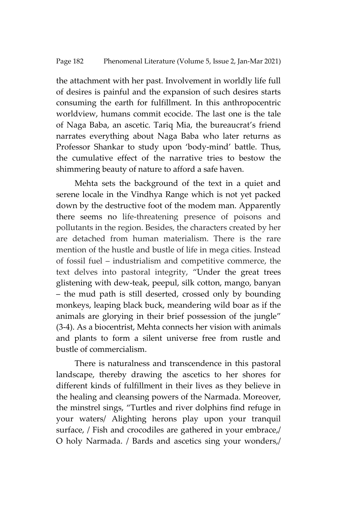the attachment with her past. Involvement in worldly life full of desires is painful and the expansion of such desires starts consuming the earth for fulfillment. In this anthropocentric worldview, humans commit ecocide. The last one is the tale of Naga Baba, an ascetic. Tariq Mia, the bureaucrat's friend narrates everything about Naga Baba who later returns as Professor Shankar to study upon 'body-mind' battle. Thus, the cumulative effect of the narrative tries to bestow the shimmering beauty of nature to afford a safe haven.

Mehta sets the background of the text in a quiet and serene locale in the Vindhya Range which is not yet packed down by the destructive foot of the modem man. Apparently there seems no life-threatening presence of poisons and pollutants in the region. Besides, the characters created by her are detached from human materialism. There is the rare mention of the hustle and bustle of life in mega cities. Instead of fossil fuel – industrialism and competitive commerce, the text delves into pastoral integrity, 'Under the great trees glistening with dew-teak, peepul, silk cotton, mango, banyan – the mud path is still deserted, crossed only by bounding monkeys, leaping black buck, meandering wild boar as if the animals are glorying in their brief possession of the jungle' (3-4). As a biocentrist, Mehta connects her vision with animals and plants to form a silent universe free from rustle and bustle of commercialism.

There is naturalness and transcendence in this pastoral landscape, thereby drawing the ascetics to her shores for different kinds of fulfillment in their lives as they believe in the healing and cleansing powers of the Narmada. Moreover, the minstrel sings, 'Turtles and river dolphins find refuge in your waters/ Alighting herons play upon your tranquil surface, / Fish and crocodiles are gathered in your embrace,/ O holy Narmada. / Bards and ascetics sing your wonders,/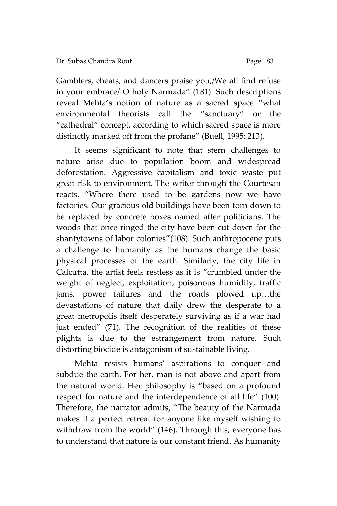Gamblers, cheats, and dancers praise you,/We all find refuse in your embrace/ O holy Narmada' (181). Such descriptions reveal Mehta's notion of nature as a sacred space 'what environmental theorists call the 'sanctuary' or the 'cathedral' concept, according to which sacred space is more distinctly marked off from the profane' (Buell, 1995: 213).

It seems significant to note that stern challenges to nature arise due to population boom and widespread deforestation. Aggressive capitalism and toxic waste put great risk to environment. The writer through the Courtesan reacts, 'Where there used to be gardens now we have factories. Our gracious old buildings have been torn down to be replaced by concrete boxes named after politicians. The woods that once ringed the city have been cut down for the shantytowns of labor colonies"(108). Such anthropocene puts a challenge to humanity as the humans change the basic physical processes of the earth. Similarly, the city life in Calcutta, the artist feels restless as it is 'crumbled under the weight of neglect, exploitation, poisonous humidity, traffic jams, power failures and the roads plowed up…the devastations of nature that daily drew the desperate to a great metropolis itself desperately surviving as if a war had just ended' (71). The recognition of the realities of these plights is due to the estrangement from nature. Such distorting biocide is antagonism of sustainable living.

Mehta resists humans' aspirations to conquer and subdue the earth. For her, man is not above and apart from the natural world. Her philosophy is 'based on a profound respect for nature and the interdependence of all life' (100). Therefore, the narrator admits, 'The beauty of the Narmada makes it a perfect retreat for anyone like myself wishing to withdraw from the world' (146). Through this, everyone has to understand that nature is our constant friend. As humanity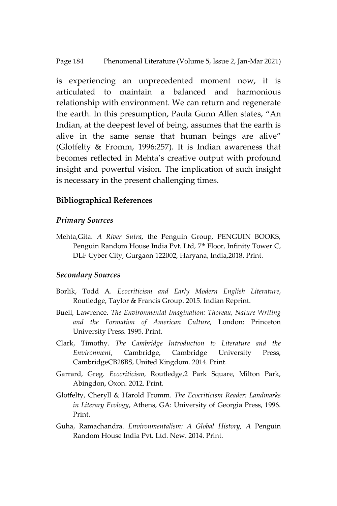is experiencing an unprecedented moment now, it is articulated to maintain a balanced and harmonious relationship with environment. We can return and regenerate the earth. In this presumption, Paula Gunn Allen states, 'An Indian, at the deepest level of being, assumes that the earth is alive in the same sense that human beings are alive' (Glotfelty & Fromm, 1996:257). It is Indian awareness that becomes reflected in Mehta's creative output with profound insight and powerful vision. The implication of such insight is necessary in the present challenging times.

#### **Bibliographical References**

#### *Primary Sources*

Mehta,Gita. *A River Sutra*, the Penguin Group, PENGUIN BOOKS, Penguin Random House India Pvt. Ltd, 7<sup>th</sup> Floor, Infinity Tower C, DLF Cyber City, Gurgaon 122002, Haryana, India,2018. Print.

#### *Secondary Sources*

- Borlik, Todd A. *Ecocriticism and Early Modern English Literature*, Routledge, Taylor & Francis Group. 2015. Indian Reprint.
- Buell, Lawrence. *The Environmental Imagination: Thoreau, Nature Writing and the Formation of American Culture*, London: Princeton University Press. 1995. Print.
- Clark, Timothy. *The Cambridge Introduction to Literature and the Environment*, Cambridge, Cambridge University Press, CambridgeCB28BS, United Kingdom. 2014. Print.
- Garrard, Greg. *Ecocriticism,* Routledge,2 Park Square, Milton Park, Abingdon, Oxon. 2012. Print.
- Glotfelty, Cheryll & Harold Fromm. *The Ecocriticism Reader: Landmarks in Literary Ecology*, Athens, GA: University of Georgia Press, 1996. Print.
- Guha, Ramachandra. *Environmentalism: A Global History, A* Penguin Random House India Pvt. Ltd. New. 2014. Print.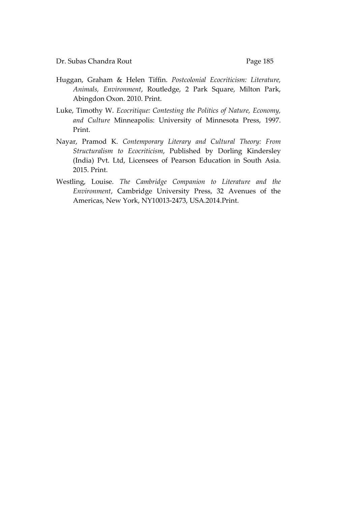- Huggan, Graham & Helen Tiffin. *Postcolonial Ecocriticism: Literature, Animals, Environment*, Routledge, 2 Park Square, Milton Park, Abingdon Oxon. 2010. Print.
- Luke, Timothy W. *Ecocritique: Contesting the Politics of Nature, Economy, and Culture* Minneapolis: University of Minnesota Press, 1997. Print.
- Nayar, Pramod K. *Contemporary Literary and Cultural Theory: From Structuralism to Ecocriticism*, Published by Dorling Kindersley (India) Pvt. Ltd, Licensees of Pearson Education in South Asia. 2015. Print.
- Westling, Louise. *The Cambridge Companion to Literature and the Environment*, Cambridge University Press, 32 Avenues of the Americas, New York, NY10013-2473, USA.2014.Print.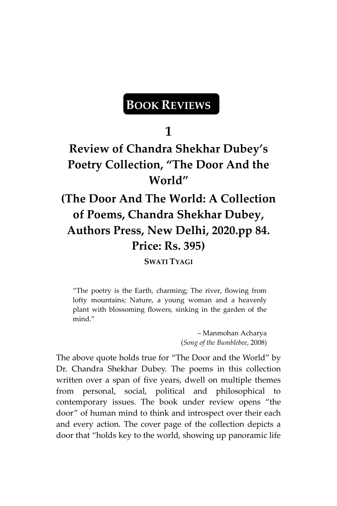## **BOOK REVIEWS**

**1**

## **Review of Chandra Shekhar Dubey's Poetry Collection, "The Door And the World"**

# **(The Door And The World: A Collection of Poems, Chandra Shekhar Dubey, Authors Press, New Delhi, 2020.pp 84. Price: Rs. 395)**

**SWATI TYAGI**

'The poetry is the Earth, charming; The river, flowing from lofty mountains; Nature, a young woman and a heavenly plant with blossoming flowers, sinking in the garden of the mind.'

> – Manmohan Acharya (*Song of the Bumblebee*, 2008)

The above quote holds true for 'The Door and the World' by Dr. Chandra Shekhar Dubey. The poems in this collection written over a span of five years, dwell on multiple themes from personal, social, political and philosophical to contemporary issues. The book under review opens 'the door' of human mind to think and introspect over their each and every action. The cover page of the collection depicts a door that 'holds key to the world, showing up panoramic life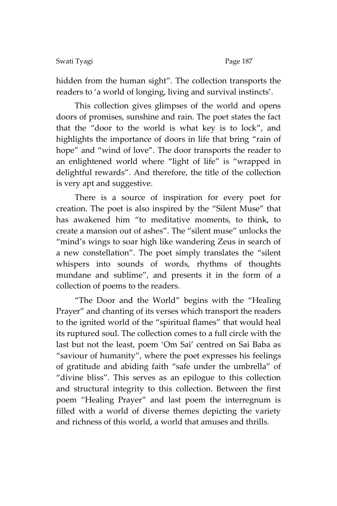#### Swati Tyagi Page 187

hidden from the human sight'. The collection transports the readers to 'a world of longing, living and survival instincts'.

This collection gives glimpses of the world and opens doors of promises, sunshine and rain. The poet states the fact that the 'door to the world is what key is to lock', and highlights the importance of doors in life that bring "rain of hope' and 'wind of love'. The door transports the reader to an enlightened world where "light of life" is "wrapped in delightful rewards'. And therefore, the title of the collection is very apt and suggestive.

There is a source of inspiration for every poet for creation. The poet is also inspired by the 'Silent Muse' that has awakened him 'to meditative moments, to think, to create a mansion out of ashes'. The 'silent muse' unlocks the 'mind's wings to soar high like wandering Zeus in search of a new constellation'. The poet simply translates the 'silent whispers into sounds of words, rhythms of thoughts mundane and sublime', and presents it in the form of a collection of poems to the readers.

'The Door and the World' begins with the 'Healing Prayer' and chanting of its verses which transport the readers to the ignited world of the 'spiritual flames' that would heal its ruptured soul. The collection comes to a full circle with the last but not the least, poem 'Om Sai' centred on Sai Baba as 'saviour of humanity', where the poet expresses his feelings of gratitude and abiding faith "safe under the umbrella" of 'divine bliss'. This serves as an epilogue to this collection and structural integrity to this collection. Between the first poem 'Healing Prayer' and last poem the interregnum is filled with a world of diverse themes depicting the variety and richness of this world, a world that amuses and thrills.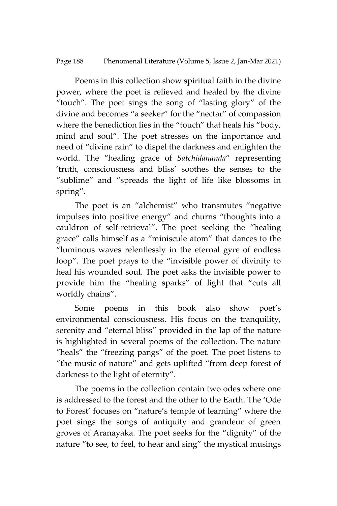Page 188 Phenomenal Literature (Volume 5, Issue 2, Jan-Mar 2021)

Poems in this collection show spiritual faith in the divine power, where the poet is relieved and healed by the divine 'touch'. The poet sings the song of 'lasting glory' of the divine and becomes 'a seeker' for the 'nectar' of compassion where the benediction lies in the "touch" that heals his "body, mind and soul'. The poet stresses on the importance and need of 'divine rain' to dispel the darkness and enlighten the world. The 'healing grace of *Satchidananda*' representing 'truth, consciousness and bliss' soothes the senses to the 'sublime' and 'spreads the light of life like blossoms in spring'.

The poet is an "alchemist" who transmutes "negative impulses into positive energy' and churns 'thoughts into a cauldron of self-retrieval'. The poet seeking the 'healing grace' calls himself as a 'miniscule atom' that dances to the 'luminous waves relentlessly in the eternal gyre of endless loop'. The poet prays to the 'invisible power of divinity to heal his wounded soul. The poet asks the invisible power to provide him the 'healing sparks' of light that 'cuts all worldly chains'.

Some poems in this book also show poet's environmental consciousness. His focus on the tranquility, serenity and "eternal bliss" provided in the lap of the nature is highlighted in several poems of the collection. The nature 'heals' the 'freezing pangs' of the poet. The poet listens to 'the music of nature' and gets uplifted 'from deep forest of darkness to the light of eternity'.

The poems in the collection contain two odes where one is addressed to the forest and the other to the Earth. The 'Ode to Forest' focuses on 'nature's temple of learning' where the poet sings the songs of antiquity and grandeur of green groves of Aranayaka. The poet seeks for the 'dignity' of the nature 'to see, to feel, to hear and sing' the mystical musings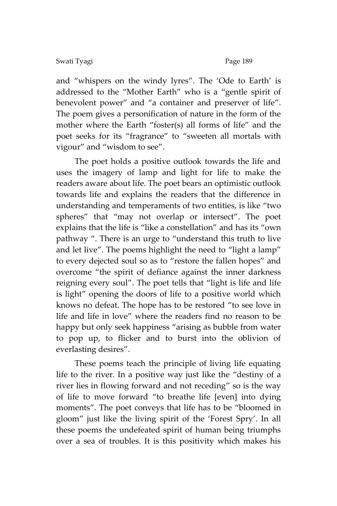#### Swati Tyagi Page 189

and 'whispers on the windy lyres'. The 'Ode to Earth' is addressed to the 'Mother Earth' who is a 'gentle spirit of benevolent power' and 'a container and preserver of life'. The poem gives a personification of nature in the form of the mother where the Earth 'foster(s) all forms of life' and the poet seeks for its 'fragrance' to 'sweeten all mortals with vigour" and "wisdom to see".

The poet holds a positive outlook towards the life and uses the imagery of lamp and light for life to make the readers aware about life. The poet bears an optimistic outlook towards life and explains the readers that the difference in understanding and temperaments of two entities, is like 'two spheres' that 'may not overlap or intersect'. The poet explains that the life is "like a constellation" and has its "own pathway ". There is an urge to "understand this truth to live and let live". The poems highlight the need to "light a lamp" to every dejected soul so as to 'restore the fallen hopes' and overcome 'the spirit of defiance against the inner darkness reigning every soul'. The poet tells that 'light is life and life is light" opening the doors of life to a positive world which knows no defeat. The hope has to be restored 'to see love in life and life in love' where the readers find no reason to be happy but only seek happiness "arising as bubble from water to pop up, to flicker and to burst into the oblivion of everlasting desires'.

These poems teach the principle of living life equating life to the river. In a positive way just like the 'destiny of a river lies in flowing forward and not receding' so is the way of life to move forward 'to breathe life [even] into dying moments'. The poet conveys that life has to be 'bloomed in gloom' just like the living spirit of the 'Forest Spry'. In all these poems the undefeated spirit of human being triumphs over a sea of troubles. It is this positivity which makes his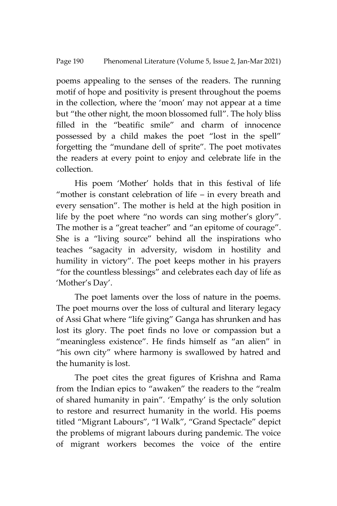poems appealing to the senses of the readers. The running motif of hope and positivity is present throughout the poems in the collection, where the 'moon' may not appear at a time but 'the other night, the moon blossomed full'. The holy bliss filled in the 'beatific smile' and charm of innocence possessed by a child makes the poet 'lost in the spell' forgetting the 'mundane dell of sprite'. The poet motivates the readers at every point to enjoy and celebrate life in the collection.

His poem 'Mother' holds that in this festival of life 'mother is constant celebration of life – in every breath and every sensation'. The mother is held at the high position in life by the poet where 'no words can sing mother's glory'. The mother is a "great teacher" and "an epitome of courage". She is a 'living source' behind all the inspirations who teaches 'sagacity in adversity, wisdom in hostility and humility in victory'. The poet keeps mother in his prayers 'for the countless blessings' and celebrates each day of life as 'Mother's Day'.

The poet laments over the loss of nature in the poems. The poet mourns over the loss of cultural and literary legacy of Assi Ghat where 'life giving' Ganga has shrunken and has lost its glory. The poet finds no love or compassion but a 'meaningless existence'. He finds himself as 'an alien' in 'his own city' where harmony is swallowed by hatred and the humanity is lost.

The poet cites the great figures of Krishna and Rama from the Indian epics to 'awaken' the readers to the 'realm of shared humanity in pain'. 'Empathy' is the only solution to restore and resurrect humanity in the world. His poems titled 'Migrant Labours', 'I Walk', 'Grand Spectacle' depict the problems of migrant labours during pandemic. The voice of migrant workers becomes the voice of the entire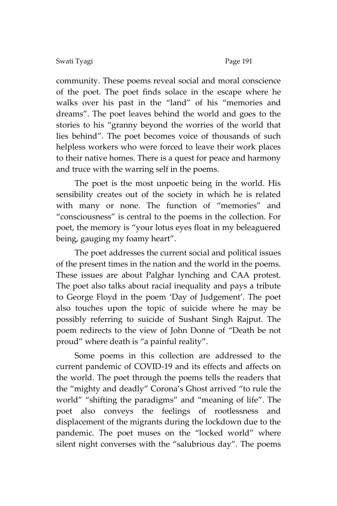community. These poems reveal social and moral conscience of the poet. The poet finds solace in the escape where he walks over his past in the 'land' of his 'memories and dreams'. The poet leaves behind the world and goes to the stories to his 'granny beyond the worries of the world that lies behind'. The poet becomes voice of thousands of such helpless workers who were forced to leave their work places to their native homes. There is a quest for peace and harmony and truce with the warring self in the poems.

The poet is the most unpoetic being in the world. His sensibility creates out of the society in which he is related with many or none. The function of 'memories' and 'consciousness' is central to the poems in the collection. For poet, the memory is 'your lotus eyes float in my beleaguered being, gauging my foamy heart'.

The poet addresses the current social and political issues of the present times in the nation and the world in the poems. These issues are about Palghar lynching and CAA protest. The poet also talks about racial inequality and pays a tribute to George Floyd in the poem 'Day of Judgement'. The poet also touches upon the topic of suicide where he may be possibly referring to suicide of Sushant Singh Rajput. The poem redirects to the view of John Donne of 'Death be not proud" where death is "a painful reality".

Some poems in this collection are addressed to the current pandemic of COVID-19 and its effects and affects on the world. The poet through the poems tells the readers that the 'mighty and deadly' Corona's Ghost arrived 'to rule the world' 'shifting the paradigms' and 'meaning of life'. The poet also conveys the feelings of rootlessness and displacement of the migrants during the lockdown due to the pandemic. The poet muses on the 'locked world' where silent night converses with the "salubrious day". The poems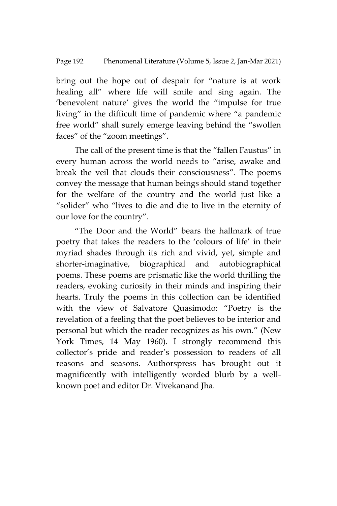bring out the hope out of despair for 'nature is at work healing all' where life will smile and sing again. The 'benevolent nature' gives the world the 'impulse for true living' in the difficult time of pandemic where 'a pandemic free world' shall surely emerge leaving behind the 'swollen faces' of the 'zoom meetings'.

The call of the present time is that the 'fallen Faustus' in every human across the world needs to "arise, awake and break the veil that clouds their consciousness'. The poems convey the message that human beings should stand together for the welfare of the country and the world just like a 'solider' who 'lives to die and die to live in the eternity of our love for the country'.

'The Door and the World' bears the hallmark of true poetry that takes the readers to the 'colours of life' in their myriad shades through its rich and vivid, yet, simple and shorter-imaginative, biographical and autobiographical poems. These poems are prismatic like the world thrilling the readers, evoking curiosity in their minds and inspiring their hearts. Truly the poems in this collection can be identified with the view of Salvatore Quasimodo: 'Poetry is the revelation of a feeling that the poet believes to be interior and personal but which the reader recognizes as his own.' (New York Times, 14 May 1960). I strongly recommend this collector's pride and reader's possession to readers of all reasons and seasons. Authorspress has brought out it magnificently with intelligently worded blurb by a wellknown poet and editor Dr. Vivekanand Jha.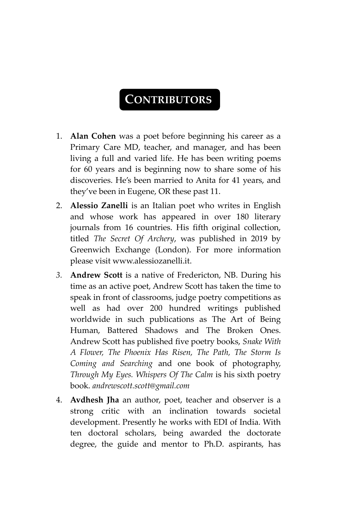### **CONTRIBUTORS**

- 1. **Alan Cohen** was a poet before beginning his career as a Primary Care MD, teacher, and manager, and has been living a full and varied life. He has been writing poems for 60 years and is beginning now to share some of his discoveries. He's been married to Anita for 41 years, and they've been in Eugene, OR these past 11.
- 2. **Alessio Zanelli** is an Italian poet who writes in English and whose work has appeared in over 180 literary journals from 16 countries. His fifth original collection, titled *The Secret Of Archery*, was published in 2019 by Greenwich Exchange (London). For more information please visit www.alessiozanelli.it.
- *3.* **Andrew Scott** is a native of Fredericton, NB. During his time as an active poet, Andrew Scott has taken the time to speak in front of classrooms, judge poetry competitions as well as had over 200 hundred writings published worldwide in such publications as The Art of Being Human, Battered Shadows and The Broken Ones. Andrew Scott has published five poetry books, *Snake With A Flower, The Phoenix Has Risen, The Path, The Storm Is Coming and Searching* and one book of photography, *Through My Eyes. Whispers Of The Calm* is his sixth poetry book. *andrewscott.scott@gmail.com*
- 4. **Avdhesh Jha** an author, poet, teacher and observer is a strong critic with an inclination towards societal development. Presently he works with EDI of India. With ten doctoral scholars, being awarded the doctorate degree, the guide and mentor to Ph.D. aspirants, has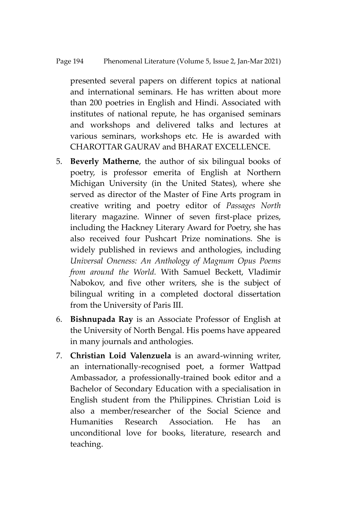#### Page 194 Phenomenal Literature (Volume 5, Issue 2, Jan-Mar 2021)

presented several papers on different topics at national and international seminars. He has written about more than 200 poetries in English and Hindi. Associated with institutes of national repute, he has organised seminars and workshops and delivered talks and lectures at various seminars, workshops etc. He is awarded with CHAROTTAR GAURAV and BHARAT EXCELLENCE.

- 5. **Beverly Matherne**, the author of six bilingual books of poetry, is professor emerita of English at Northern Michigan University (in the United States), where she served as director of the Master of Fine Arts program in creative writing and poetry editor of *Passages North* literary magazine. Winner of seven first-place prizes, including the Hackney Literary Award for Poetry, she has also received four Pushcart Prize nominations. She is widely published in reviews and anthologies, including *Universal Oneness: An Anthology of Magnum Opus Poems from around the World.* With Samuel Beckett, Vladimir Nabokov, and five other writers, she is the subject of bilingual writing in a completed doctoral dissertation from the University of Paris III.
- 6. **Bishnupada Ray** is an Associate Professor of English at the University of North Bengal. His poems have appeared in many journals and anthologies.
- 7. **Christian Loid Valenzuela** is an award-winning writer, an internationally-recognised poet, a former Wattpad Ambassador, a professionally-trained book editor and a Bachelor of Secondary Education with a specialisation in English student from the Philippines. Christian Loid is also a member/researcher of the Social Science and Humanities Research Association. He has an unconditional love for books, literature, research and teaching.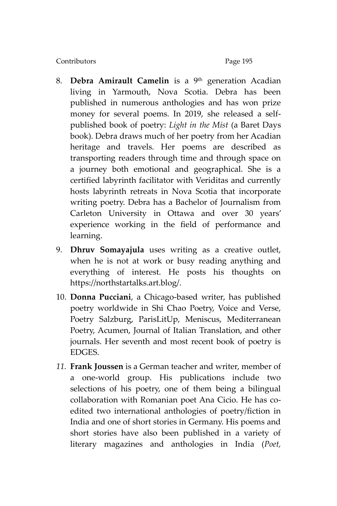- 8. **Debra Amirault Camelin** is a 9<sup>th</sup> generation Acadian living in Yarmouth, Nova Scotia. Debra has been published in numerous anthologies and has won prize money for several poems. In 2019, she released a selfpublished book of poetry: *Light in the Mist* (a Baret Days book). Debra draws much of her poetry from her Acadian heritage and travels. Her poems are described as transporting readers through time and through space on a journey both emotional and geographical. She is a certified labyrinth facilitator with Veriditas and currently hosts labyrinth retreats in Nova Scotia that incorporate writing poetry. Debra has a Bachelor of Journalism from Carleton University in Ottawa and over 30 years' experience working in the field of performance and learning.
- 9. **Dhruv Somayajula** uses writing as a creative outlet, when he is not at work or busy reading anything and everything of interest. He posts his thoughts on [https://northstartalks.art.blog/.](https://northstartalks.art.blog/)
- 10. **Donna Pucciani**, a Chicago-based writer, has published poetry worldwide in Shi Chao Poetry, Voice and Verse, Poetry Salzburg, ParisLitUp, Meniscus, Mediterranean Poetry, Acumen, Journal of Italian Translation, and other journals. Her seventh and most recent book of poetry is EDGES.
- *11.* **Frank Joussen** is a German teacher and writer, member of a one-world group. His publications include two selections of his poetry, one of them being a bilingual collaboration with Romanian poet Ana Cicio. He has coedited two international anthologies of poetry/fiction in India and one of short stories in Germany. His poems and short stories have also been published in a variety of literary magazines and anthologies in India (*Poet,*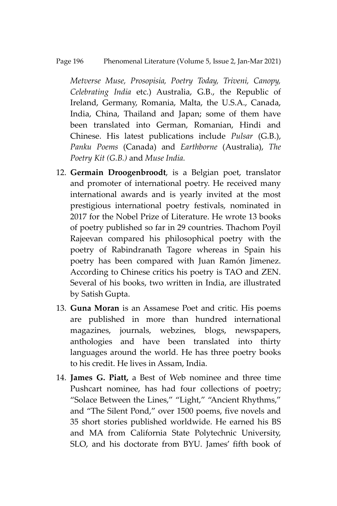#### Page 196 Phenomenal Literature (Volume 5, Issue 2, Jan-Mar 2021)

*Metverse Muse, Prosopisia, Poetry Today, Triveni, Canopy, Celebrating India* etc.) Australia, G.B., the Republic of Ireland, Germany, Romania, Malta, the U.S.A., Canada, India, China, Thailand and Japan; some of them have been translated into German, Romanian, Hindi and Chinese. His latest publications include *Pulsar* (G.B.), *Panku Poems* (Canada) and *Earthborne* (Australia), *The Poetry Kit (G.B.)* and *Muse India.*

- 12. **Germain Droogenbroodt**, is a Belgian poet, translator and promoter of international poetry. He received many international awards and is yearly invited at the most prestigious international poetry festivals, nominated in 2017 for the Nobel Prize of Literature. He wrote 13 books of poetry published so far in 29 countries. Thachom Poyil Rajeevan compared his philosophical poetry with the poetry of Rabindranath Tagore whereas in Spain his poetry has been compared with Juan Ramón Jimenez. According to Chinese critics his poetry is TAO and ZEN. Several of his books, two written in India, are illustrated by Satish Gupta.
- 13. **Guna Moran** is an Assamese Poet and critic. His poems are published in more than hundred international magazines, journals, webzines, blogs, newspapers, anthologies and have been translated into thirty languages around the world. He has three poetry books to his credit. He lives in Assam, India.
- 14. **James G. Piatt,** a Best of Web nominee and three time Pushcart nominee, has had four collections of poetry; 'Solace Between the Lines,' 'Light,' 'Ancient Rhythms,' and 'The Silent Pond,' over 1500 poems, five novels and 35 short stories published worldwide. He earned his BS and MA from California State Polytechnic University, SLO, and his doctorate from BYU. James' fifth book of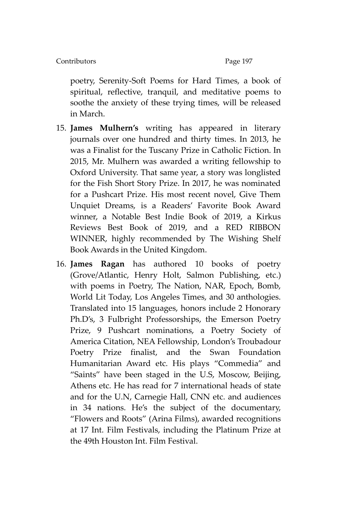poetry, Serenity-Soft Poems for Hard Times, a book of spiritual, reflective, tranquil, and meditative poems to soothe the anxiety of these trying times, will be released in March.

- 15. **James Mulhern's** writing has appeared in literary journals over one hundred and thirty times. In 2013, he was a Finalist for the Tuscany Prize in Catholic Fiction. In 2015, Mr. Mulhern was awarded a writing fellowship to Oxford University. That same year, a story was longlisted for the Fish Short Story Prize. In 2017, he was nominated for a Pushcart Prize. His most recent novel, Give Them Unquiet Dreams, is a Readers' Favorite Book Award winner, a Notable Best Indie Book of 2019, a Kirkus Reviews Best Book of 2019, and a RED RIBBON WINNER, highly recommended by The Wishing Shelf Book Awards in the United Kingdom.
- 16. **James Ragan** has authored 10 books of poetry (Grove/Atlantic, Henry Holt, Salmon Publishing, etc.) with poems in Poetry, The Nation, NAR, Epoch, Bomb, World Lit Today, Los Angeles Times, and 30 anthologies. Translated into 15 languages, honors include 2 Honorary Ph.D's, 3 Fulbright Professorships, the Emerson Poetry Prize, 9 Pushcart nominations, a Poetry Society of America Citation, NEA Fellowship, London's Troubadour Poetry Prize finalist, and the Swan Foundation Humanitarian Award etc. His plays 'Commedia' and 'Saints' have been staged in the U.S, Moscow, Beijing, Athens etc. He has read for 7 international heads of state and for the U.N, Carnegie Hall, CNN etc. and audiences in 34 nations. He's the subject of the documentary, 'Flowers and Roots' (Arina Films), awarded recognitions at 17 Int. Film Festivals, including the Platinum Prize at the 49th Houston Int. Film Festival.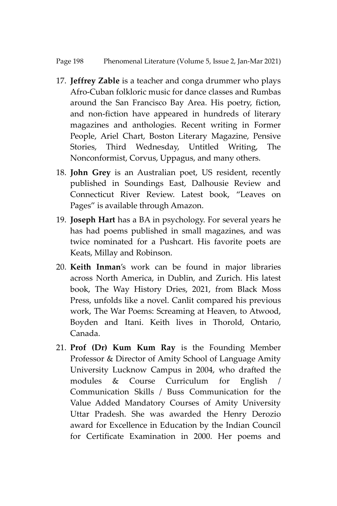- 17. **Jeffrey Zable** is a teacher and conga drummer who plays Afro-Cuban folkloric music for dance classes and Rumbas around the San Francisco Bay Area. His poetry, fiction, and non-fiction have appeared in hundreds of literary magazines and anthologies. Recent writing in Former People, Ariel Chart, Boston Literary Magazine, Pensive Stories, Third Wednesday, Untitled Writing, The Nonconformist, Corvus, Uppagus, and many others.
- 18. **John Grey** is an Australian poet, US resident, recently published in Soundings East, Dalhousie Review and Connecticut River Review. Latest book, 'Leaves on Pages' is available through Amazon.
- 19. **Joseph Hart** has a BA in psychology. For several years he has had poems published in small magazines, and was twice nominated for a Pushcart. His favorite poets are Keats, Millay and Robinson.
- 20. **Keith Inman**'s work can be found in major libraries across North America, in Dublin, and Zurich. His latest book, The Way History Dries, 2021, from Black Moss Press, unfolds like a novel. Canlit compared his previous work, The War Poems: Screaming at Heaven, to Atwood, Boyden and Itani. Keith lives in Thorold, Ontario, Canada.
- 21. **Prof (Dr) Kum Kum Ray** is the Founding Member Professor & Director of Amity School of Language Amity University Lucknow Campus in 2004, who drafted the modules & Course Curriculum for English / Communication Skills / Buss Communication for the Value Added Mandatory Courses of Amity University Uttar Pradesh. She was awarded the Henry Derozio award for Excellence in Education by the Indian Council for Certificate Examination in 2000. Her poems and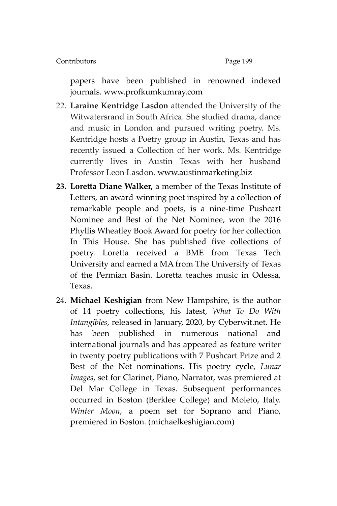papers have been published in renowned indexed journals. [www.profkumkumray.com](http://www.profkumkumray.com/)

- 22. **Laraine Kentridge Lasdon** attended the University of the Witwatersrand in South Africa. She studied drama, dance and music in London and pursued writing poetry. Ms. Kentridge hosts a Poetry group in Austin, Texas and has recently issued a Collection of her work. Ms. Kentridge currently lives in Austin Texas with her husband Professor Leon Lasdon. [www.austinmarketing.biz](http://www.austinmarketing.biz/)
- **23. Loretta Diane Walker,** a member of the Texas Institute of Letters, an award-winning poet inspired by a collection of remarkable people and poets, is a nine-time Pushcart Nominee and Best of the Net Nominee, won the 2016 Phyllis Wheatley Book Award for poetry for her collection In This House. She has published five collections of poetry. Loretta received a BME from Texas Tech University and earned a MA from The University of Texas of the Permian Basin. Loretta teaches music in Odessa, Texas.
- 24. **Michael Keshigian** from New Hampshire, is the author of 14 poetry collections, his latest, *What To Do With Intangibles*, released in January, 2020, by Cyberwit.net. He has been published in numerous national and international journals and has appeared as feature writer in twenty poetry publications with 7 Pushcart Prize and 2 Best of the Net nominations. His poetry cycle, *Lunar Images*, set for Clarinet, Piano, Narrator, was premiered at Del Mar College in Texas. Subsequent performances occurred in Boston (Berklee College) and Moleto, Italy. *Winter Moon*, a poem set for Soprano and Piano, premiered in Boston. (michaelkeshigian.com)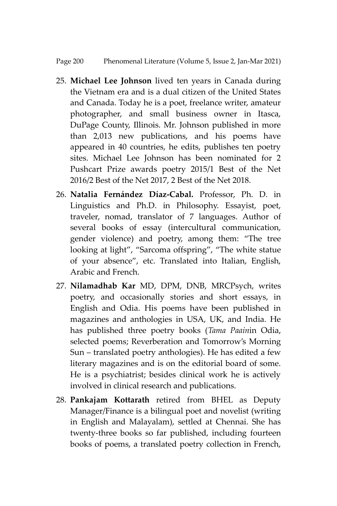Page 200 Phenomenal Literature (Volume 5, Issue 2, Jan-Mar 2021)

- 25. **Michael Lee Johnson** lived ten years in Canada during the Vietnam era and is a dual citizen of the United States and Canada. Today he is a poet, freelance writer, amateur photographer, and small business owner in Itasca, DuPage County, Illinois. Mr. Johnson published in more than 2,013 new publications, and his poems have appeared in 40 countries, he edits, publishes ten poetry sites. Michael Lee Johnson has been nominated for 2 Pushcart Prize awards poetry 2015/1 Best of the Net 2016/2 Best of the Net 2017, 2 Best of the Net 2018.
- 26. **Natalia Fernández Díaz-Cabal.** Professor, Ph. D. in Linguistics and Ph.D. in Philosophy. Essayist, poet, traveler, nomad, translator of 7 languages. Author of several books of essay (intercultural communication, gender violence) and poetry, among them: 'The tree looking at light', 'Sarcoma offspring', 'The white statue of your absence', etc. Translated into Italian, English, Arabic and French.
- 27. **Nilamadhab Kar** MD, DPM, DNB, MRCPsych, writes poetry, and occasionally stories and short essays, in English and Odia. His poems have been published in magazines and anthologies in USA, UK, and India. He has published three poetry books (*Tama Paain*in Odia, selected poems; Reverberation and Tomorrow's Morning Sun – translated poetry anthologies). He has edited a few literary magazines and is on the editorial board of some. He is a psychiatrist; besides clinical work he is actively involved in clinical research and publications.
- 28. **Pankajam Kottarath** retired from BHEL as Deputy Manager/Finance is a bilingual poet and novelist (writing in English and Malayalam), settled at Chennai. She has twenty-three books so far published, including fourteen books of poems, a translated poetry collection in French,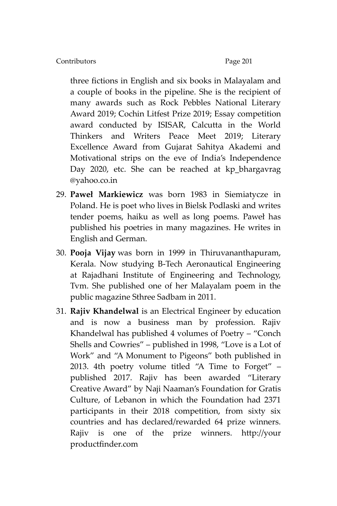three fictions in English and six books in Malayalam and a couple of books in the pipeline. She is the recipient of many awards such as Rock Pebbles National Literary Award 2019; Cochin Litfest Prize 2019; Essay competition award conducted by ISISAR, Calcutta in the World Thinkers and Writers Peace Meet 2019; Literary Excellence Award from Gujarat Sahitya Akademi and Motivational strips on the eve of India's Independence Day 2020, etc. She can be reached at kp\_bhargavrag @yahoo.co.in

- 29. **Paweł Markiewicz** was born 1983 in Siemiatycze in Poland. He is poet who lives in Bielsk Podlaski and writes tender poems, haiku as well as long poems. Paweł has published his poetries in many magazines. He writes in English and German.
- 30. **Pooja Vijay** was born in 1999 in Thiruvananthapuram, Kerala. Now studying B-Tech Aeronautical Engineering at Rajadhani Institute of Engineering and Technology, Tvm. She published one of her Malayalam poem in the public magazine Sthree Sadbam in 2011.
- 31. **Rajiv Khandelwal** is an Electrical Engineer by education and is now a business man by profession. Rajiv Khandelwal has published 4 volumes of Poetry – 'Conch Shells and Cowries' – published in 1998, 'Love is a Lot of Work' and 'A Monument to Pigeons' both published in 2013. 4th poetry volume titled 'A Time to Forget' – published 2017. Rajiv has been awarded 'Literary Creative Award' by Naji Naaman's Foundation for Gratis Culture, of Lebanon in which the Foundation had 2371 participants in their 2018 competition, from sixty six countries and has declared/rewarded 64 prize winners. Rajiv is one of the prize winners. [http://your](http://your/) productfinder.com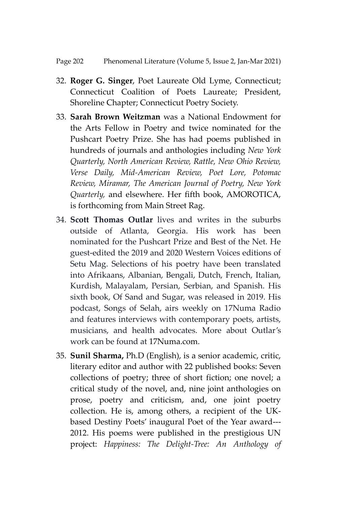- 32. **Roger G. Singer**, Poet Laureate Old Lyme, Connecticut; Connecticut Coalition of Poets Laureate; President, Shoreline Chapter; Connecticut Poetry Society.
- 33. **Sarah Brown Weitzman** was a National Endowment for the Arts Fellow in Poetry and twice nominated for the Pushcart Poetry Prize. She has had poems published in hundreds of journals and anthologies including *New York Quarterly, North American Review, Rattle, New Ohio Review, Verse Daily, Mid-American Review, Poet Lore, Potomac Review, Miramar, The American Journal of Poetry, New York Quarterly,* and elsewhere. Her fifth book, AMOROTICA, is forthcoming from Main Street Rag.
- 34. **Scott Thomas Outlar** lives and writes in the suburbs outside of Atlanta, Georgia. His work has been nominated for the Pushcart Prize and Best of the Net. He guest-edited the 2019 and 2020 Western Voices editions of Setu Mag. Selections of his poetry have been translated into Afrikaans, Albanian, Bengali, Dutch, French, Italian, Kurdish, Malayalam, Persian, Serbian, and Spanish. His sixth book, Of Sand and Sugar, was released in 2019. His podcast, Songs of Selah, airs weekly on 17Numa Radio and features interviews with contemporary poets, artists, musicians, and health advocates. More about Outlar's work can be found at [17Numa.com.](http://17numa.com/)
- 35. **Sunil Sharma,** Ph.D (English), is a senior academic, critic, literary editor and author with 22 published books: Seven collections of poetry; three of short fiction; one novel; a critical study of the novel, and, nine joint anthologies on prose, poetry and criticism, and, one joint poetry collection. He is, among others, a recipient of the UKbased Destiny Poets' inaugural Poet of the Year award--- 2012. His poems were published in the prestigious UN project: *Happiness: The Delight-Tree: An Anthology of*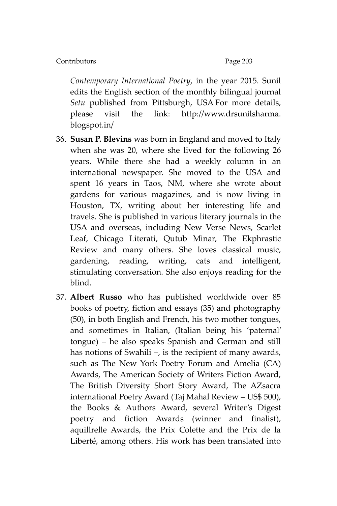*Contemporary International Poetry*, in the year 2015. Sunil edits the English section of the monthly bilingual journal *Setu* published from Pittsburgh, USA For more details, please visit the link: [http://www.drsunilsharma.](http://www.drsunilsharma.blogspot.in/) [blogspot.in/](http://www.drsunilsharma.blogspot.in/)

- 36. **Susan P. Blevins** was born in England and moved to Italy when she was 20, where she lived for the following 26 years. While there she had a weekly column in an international newspaper. She moved to the USA and spent 16 years in Taos, NM, where she wrote about gardens for various magazines, and is now living in Houston, TX, writing about her interesting life and travels. She is published in various literary journals in the USA and overseas, including New Verse News, Scarlet Leaf, Chicago Literati, Qutub Minar, The Ekphrastic Review and many others. She loves classical music, gardening, reading, writing, cats and intelligent, stimulating conversation. She also enjoys reading for the blind.
- 37. **Albert Russo** who has published worldwide over 85 books of poetry, fiction and essays (35) and photography (50), in both English and French, his two mother tongues, and sometimes in Italian, (Italian being his 'paternal' tongue) – he also speaks Spanish and German and still has notions of Swahili –, is the recipient of many awards, such as The New York Poetry Forum and Amelia (CA) Awards, The American Society of Writers Fiction Award, The British Diversity Short Story Award, The AZsacra international Poetry Award (Taj Mahal Review – US\$ 500), the Books & Authors Award, several Writer's Digest poetry and fiction Awards (winner and finalist), aquillrelle Awards, the Prix Colette and the Prix de la Liberté, among others. His work has been translated into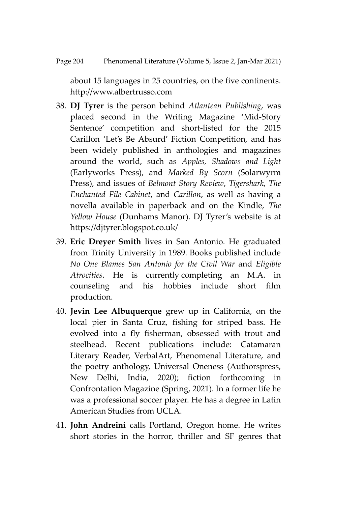about 15 languages in 25 countries, on the five continents. http://www.albertrusso.com

- 38. **DJ Tyrer** is the person behind *Atlantean Publishing*, was placed second in the Writing Magazine 'Mid-Story Sentence' competition and short-listed for the 2015 Carillon 'Let's Be Absurd' Fiction Competition, and has been widely published in anthologies and magazines around the world, such as *Apples, Shadows and Light*  (Earlyworks Press), and *Marked By Scorn* (Solarwyrm Press), and issues of *Belmont Story Review*, *Tigershark*, *The Enchanted File Cabinet*, and *Carillon*, as well as having a novella available in paperback and on the Kindle, *The Yellow House* (Dunhams Manor). DJ Tyrer's website is at <https://djtyrer.blogspot.co.uk/>
- 39. **Eric Dreyer Smith** lives in San Antonio. He graduated from Trinity University in 1989. Books published include *No One Blames San Antonio for the Civil War* and *Eligible Atrocities*. He is currently completing an M.A. in counseling and his hobbies include short film production.
- 40. **Jevin Lee Albuquerque** grew up in California, on the local pier in Santa Cruz, fishing for striped bass. He evolved into a fly fisherman, obsessed with trout and steelhead. Recent publications include: Catamaran Literary Reader, VerbalArt, Phenomenal Literature, and the poetry anthology, Universal Oneness (Authorspress, New Delhi, India, 2020); fiction forthcoming in Confrontation Magazine (Spring, 2021). In a former life he was a professional soccer player. He has a degree in Latin American Studies from UCLA.
- 41. **John Andreini** calls Portland, Oregon home. He writes short stories in the horror, thriller and SF genres that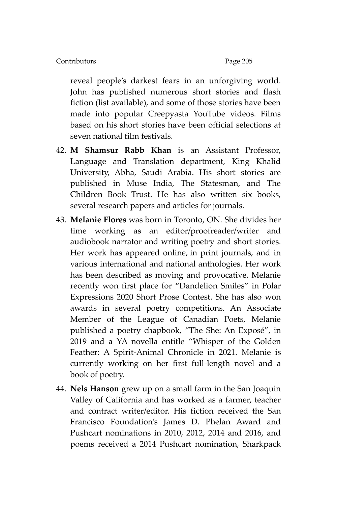reveal people's darkest fears in an unforgiving world. John has published numerous short stories and flash fiction (list available), and some of those stories have been made into popular Creepyasta YouTube videos. Films based on his short stories have been official selections at seven national film festivals.

- 42. **M Shamsur Rabb Khan** is an Assistant Professor, Language and Translation department, King Khalid University, Abha, Saudi Arabia. His short stories are published in Muse India, The Statesman, and The Children Book Trust. He has also written six books, several research papers and articles for journals.
- 43. **Melanie Flores** was born in Toronto, ON. She divides her time working as an editor/proofreader/writer and audiobook narrator and writing poetry and short stories. Her work has appeared online, in print journals, and in various international and national anthologies. Her work has been described as moving and provocative. Melanie recently won first place for 'Dandelion Smiles' in Polar Expressions 2020 Short Prose Contest. She has also won awards in several poetry competitions. An Associate Member of the League of Canadian Poets, Melanie published a poetry chapbook, 'The She: An Exposé', in 2019 and a YA novella entitle 'Whisper of the Golden Feather: A Spirit-Animal Chronicle in 2021. Melanie is currently working on her first full-length novel and a book of poetry.
- 44. **Nels Hanson** grew up on a small farm in the San Joaquin Valley of California and has worked as a farmer, teacher and contract writer/editor. His fiction received the San Francisco Foundation's James D. Phelan Award and Pushcart nominations in 2010, 2012, 2014 and 2016, and poems received a 2014 Pushcart nomination, Sharkpack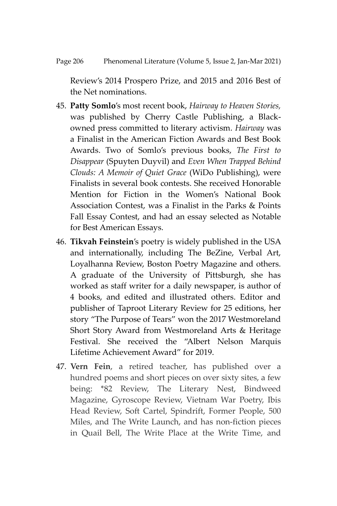Review's 2014 Prospero Prize, and 2015 and 2016 Best of the Net nominations.

- 45. **Patty Somlo**'s most recent book, *Hairway to Heaven Stories,*  was published by Cherry Castle Publishing, a Blackowned press committed to literary activism. *Hairway* was a Finalist in the American Fiction Awards and Best Book Awards. Two of Somlo's previous books, *The First to Disappear* (Spuyten Duyvil) and *Even When Trapped Behind Clouds: A Memoir of Quiet Grace* (WiDo Publishing), were Finalists in several book contests. She received Honorable Mention for Fiction in the Women's National Book Association Contest, was a Finalist in the Parks & Points Fall Essay Contest, and had an essay selected as Notable for Best American Essays.
- 46. **Tikvah Feinstein**'s poetry is widely published in the USA and internationally, including The BeZine, Verbal Art, Loyalhanna Review, Boston Poetry Magazine and others. A graduate of the University of Pittsburgh, she has worked as staff writer for a daily newspaper, is author of 4 books, and edited and illustrated others. Editor and publisher of Taproot Literary Review for 25 editions, her story 'The Purpose of Tears' won the 2017 Westmoreland Short Story Award from Westmoreland Arts & Heritage Festival. She received the 'Albert Nelson Marquis Lifetime Achievement Award' for 2019.
- 47. **Vern Fein**, a retired teacher, has published over a hundred poems and short pieces on over sixty sites, a few being: \*82 Review, The Literary Nest, Bindweed Magazine, Gyroscope Review, Vietnam War Poetry, Ibis Head Review, Soft Cartel, Spindrift, Former People, 500 Miles, and The Write Launch, and has non-fiction pieces in Quail Bell, The Write Place at the Write Time, and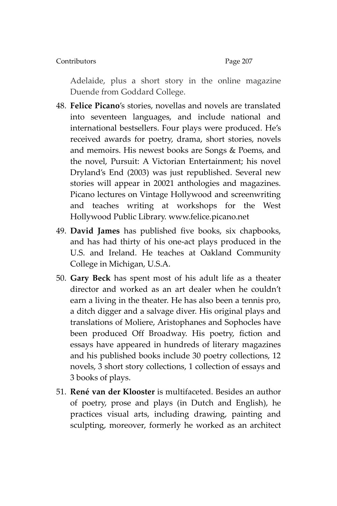Adelaide, plus a short story in the online magazine Duende from Goddard College.

- 48. **Felice Picano**'s stories, novellas and novels are translated into seventeen languages, and include national and international bestsellers. Four plays were produced. He's received awards for poetry, drama, short stories, novels and memoirs. His newest books are Songs & Poems, and the novel, Pursuit: A Victorian Entertainment; his novel Dryland's End (2003) was just republished. Several new stories will appear in 20021 anthologies and magazines. Picano lectures on Vintage Hollywood and screenwriting and teaches writing at workshops for the West Hollywood Public Library. [www.felice.picano.net](http://www.felice.picano.net/)
- 49. **David James** has published five books, six chapbooks, and has had thirty of his one-act plays produced in the U.S. and Ireland. He teaches at Oakland Community College in Michigan, U.S.A.
- 50. **Gary Beck** has spent most of his adult life as a theater director and worked as an art dealer when he couldn't earn a living in the theater. He has also been a tennis pro, a ditch digger and a salvage diver. His original plays and translations of Moliere, Aristophanes and Sophocles have been produced Off Broadway. His poetry, fiction and essays have appeared in hundreds of literary magazines and his published books include 30 poetry collections, 12 novels, 3 short story collections, 1 collection of essays and 3 books of plays.
- 51. **René van der Klooster** is multifaceted. Besides an author of poetry, prose and plays (in Dutch and English), he practices visual arts, including drawing, painting and sculpting, moreover, formerly he worked as an architect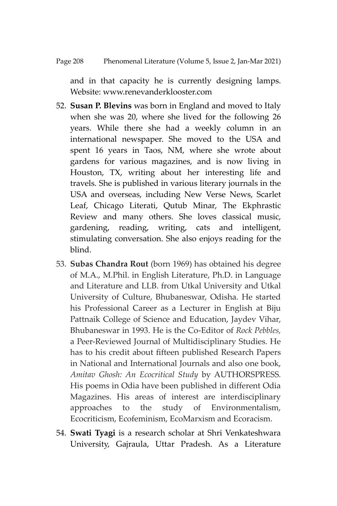and in that capacity he is currently designing lamps. Website: www.renevanderklooster.com

- 52. **Susan P. Blevins** was born in England and moved to Italy when she was 20, where she lived for the following 26 years. While there she had a weekly column in an international newspaper. She moved to the USA and spent 16 years in Taos, NM, where she wrote about gardens for various magazines, and is now living in Houston, TX, writing about her interesting life and travels. She is published in various literary journals in the USA and overseas, including New Verse News, Scarlet Leaf, Chicago Literati, Qutub Minar, The Ekphrastic Review and many others. She loves classical music, gardening, reading, writing, cats and intelligent, stimulating conversation. She also enjoys reading for the blind.
- 53. **Subas Chandra Rout** (born 1969) has obtained his degree of M.A., M.Phil. in English Literature, Ph.D. in Language and Literature and LLB. from Utkal University and Utkal University of Culture, Bhubaneswar, Odisha. He started his Professional Career as a Lecturer in English at Biju Pattnaik College of Science and Education, Jaydev Vihar, Bhubaneswar in 1993. He is the Co-Editor of *Rock Pebbles,* a Peer-Reviewed Journal of Multidisciplinary Studies. He has to his credit about fifteen published Research Papers in National and International Journals and also one book, *Amitav Ghosh: An Ecocritical Study* by AUTHORSPRESS*.*  His poems in Odia have been published in different Odia Magazines. His areas of interest are interdisciplinary approaches to the study of Environmentalism, Ecocriticism, Ecofeminism, EcoMarxism and Ecoracism.
- 54. **Swati Tyagi** is a research scholar at Shri Venkateshwara University, Gajraula, Uttar Pradesh. As a Literature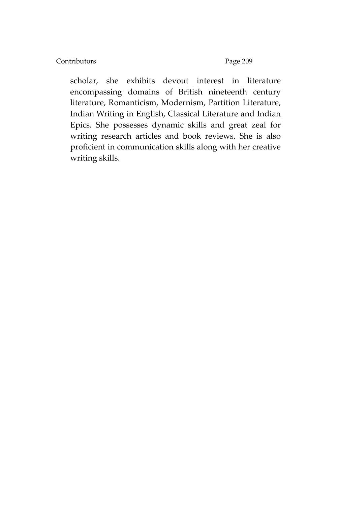scholar, she exhibits devout interest in literature encompassing domains of British nineteenth century literature, Romanticism, Modernism, Partition Literature, Indian Writing in English, Classical Literature and Indian Epics. She possesses dynamic skills and great zeal for writing research articles and book reviews. She is also proficient in communication skills along with her creative writing skills.